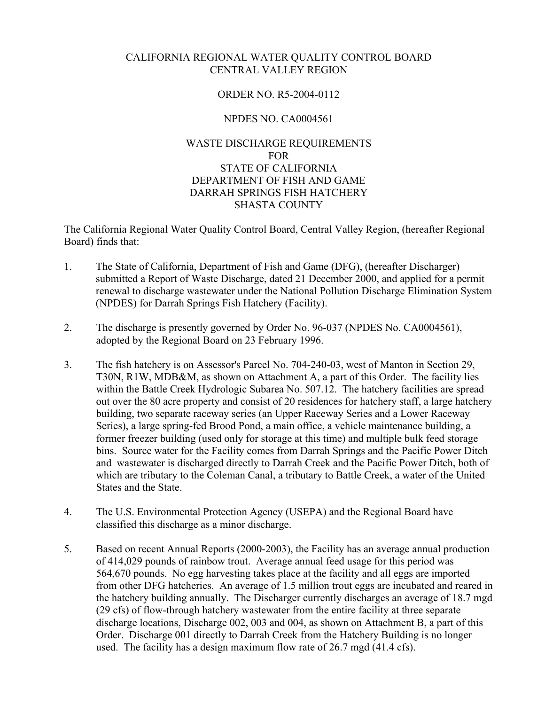## CALIFORNIA REGIONAL WATER QUALITY CONTROL BOARD CENTRAL VALLEY REGION

## ORDER NO. R5-2004-0112

## NPDES NO. CA0004561

## WASTE DISCHARGE REQUIREMENTS FOR STATE OF CALIFORNIA DEPARTMENT OF FISH AND GAME DARRAH SPRINGS FISH HATCHERY SHASTA COUNTY

The California Regional Water Quality Control Board, Central Valley Region, (hereafter Regional Board) finds that:

- 1. The State of California, Department of Fish and Game (DFG), (hereafter Discharger) submitted a Report of Waste Discharge, dated 21 December 2000, and applied for a permit renewal to discharge wastewater under the National Pollution Discharge Elimination System (NPDES) for Darrah Springs Fish Hatchery (Facility).
- 2. The discharge is presently governed by Order No. 96-037 (NPDES No. CA0004561), adopted by the Regional Board on 23 February 1996.
- 3. The fish hatchery is on Assessor's Parcel No. 704-240-03, west of Manton in Section 29, T30N, R1W, MDB&M, as shown on Attachment A, a part of this Order. The facility lies within the Battle Creek Hydrologic Subarea No. 507.12. The hatchery facilities are spread out over the 80 acre property and consist of 20 residences for hatchery staff, a large hatchery building, two separate raceway series (an Upper Raceway Series and a Lower Raceway Series), a large spring-fed Brood Pond, a main office, a vehicle maintenance building, a former freezer building (used only for storage at this time) and multiple bulk feed storage bins. Source water for the Facility comes from Darrah Springs and the Pacific Power Ditch and wastewater is discharged directly to Darrah Creek and the Pacific Power Ditch, both of which are tributary to the Coleman Canal, a tributary to Battle Creek, a water of the United States and the State.
- 4. The U.S. Environmental Protection Agency (USEPA) and the Regional Board have classified this discharge as a minor discharge.
- 5. Based on recent Annual Reports (2000-2003), the Facility has an average annual production of 414,029 pounds of rainbow trout. Average annual feed usage for this period was 564,670 pounds. No egg harvesting takes place at the facility and all eggs are imported from other DFG hatcheries. An average of 1.5 million trout eggs are incubated and reared in the hatchery building annually. The Discharger currently discharges an average of 18.7 mgd (29 cfs) of flow-through hatchery wastewater from the entire facility at three separate discharge locations, Discharge 002, 003 and 004, as shown on Attachment B, a part of this Order. Discharge 001 directly to Darrah Creek from the Hatchery Building is no longer used. The facility has a design maximum flow rate of 26.7 mgd (41.4 cfs).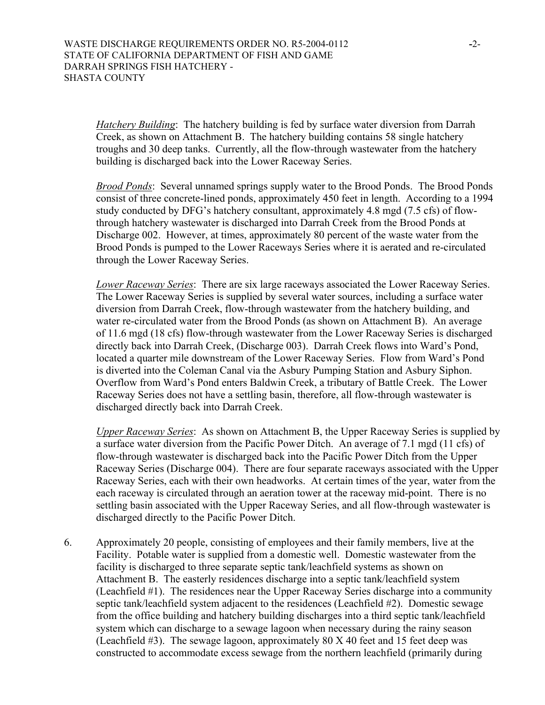*Hatchery Building*: The hatchery building is fed by surface water diversion from Darrah Creek, as shown on Attachment B. The hatchery building contains 58 single hatchery troughs and 30 deep tanks. Currently, all the flow-through wastewater from the hatchery building is discharged back into the Lower Raceway Series.

*Brood Ponds*: Several unnamed springs supply water to the Brood Ponds. The Brood Ponds consist of three concrete-lined ponds, approximately 450 feet in length. According to a 1994 study conducted by DFG's hatchery consultant, approximately 4.8 mgd (7.5 cfs) of flowthrough hatchery wastewater is discharged into Darrah Creek from the Brood Ponds at Discharge 002. However, at times, approximately 80 percent of the waste water from the Brood Ponds is pumped to the Lower Raceways Series where it is aerated and re-circulated through the Lower Raceway Series.

*Lower Raceway Series*: There are six large raceways associated the Lower Raceway Series. The Lower Raceway Series is supplied by several water sources, including a surface water diversion from Darrah Creek, flow-through wastewater from the hatchery building, and water re-circulated water from the Brood Ponds (as shown on Attachment B). An average of 11.6 mgd (18 cfs) flow-through wastewater from the Lower Raceway Series is discharged directly back into Darrah Creek, (Discharge 003). Darrah Creek flows into Ward's Pond, located a quarter mile downstream of the Lower Raceway Series. Flow from Ward's Pond is diverted into the Coleman Canal via the Asbury Pumping Station and Asbury Siphon. Overflow from Ward's Pond enters Baldwin Creek, a tributary of Battle Creek. The Lower Raceway Series does not have a settling basin, therefore, all flow-through wastewater is discharged directly back into Darrah Creek.

*Upper Raceway Series*: As shown on Attachment B, the Upper Raceway Series is supplied by a surface water diversion from the Pacific Power Ditch. An average of 7.1 mgd (11 cfs) of flow-through wastewater is discharged back into the Pacific Power Ditch from the Upper Raceway Series (Discharge 004). There are four separate raceways associated with the Upper Raceway Series, each with their own headworks. At certain times of the year, water from the each raceway is circulated through an aeration tower at the raceway mid-point. There is no settling basin associated with the Upper Raceway Series, and all flow-through wastewater is discharged directly to the Pacific Power Ditch.

6. Approximately 20 people, consisting of employees and their family members, live at the Facility. Potable water is supplied from a domestic well. Domestic wastewater from the facility is discharged to three separate septic tank/leachfield systems as shown on Attachment B. The easterly residences discharge into a septic tank/leachfield system (Leachfield #1). The residences near the Upper Raceway Series discharge into a community septic tank/leachfield system adjacent to the residences (Leachfield #2). Domestic sewage from the office building and hatchery building discharges into a third septic tank/leachfield system which can discharge to a sewage lagoon when necessary during the rainy season (Leachfield  $#3$ ). The sewage lagoon, approximately 80 X 40 feet and 15 feet deep was constructed to accommodate excess sewage from the northern leachfield (primarily during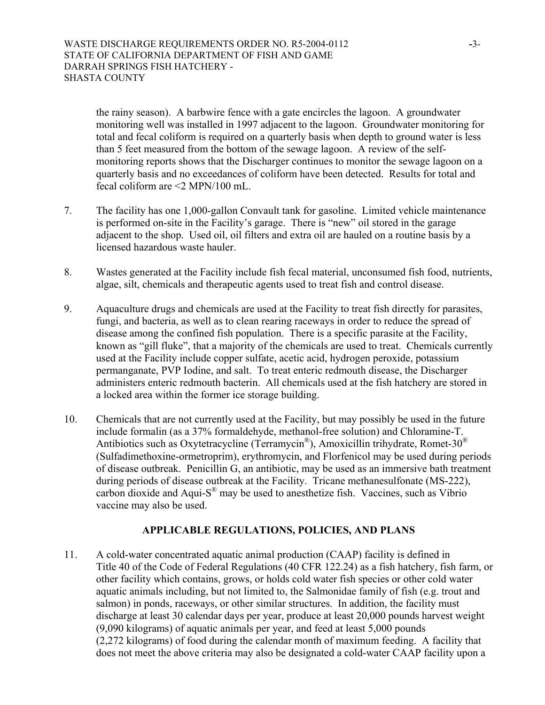the rainy season). A barbwire fence with a gate encircles the lagoon. A groundwater monitoring well was installed in 1997 adjacent to the lagoon. Groundwater monitoring for total and fecal coliform is required on a quarterly basis when depth to ground water is less than 5 feet measured from the bottom of the sewage lagoon. A review of the selfmonitoring reports shows that the Discharger continues to monitor the sewage lagoon on a quarterly basis and no exceedances of coliform have been detected. Results for total and fecal coliform are <2 MPN/100 mL.

- 7. The facility has one 1,000-gallon Convault tank for gasoline. Limited vehicle maintenance is performed on-site in the Facility's garage. There is "new" oil stored in the garage adjacent to the shop. Used oil, oil filters and extra oil are hauled on a routine basis by a licensed hazardous waste hauler.
- 8. Wastes generated at the Facility include fish fecal material, unconsumed fish food, nutrients, algae, silt, chemicals and therapeutic agents used to treat fish and control disease.
- 9. Aquaculture drugs and chemicals are used at the Facility to treat fish directly for parasites, fungi, and bacteria, as well as to clean rearing raceways in order to reduce the spread of disease among the confined fish population. There is a specific parasite at the Facility, known as "gill fluke", that a majority of the chemicals are used to treat. Chemicals currently used at the Facility include copper sulfate, acetic acid, hydrogen peroxide, potassium permanganate, PVP Iodine, and salt. To treat enteric redmouth disease, the Discharger administers enteric redmouth bacterin. All chemicals used at the fish hatchery are stored in a locked area within the former ice storage building.
- 10. Chemicals that are not currently used at the Facility, but may possibly be used in the future include formalin (as a 37% formaldehyde, methanol-free solution) and Chloramine-T. Antibiotics such as Oxytetracycline (Terramycin®), Amoxicillin trihydrate, Romet-30® (Sulfadimethoxine-ormetroprim), erythromycin, and Florfenicol may be used during periods of disease outbreak. Penicillin G, an antibiotic, may be used as an immersive bath treatment during periods of disease outbreak at the Facility. Tricane methanesulfonate (MS-222), carbon dioxide and Aqui- $S^{\circledast}$  may be used to anesthetize fish. Vaccines, such as Vibrio vaccine may also be used.

# **APPLICABLE REGULATIONS, POLICIES, AND PLANS**

11. A cold-water concentrated aquatic animal production (CAAP) facility is defined in Title 40 of the Code of Federal Regulations (40 CFR 122.24) as a fish hatchery, fish farm, or other facility which contains, grows, or holds cold water fish species or other cold water aquatic animals including, but not limited to, the Salmonidae family of fish (e.g. trout and salmon) in ponds, raceways, or other similar structures. In addition, the facility must discharge at least 30 calendar days per year, produce at least 20,000 pounds harvest weight (9,090 kilograms) of aquatic animals per year, and feed at least 5,000 pounds (2,272 kilograms) of food during the calendar month of maximum feeding. A facility that does not meet the above criteria may also be designated a cold-water CAAP facility upon a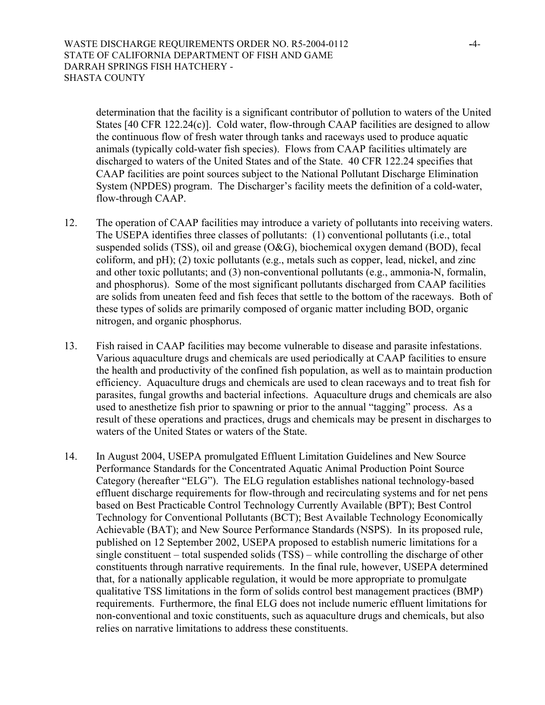determination that the facility is a significant contributor of pollution to waters of the United States [40 CFR 122.24(c)]. Cold water, flow-through CAAP facilities are designed to allow the continuous flow of fresh water through tanks and raceways used to produce aquatic animals (typically cold-water fish species). Flows from CAAP facilities ultimately are discharged to waters of the United States and of the State. 40 CFR 122.24 specifies that CAAP facilities are point sources subject to the National Pollutant Discharge Elimination System (NPDES) program. The Discharger's facility meets the definition of a cold-water, flow-through CAAP.

- 12. The operation of CAAP facilities may introduce a variety of pollutants into receiving waters. The USEPA identifies three classes of pollutants: (1) conventional pollutants (i.e., total suspended solids (TSS), oil and grease (O&G), biochemical oxygen demand (BOD), fecal coliform, and pH); (2) toxic pollutants (e.g., metals such as copper, lead, nickel, and zinc and other toxic pollutants; and (3) non-conventional pollutants (e.g., ammonia-N, formalin, and phosphorus). Some of the most significant pollutants discharged from CAAP facilities are solids from uneaten feed and fish feces that settle to the bottom of the raceways. Both of these types of solids are primarily composed of organic matter including BOD, organic nitrogen, and organic phosphorus.
- 13. Fish raised in CAAP facilities may become vulnerable to disease and parasite infestations. Various aquaculture drugs and chemicals are used periodically at CAAP facilities to ensure the health and productivity of the confined fish population, as well as to maintain production efficiency. Aquaculture drugs and chemicals are used to clean raceways and to treat fish for parasites, fungal growths and bacterial infections. Aquaculture drugs and chemicals are also used to anesthetize fish prior to spawning or prior to the annual "tagging" process. As a result of these operations and practices, drugs and chemicals may be present in discharges to waters of the United States or waters of the State.
- 14. In August 2004, USEPA promulgated Effluent Limitation Guidelines and New Source Performance Standards for the Concentrated Aquatic Animal Production Point Source Category (hereafter "ELG"). The ELG regulation establishes national technology-based effluent discharge requirements for flow-through and recirculating systems and for net pens based on Best Practicable Control Technology Currently Available (BPT); Best Control Technology for Conventional Pollutants (BCT); Best Available Technology Economically Achievable (BAT); and New Source Performance Standards (NSPS). In its proposed rule, published on 12 September 2002, USEPA proposed to establish numeric limitations for a single constituent – total suspended solids (TSS) – while controlling the discharge of other constituents through narrative requirements. In the final rule, however, USEPA determined that, for a nationally applicable regulation, it would be more appropriate to promulgate qualitative TSS limitations in the form of solids control best management practices (BMP) requirements. Furthermore, the final ELG does not include numeric effluent limitations for non-conventional and toxic constituents, such as aquaculture drugs and chemicals, but also relies on narrative limitations to address these constituents.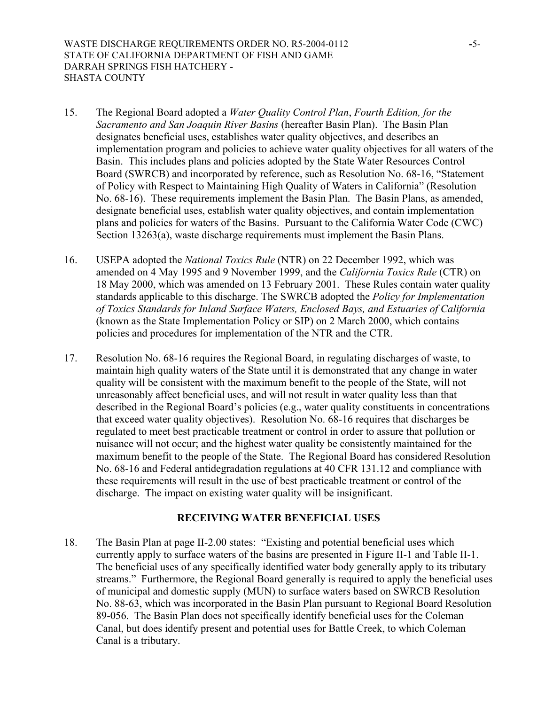WASTE DISCHARGE REQUIREMENTS ORDER NO. R5-2004-0112 **-**5- STATE OF CALIFORNIA DEPARTMENT OF FISH AND GAME DARRAH SPRINGS FISH HATCHERY - SHASTA COUNTY

- 15. The Regional Board adopted a *Water Quality Control Plan*, *Fourth Edition, for the Sacramento and San Joaquin River Basins* (hereafter Basin Plan). The Basin Plan designates beneficial uses, establishes water quality objectives, and describes an implementation program and policies to achieve water quality objectives for all waters of the Basin. This includes plans and policies adopted by the State Water Resources Control Board (SWRCB) and incorporated by reference, such as Resolution No. 68-16, "Statement of Policy with Respect to Maintaining High Quality of Waters in California" (Resolution No. 68-16). These requirements implement the Basin Plan. The Basin Plans, as amended, designate beneficial uses, establish water quality objectives, and contain implementation plans and policies for waters of the Basins. Pursuant to the California Water Code (CWC) Section 13263(a), waste discharge requirements must implement the Basin Plans.
- 16. USEPA adopted the *National Toxics Rule* (NTR) on 22 December 1992, which was amended on 4 May 1995 and 9 November 1999, and the *California Toxics Rule* (CTR) on 18 May 2000, which was amended on 13 February 2001. These Rules contain water quality standards applicable to this discharge. The SWRCB adopted the *Policy for Implementation of Toxics Standards for Inland Surface Waters, Enclosed Bays, and Estuaries of California* (known as the State Implementation Policy or SIP) on 2 March 2000, which contains policies and procedures for implementation of the NTR and the CTR.
- 17. Resolution No. 68-16 requires the Regional Board, in regulating discharges of waste, to maintain high quality waters of the State until it is demonstrated that any change in water quality will be consistent with the maximum benefit to the people of the State, will not unreasonably affect beneficial uses, and will not result in water quality less than that described in the Regional Board's policies (e.g., water quality constituents in concentrations that exceed water quality objectives). Resolution No. 68-16 requires that discharges be regulated to meet best practicable treatment or control in order to assure that pollution or nuisance will not occur; and the highest water quality be consistently maintained for the maximum benefit to the people of the State. The Regional Board has considered Resolution No. 68-16 and Federal antidegradation regulations at 40 CFR 131.12 and compliance with these requirements will result in the use of best practicable treatment or control of the discharge. The impact on existing water quality will be insignificant.

#### **RECEIVING WATER BENEFICIAL USES**

18. The Basin Plan at page II-2.00 states: "Existing and potential beneficial uses which currently apply to surface waters of the basins are presented in Figure II-1 and Table II-1. The beneficial uses of any specifically identified water body generally apply to its tributary streams." Furthermore, the Regional Board generally is required to apply the beneficial uses of municipal and domestic supply (MUN) to surface waters based on SWRCB Resolution No. 88-63, which was incorporated in the Basin Plan pursuant to Regional Board Resolution 89-056. The Basin Plan does not specifically identify beneficial uses for the Coleman Canal, but does identify present and potential uses for Battle Creek, to which Coleman Canal is a tributary.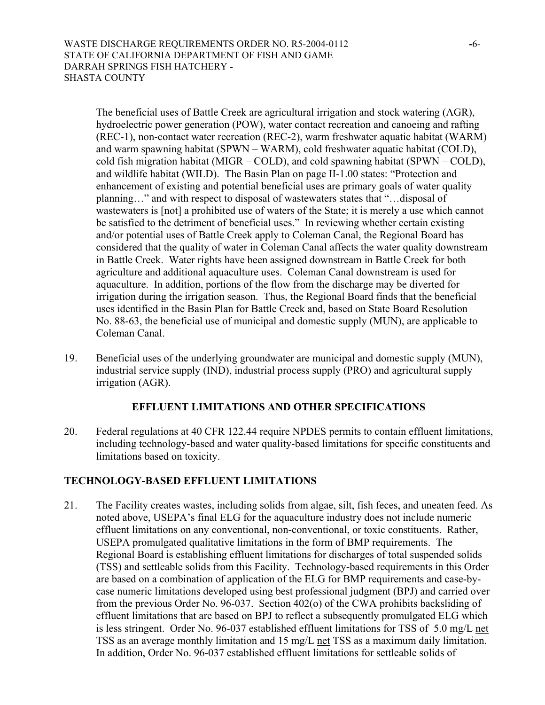The beneficial uses of Battle Creek are agricultural irrigation and stock watering (AGR), hydroelectric power generation (POW), water contact recreation and canoeing and rafting (REC-1), non-contact water recreation (REC-2), warm freshwater aquatic habitat (WARM) and warm spawning habitat (SPWN – WARM), cold freshwater aquatic habitat (COLD), cold fish migration habitat (MIGR – COLD), and cold spawning habitat (SPWN – COLD), and wildlife habitat (WILD). The Basin Plan on page II-1.00 states: "Protection and enhancement of existing and potential beneficial uses are primary goals of water quality planning…" and with respect to disposal of wastewaters states that "…disposal of wastewaters is [not] a prohibited use of waters of the State; it is merely a use which cannot be satisfied to the detriment of beneficial uses." In reviewing whether certain existing and/or potential uses of Battle Creek apply to Coleman Canal, the Regional Board has considered that the quality of water in Coleman Canal affects the water quality downstream in Battle Creek. Water rights have been assigned downstream in Battle Creek for both agriculture and additional aquaculture uses. Coleman Canal downstream is used for aquaculture. In addition, portions of the flow from the discharge may be diverted for irrigation during the irrigation season. Thus, the Regional Board finds that the beneficial uses identified in the Basin Plan for Battle Creek and, based on State Board Resolution No. 88-63, the beneficial use of municipal and domestic supply (MUN), are applicable to Coleman Canal.

19. Beneficial uses of the underlying groundwater are municipal and domestic supply (MUN), industrial service supply (IND), industrial process supply (PRO) and agricultural supply irrigation (AGR).

# **EFFLUENT LIMITATIONS AND OTHER SPECIFICATIONS**

20. Federal regulations at 40 CFR 122.44 require NPDES permits to contain effluent limitations, including technology-based and water quality-based limitations for specific constituents and limitations based on toxicity.

# **TECHNOLOGY-BASED EFFLUENT LIMITATIONS**

21. The Facility creates wastes, including solids from algae, silt, fish feces, and uneaten feed. As noted above, USEPA's final ELG for the aquaculture industry does not include numeric effluent limitations on any conventional, non-conventional, or toxic constituents. Rather, USEPA promulgated qualitative limitations in the form of BMP requirements. The Regional Board is establishing effluent limitations for discharges of total suspended solids (TSS) and settleable solids from this Facility. Technology-based requirements in this Order are based on a combination of application of the ELG for BMP requirements and case-bycase numeric limitations developed using best professional judgment (BPJ) and carried over from the previous Order No. 96-037. Section 402(o) of the CWA prohibits backsliding of effluent limitations that are based on BPJ to reflect a subsequently promulgated ELG which is less stringent. Order No. 96-037 established effluent limitations for TSS of 5.0 mg/L net TSS as an average monthly limitation and 15 mg/L net TSS as a maximum daily limitation. In addition, Order No. 96-037 established effluent limitations for settleable solids of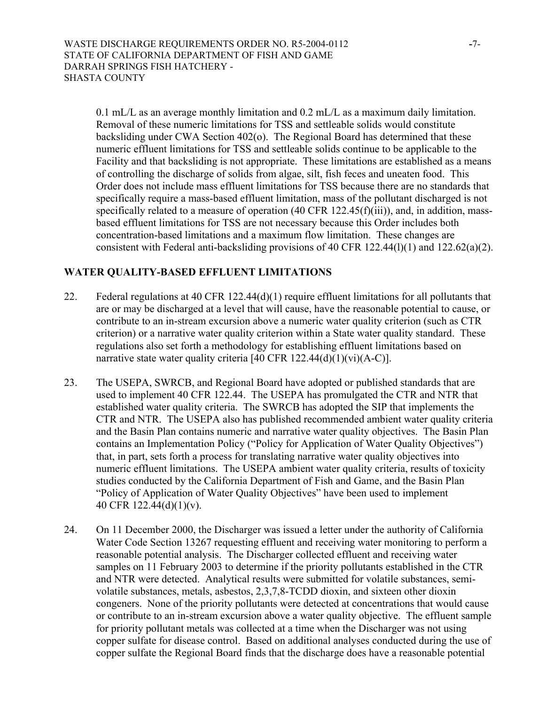0.1 mL/L as an average monthly limitation and 0.2 mL/L as a maximum daily limitation. Removal of these numeric limitations for TSS and settleable solids would constitute backsliding under CWA Section 402(o). The Regional Board has determined that these numeric effluent limitations for TSS and settleable solids continue to be applicable to the Facility and that backsliding is not appropriate. These limitations are established as a means of controlling the discharge of solids from algae, silt, fish feces and uneaten food. This Order does not include mass effluent limitations for TSS because there are no standards that specifically require a mass-based effluent limitation, mass of the pollutant discharged is not specifically related to a measure of operation (40 CFR 122.45(f)(iii)), and, in addition, massbased effluent limitations for TSS are not necessary because this Order includes both concentration-based limitations and a maximum flow limitation. These changes are consistent with Federal anti-backsliding provisions of 40 CFR 122.44(l)(1) and 122.62(a)(2).

# **WATER QUALITY-BASED EFFLUENT LIMITATIONS**

- 22. Federal regulations at 40 CFR 122.44(d)(1) require effluent limitations for all pollutants that are or may be discharged at a level that will cause, have the reasonable potential to cause, or contribute to an in-stream excursion above a numeric water quality criterion (such as CTR criterion) or a narrative water quality criterion within a State water quality standard. These regulations also set forth a methodology for establishing effluent limitations based on narrative state water quality criteria [40 CFR 122.44(d)(1)(vi)(A-C)].
- 23. The USEPA, SWRCB, and Regional Board have adopted or published standards that are used to implement 40 CFR 122.44. The USEPA has promulgated the CTR and NTR that established water quality criteria. The SWRCB has adopted the SIP that implements the CTR and NTR. The USEPA also has published recommended ambient water quality criteria and the Basin Plan contains numeric and narrative water quality objectives. The Basin Plan contains an Implementation Policy ("Policy for Application of Water Quality Objectives") that, in part, sets forth a process for translating narrative water quality objectives into numeric effluent limitations. The USEPA ambient water quality criteria, results of toxicity studies conducted by the California Department of Fish and Game, and the Basin Plan "Policy of Application of Water Quality Objectives" have been used to implement 40 CFR 122.44(d)(1)(v).
- 24. On 11 December 2000, the Discharger was issued a letter under the authority of California Water Code Section 13267 requesting effluent and receiving water monitoring to perform a reasonable potential analysis. The Discharger collected effluent and receiving water samples on 11 February 2003 to determine if the priority pollutants established in the CTR and NTR were detected. Analytical results were submitted for volatile substances, semivolatile substances, metals, asbestos, 2,3,7,8-TCDD dioxin, and sixteen other dioxin congeners. None of the priority pollutants were detected at concentrations that would cause or contribute to an in-stream excursion above a water quality objective. The effluent sample for priority pollutant metals was collected at a time when the Discharger was not using copper sulfate for disease control. Based on additional analyses conducted during the use of copper sulfate the Regional Board finds that the discharge does have a reasonable potential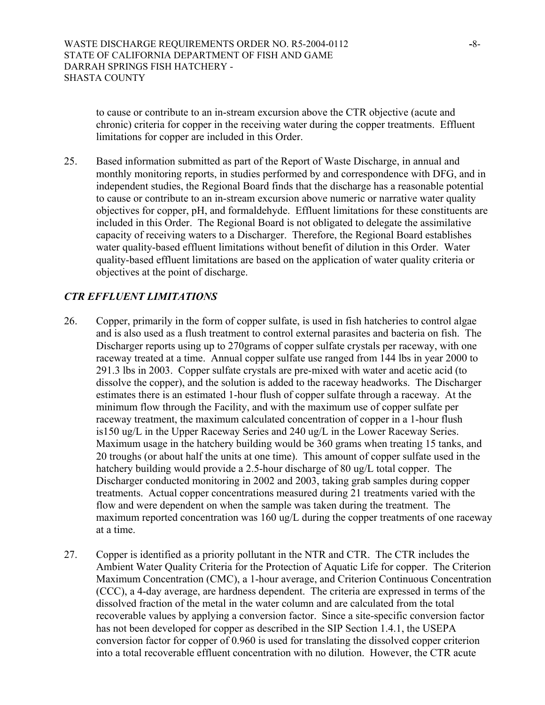to cause or contribute to an in-stream excursion above the CTR objective (acute and chronic) criteria for copper in the receiving water during the copper treatments. Effluent limitations for copper are included in this Order.

25. Based information submitted as part of the Report of Waste Discharge, in annual and monthly monitoring reports, in studies performed by and correspondence with DFG, and in independent studies, the Regional Board finds that the discharge has a reasonable potential to cause or contribute to an in-stream excursion above numeric or narrative water quality objectives for copper, pH, and formaldehyde. Effluent limitations for these constituents are included in this Order. The Regional Board is not obligated to delegate the assimilative capacity of receiving waters to a Discharger. Therefore, the Regional Board establishes water quality-based effluent limitations without benefit of dilution in this Order. Water quality-based effluent limitations are based on the application of water quality criteria or objectives at the point of discharge.

## *CTR EFFLUENT LIMITATIONS*

- 26. Copper, primarily in the form of copper sulfate, is used in fish hatcheries to control algae and is also used as a flush treatment to control external parasites and bacteria on fish. The Discharger reports using up to 270grams of copper sulfate crystals per raceway, with one raceway treated at a time. Annual copper sulfate use ranged from 144 lbs in year 2000 to 291.3 lbs in 2003. Copper sulfate crystals are pre-mixed with water and acetic acid (to dissolve the copper), and the solution is added to the raceway headworks. The Discharger estimates there is an estimated 1-hour flush of copper sulfate through a raceway. At the minimum flow through the Facility, and with the maximum use of copper sulfate per raceway treatment, the maximum calculated concentration of copper in a 1-hour flush is150 ug/L in the Upper Raceway Series and 240 ug/L in the Lower Raceway Series. Maximum usage in the hatchery building would be 360 grams when treating 15 tanks, and 20 troughs (or about half the units at one time). This amount of copper sulfate used in the hatchery building would provide a 2.5-hour discharge of 80 ug/L total copper. The Discharger conducted monitoring in 2002 and 2003, taking grab samples during copper treatments. Actual copper concentrations measured during 21 treatments varied with the flow and were dependent on when the sample was taken during the treatment. The maximum reported concentration was 160 ug/L during the copper treatments of one raceway at a time.
- 27. Copper is identified as a priority pollutant in the NTR and CTR. The CTR includes the Ambient Water Quality Criteria for the Protection of Aquatic Life for copper. The Criterion Maximum Concentration (CMC), a 1-hour average, and Criterion Continuous Concentration (CCC), a 4-day average, are hardness dependent. The criteria are expressed in terms of the dissolved fraction of the metal in the water column and are calculated from the total recoverable values by applying a conversion factor. Since a site-specific conversion factor has not been developed for copper as described in the SIP Section 1.4.1, the USEPA conversion factor for copper of 0.960 is used for translating the dissolved copper criterion into a total recoverable effluent concentration with no dilution. However, the CTR acute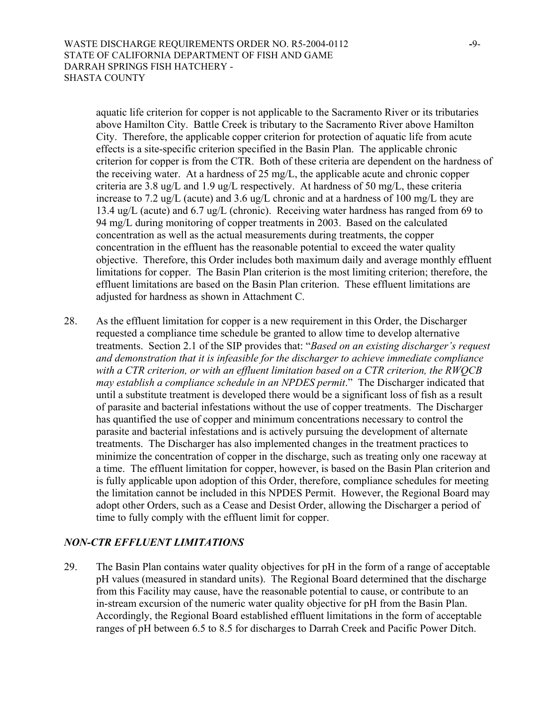aquatic life criterion for copper is not applicable to the Sacramento River or its tributaries above Hamilton City. Battle Creek is tributary to the Sacramento River above Hamilton City. Therefore, the applicable copper criterion for protection of aquatic life from acute effects is a site-specific criterion specified in the Basin Plan. The applicable chronic criterion for copper is from the CTR. Both of these criteria are dependent on the hardness of the receiving water. At a hardness of 25 mg/L, the applicable acute and chronic copper criteria are 3.8 ug/L and 1.9 ug/L respectively. At hardness of 50 mg/L, these criteria increase to 7.2 ug/L (acute) and 3.6 ug/L chronic and at a hardness of 100 mg/L they are 13.4 ug/L (acute) and 6.7 ug/L (chronic). Receiving water hardness has ranged from 69 to 94 mg/L during monitoring of copper treatments in 2003. Based on the calculated concentration as well as the actual measurements during treatments, the copper concentration in the effluent has the reasonable potential to exceed the water quality objective. Therefore, this Order includes both maximum daily and average monthly effluent limitations for copper. The Basin Plan criterion is the most limiting criterion; therefore, the effluent limitations are based on the Basin Plan criterion. These effluent limitations are adjusted for hardness as shown in Attachment C.

28. As the effluent limitation for copper is a new requirement in this Order, the Discharger requested a compliance time schedule be granted to allow time to develop alternative treatments. Section 2.1 of the SIP provides that: "*Based on an existing discharger's request and demonstration that it is infeasible for the discharger to achieve immediate compliance with a CTR criterion, or with an effluent limitation based on a CTR criterion, the RWQCB may establish a compliance schedule in an NPDES permit*." The Discharger indicated that until a substitute treatment is developed there would be a significant loss of fish as a result of parasite and bacterial infestations without the use of copper treatments. The Discharger has quantified the use of copper and minimum concentrations necessary to control the parasite and bacterial infestations and is actively pursuing the development of alternate treatments. The Discharger has also implemented changes in the treatment practices to minimize the concentration of copper in the discharge, such as treating only one raceway at a time. The effluent limitation for copper, however, is based on the Basin Plan criterion and is fully applicable upon adoption of this Order, therefore, compliance schedules for meeting the limitation cannot be included in this NPDES Permit. However, the Regional Board may adopt other Orders, such as a Cease and Desist Order, allowing the Discharger a period of time to fully comply with the effluent limit for copper.

# *NON-CTR EFFLUENT LIMITATIONS*

29. The Basin Plan contains water quality objectives for pH in the form of a range of acceptable pH values (measured in standard units). The Regional Board determined that the discharge from this Facility may cause, have the reasonable potential to cause, or contribute to an in-stream excursion of the numeric water quality objective for pH from the Basin Plan. Accordingly, the Regional Board established effluent limitations in the form of acceptable ranges of pH between 6.5 to 8.5 for discharges to Darrah Creek and Pacific Power Ditch.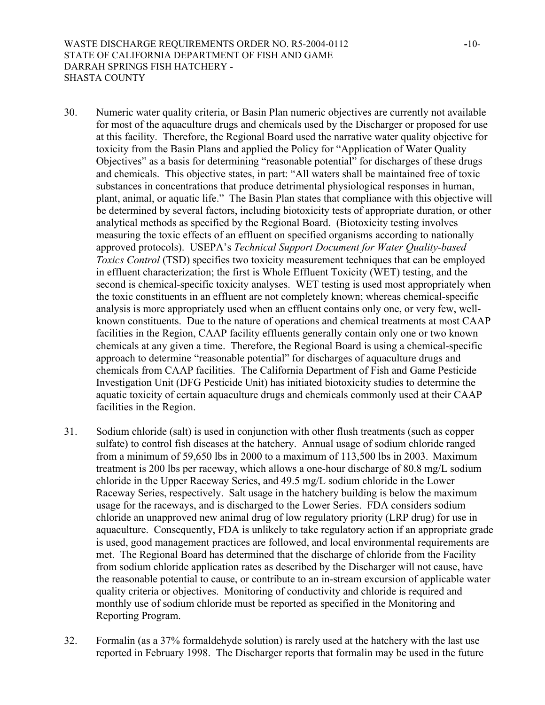WASTE DISCHARGE REQUIREMENTS ORDER NO. R5-2004-0112 **-**10- STATE OF CALIFORNIA DEPARTMENT OF FISH AND GAME DARRAH SPRINGS FISH HATCHERY - SHASTA COUNTY

- 30. Numeric water quality criteria, or Basin Plan numeric objectives are currently not available for most of the aquaculture drugs and chemicals used by the Discharger or proposed for use at this facility. Therefore, the Regional Board used the narrative water quality objective for toxicity from the Basin Plans and applied the Policy for "Application of Water Quality Objectives" as a basis for determining "reasonable potential" for discharges of these drugs and chemicals. This objective states, in part: "All waters shall be maintained free of toxic substances in concentrations that produce detrimental physiological responses in human, plant, animal, or aquatic life." The Basin Plan states that compliance with this objective will be determined by several factors, including biotoxicity tests of appropriate duration, or other analytical methods as specified by the Regional Board. (Biotoxicity testing involves measuring the toxic effects of an effluent on specified organisms according to nationally approved protocols). USEPA's *Technical Support Document for Water Quality-based Toxics Control* (TSD) specifies two toxicity measurement techniques that can be employed in effluent characterization; the first is Whole Effluent Toxicity (WET) testing, and the second is chemical-specific toxicity analyses. WET testing is used most appropriately when the toxic constituents in an effluent are not completely known; whereas chemical-specific analysis is more appropriately used when an effluent contains only one, or very few, wellknown constituents. Due to the nature of operations and chemical treatments at most CAAP facilities in the Region, CAAP facility effluents generally contain only one or two known chemicals at any given a time. Therefore, the Regional Board is using a chemical-specific approach to determine "reasonable potential" for discharges of aquaculture drugs and chemicals from CAAP facilities. The California Department of Fish and Game Pesticide Investigation Unit (DFG Pesticide Unit) has initiated biotoxicity studies to determine the aquatic toxicity of certain aquaculture drugs and chemicals commonly used at their CAAP facilities in the Region.
- 31. Sodium chloride (salt) is used in conjunction with other flush treatments (such as copper sulfate) to control fish diseases at the hatchery. Annual usage of sodium chloride ranged from a minimum of 59,650 lbs in 2000 to a maximum of 113,500 lbs in 2003. Maximum treatment is 200 lbs per raceway, which allows a one-hour discharge of 80.8 mg/L sodium chloride in the Upper Raceway Series, and 49.5 mg/L sodium chloride in the Lower Raceway Series, respectively. Salt usage in the hatchery building is below the maximum usage for the raceways, and is discharged to the Lower Series. FDA considers sodium chloride an unapproved new animal drug of low regulatory priority (LRP drug) for use in aquaculture. Consequently, FDA is unlikely to take regulatory action if an appropriate grade is used, good management practices are followed, and local environmental requirements are met. The Regional Board has determined that the discharge of chloride from the Facility from sodium chloride application rates as described by the Discharger will not cause, have the reasonable potential to cause, or contribute to an in-stream excursion of applicable water quality criteria or objectives. Monitoring of conductivity and chloride is required and monthly use of sodium chloride must be reported as specified in the Monitoring and Reporting Program.
- 32. Formalin (as a 37% formaldehyde solution) is rarely used at the hatchery with the last use reported in February 1998. The Discharger reports that formalin may be used in the future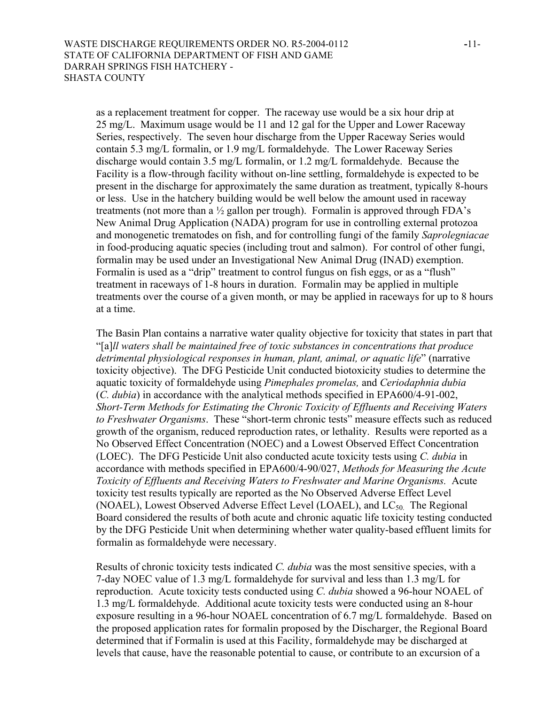as a replacement treatment for copper. The raceway use would be a six hour drip at 25 mg/L. Maximum usage would be 11 and 12 gal for the Upper and Lower Raceway Series, respectively. The seven hour discharge from the Upper Raceway Series would contain 5.3 mg/L formalin, or 1.9 mg/L formaldehyde. The Lower Raceway Series discharge would contain 3.5 mg/L formalin, or 1.2 mg/L formaldehyde. Because the Facility is a flow-through facility without on-line settling, formaldehyde is expected to be present in the discharge for approximately the same duration as treatment, typically 8-hours or less. Use in the hatchery building would be well below the amount used in raceway treatments (not more than a ½ gallon per trough). Formalin is approved through FDA's New Animal Drug Application (NADA) program for use in controlling external protozoa and monogenetic trematodes on fish, and for controlling fungi of the family *Saprolegniacae* in food-producing aquatic species (including trout and salmon). For control of other fungi, formalin may be used under an Investigational New Animal Drug (INAD) exemption. Formalin is used as a "drip" treatment to control fungus on fish eggs, or as a "flush" treatment in raceways of 1-8 hours in duration. Formalin may be applied in multiple treatments over the course of a given month, or may be applied in raceways for up to 8 hours at a time.

The Basin Plan contains a narrative water quality objective for toxicity that states in part that "[a]*ll waters shall be maintained free of toxic substances in concentrations that produce detrimental physiological responses in human, plant, animal, or aquatic life*" (narrative toxicity objective). The DFG Pesticide Unit conducted biotoxicity studies to determine the aquatic toxicity of formaldehyde using *Pimephales promelas,* and *Ceriodaphnia dubia* (*C. dubia*) in accordance with the analytical methods specified in EPA600/4-91-002, *Short-Term Methods for Estimating the Chronic Toxicity of Effluents and Receiving Waters to Freshwater Organisms*. These "short-term chronic tests" measure effects such as reduced growth of the organism, reduced reproduction rates, or lethality. Results were reported as a No Observed Effect Concentration (NOEC) and a Lowest Observed Effect Concentration (LOEC). The DFG Pesticide Unit also conducted acute toxicity tests using *C. dubia* in accordance with methods specified in EPA600/4-90/027, *Methods for Measuring the Acute Toxicity of Effluents and Receiving Waters to Freshwater and Marine Organisms.* Acute toxicity test results typically are reported as the No Observed Adverse Effect Level (NOAEL), Lowest Observed Adverse Effect Level (LOAEL), and  $LC_{50}$ . The Regional Board considered the results of both acute and chronic aquatic life toxicity testing conducted by the DFG Pesticide Unit when determining whether water quality-based effluent limits for formalin as formaldehyde were necessary.

Results of chronic toxicity tests indicated *C. dubia* was the most sensitive species, with a 7-day NOEC value of 1.3 mg/L formaldehyde for survival and less than 1.3 mg/L for reproduction. Acute toxicity tests conducted using *C. dubia* showed a 96-hour NOAEL of 1.3 mg/L formaldehyde. Additional acute toxicity tests were conducted using an 8-hour exposure resulting in a 96-hour NOAEL concentration of 6.7 mg/L formaldehyde. Based on the proposed application rates for formalin proposed by the Discharger, the Regional Board determined that if Formalin is used at this Facility, formaldehyde may be discharged at levels that cause, have the reasonable potential to cause, or contribute to an excursion of a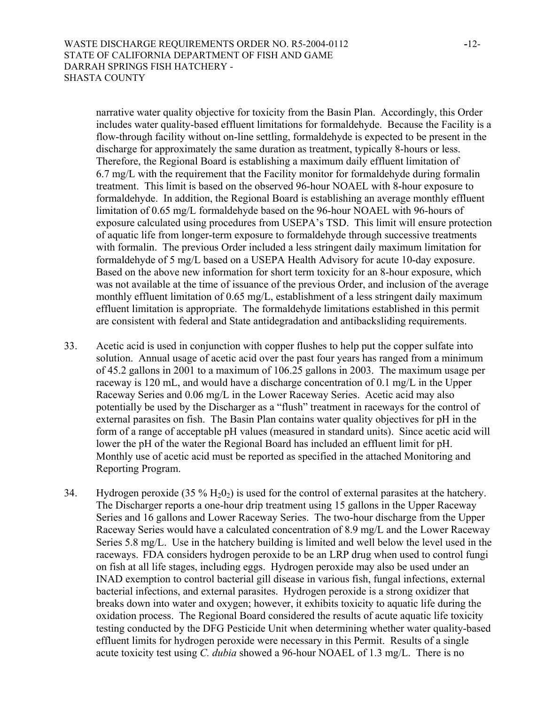narrative water quality objective for toxicity from the Basin Plan. Accordingly, this Order includes water quality-based effluent limitations for formaldehyde. Because the Facility is a flow-through facility without on-line settling, formaldehyde is expected to be present in the discharge for approximately the same duration as treatment, typically 8-hours or less. Therefore, the Regional Board is establishing a maximum daily effluent limitation of 6.7 mg/L with the requirement that the Facility monitor for formaldehyde during formalin treatment. This limit is based on the observed 96-hour NOAEL with 8-hour exposure to formaldehyde. In addition, the Regional Board is establishing an average monthly effluent limitation of 0.65 mg/L formaldehyde based on the 96-hour NOAEL with 96-hours of exposure calculated using procedures from USEPA's TSD. This limit will ensure protection of aquatic life from longer-term exposure to formaldehyde through successive treatments with formalin. The previous Order included a less stringent daily maximum limitation for formaldehyde of 5 mg/L based on a USEPA Health Advisory for acute 10-day exposure. Based on the above new information for short term toxicity for an 8-hour exposure, which was not available at the time of issuance of the previous Order, and inclusion of the average monthly effluent limitation of 0.65 mg/L, establishment of a less stringent daily maximum effluent limitation is appropriate. The formaldehyde limitations established in this permit are consistent with federal and State antidegradation and antibacksliding requirements.

- 33. Acetic acid is used in conjunction with copper flushes to help put the copper sulfate into solution. Annual usage of acetic acid over the past four years has ranged from a minimum of 45.2 gallons in 2001 to a maximum of 106.25 gallons in 2003. The maximum usage per raceway is 120 mL, and would have a discharge concentration of 0.1 mg/L in the Upper Raceway Series and 0.06 mg/L in the Lower Raceway Series. Acetic acid may also potentially be used by the Discharger as a "flush" treatment in raceways for the control of external parasites on fish. The Basin Plan contains water quality objectives for pH in the form of a range of acceptable pH values (measured in standard units). Since acetic acid will lower the pH of the water the Regional Board has included an effluent limit for pH. Monthly use of acetic acid must be reported as specified in the attached Monitoring and Reporting Program.
- 34. Hydrogen peroxide (35 %  $H_2O_2$ ) is used for the control of external parasites at the hatchery. The Discharger reports a one-hour drip treatment using 15 gallons in the Upper Raceway Series and 16 gallons and Lower Raceway Series. The two-hour discharge from the Upper Raceway Series would have a calculated concentration of 8.9 mg/L and the Lower Raceway Series 5.8 mg/L. Use in the hatchery building is limited and well below the level used in the raceways. FDA considers hydrogen peroxide to be an LRP drug when used to control fungi on fish at all life stages, including eggs. Hydrogen peroxide may also be used under an INAD exemption to control bacterial gill disease in various fish, fungal infections, external bacterial infections, and external parasites. Hydrogen peroxide is a strong oxidizer that breaks down into water and oxygen; however, it exhibits toxicity to aquatic life during the oxidation process. The Regional Board considered the results of acute aquatic life toxicity testing conducted by the DFG Pesticide Unit when determining whether water quality-based effluent limits for hydrogen peroxide were necessary in this Permit. Results of a single acute toxicity test using *C. dubia* showed a 96-hour NOAEL of 1.3 mg/L. There is no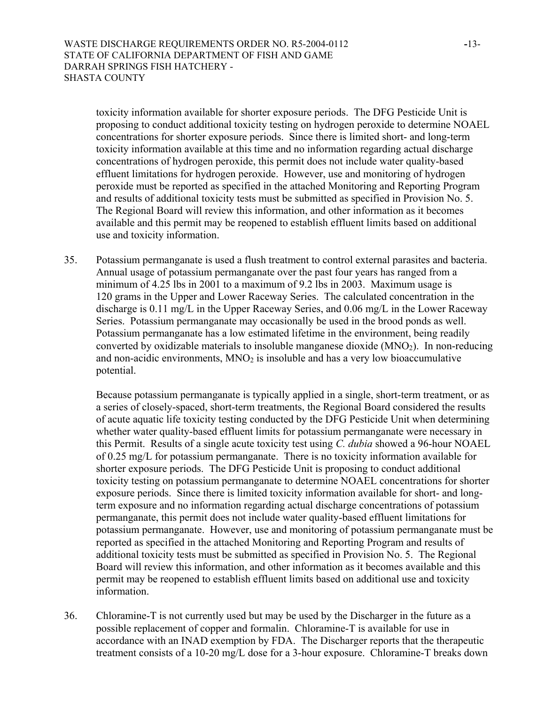toxicity information available for shorter exposure periods. The DFG Pesticide Unit is proposing to conduct additional toxicity testing on hydrogen peroxide to determine NOAEL concentrations for shorter exposure periods. Since there is limited short- and long-term toxicity information available at this time and no information regarding actual discharge concentrations of hydrogen peroxide, this permit does not include water quality-based effluent limitations for hydrogen peroxide. However, use and monitoring of hydrogen peroxide must be reported as specified in the attached Monitoring and Reporting Program and results of additional toxicity tests must be submitted as specified in Provision No. 5. The Regional Board will review this information, and other information as it becomes available and this permit may be reopened to establish effluent limits based on additional use and toxicity information.

35. Potassium permanganate is used a flush treatment to control external parasites and bacteria. Annual usage of potassium permanganate over the past four years has ranged from a minimum of 4.25 lbs in 2001 to a maximum of 9.2 lbs in 2003. Maximum usage is 120 grams in the Upper and Lower Raceway Series. The calculated concentration in the discharge is 0.11 mg/L in the Upper Raceway Series, and 0.06 mg/L in the Lower Raceway Series. Potassium permanganate may occasionally be used in the brood ponds as well. Potassium permanganate has a low estimated lifetime in the environment, being readily converted by oxidizable materials to insoluble manganese dioxide  $(MNO<sub>2</sub>)$ . In non-reducing and non-acidic environments,  $MNO<sub>2</sub>$  is insoluble and has a very low bioaccumulative potential.

Because potassium permanganate is typically applied in a single, short-term treatment, or as a series of closely-spaced, short-term treatments, the Regional Board considered the results of acute aquatic life toxicity testing conducted by the DFG Pesticide Unit when determining whether water quality-based effluent limits for potassium permanganate were necessary in this Permit. Results of a single acute toxicity test using *C. dubia* showed a 96-hour NOAEL of 0.25 mg/L for potassium permanganate. There is no toxicity information available for shorter exposure periods. The DFG Pesticide Unit is proposing to conduct additional toxicity testing on potassium permanganate to determine NOAEL concentrations for shorter exposure periods. Since there is limited toxicity information available for short- and longterm exposure and no information regarding actual discharge concentrations of potassium permanganate, this permit does not include water quality-based effluent limitations for potassium permanganate. However, use and monitoring of potassium permanganate must be reported as specified in the attached Monitoring and Reporting Program and results of additional toxicity tests must be submitted as specified in Provision No. 5. The Regional Board will review this information, and other information as it becomes available and this permit may be reopened to establish effluent limits based on additional use and toxicity information.

36. Chloramine-T is not currently used but may be used by the Discharger in the future as a possible replacement of copper and formalin. Chloramine-T is available for use in accordance with an INAD exemption by FDA. The Discharger reports that the therapeutic treatment consists of a 10-20 mg/L dose for a 3-hour exposure. Chloramine-T breaks down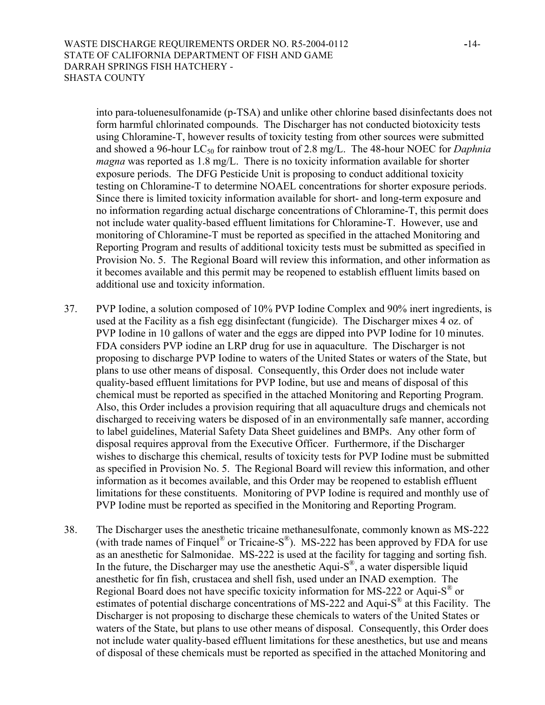into para-toluenesulfonamide (p-TSA) and unlike other chlorine based disinfectants does not form harmful chlorinated compounds. The Discharger has not conducted biotoxicity tests using Chloramine-T, however results of toxicity testing from other sources were submitted and showed a 96-hour LC<sub>50</sub> for rainbow trout of 2.8 mg/L. The 48-hour NOEC for *Daphnia magna* was reported as 1.8 mg/L. There is no toxicity information available for shorter exposure periods. The DFG Pesticide Unit is proposing to conduct additional toxicity testing on Chloramine-T to determine NOAEL concentrations for shorter exposure periods. Since there is limited toxicity information available for short- and long-term exposure and no information regarding actual discharge concentrations of Chloramine-T, this permit does not include water quality-based effluent limitations for Chloramine-T. However, use and monitoring of Chloramine-T must be reported as specified in the attached Monitoring and Reporting Program and results of additional toxicity tests must be submitted as specified in Provision No. 5. The Regional Board will review this information, and other information as it becomes available and this permit may be reopened to establish effluent limits based on additional use and toxicity information.

- 37. PVP Iodine, a solution composed of 10% PVP Iodine Complex and 90% inert ingredients, is used at the Facility as a fish egg disinfectant (fungicide). The Discharger mixes 4 oz. of PVP Iodine in 10 gallons of water and the eggs are dipped into PVP Iodine for 10 minutes. FDA considers PVP iodine an LRP drug for use in aquaculture. The Discharger is not proposing to discharge PVP Iodine to waters of the United States or waters of the State, but plans to use other means of disposal. Consequently, this Order does not include water quality-based effluent limitations for PVP Iodine, but use and means of disposal of this chemical must be reported as specified in the attached Monitoring and Reporting Program. Also, this Order includes a provision requiring that all aquaculture drugs and chemicals not discharged to receiving waters be disposed of in an environmentally safe manner, according to label guidelines, Material Safety Data Sheet guidelines and BMPs. Any other form of disposal requires approval from the Executive Officer. Furthermore, if the Discharger wishes to discharge this chemical, results of toxicity tests for PVP Iodine must be submitted as specified in Provision No. 5. The Regional Board will review this information, and other information as it becomes available, and this Order may be reopened to establish effluent limitations for these constituents. Monitoring of PVP Iodine is required and monthly use of PVP Iodine must be reported as specified in the Monitoring and Reporting Program.
- 38. The Discharger uses the anesthetic tricaine methanesulfonate, commonly known as MS-222 (with trade names of Finquel<sup>®</sup> or Tricaine-S<sup>®</sup>). MS-222 has been approved by FDA for use as an anesthetic for Salmonidae. MS-222 is used at the facility for tagging and sorting fish. In the future, the Discharger may use the anesthetic Aqui- $S^{\mathcal{B}}$ , a water dispersible liquid anesthetic for fin fish, crustacea and shell fish, used under an INAD exemption. The Regional Board does not have specific toxicity information for MS-222 or Aqui-S<sup>®</sup> or estimates of potential discharge concentrations of MS-222 and Aqui-S® at this Facility. The Discharger is not proposing to discharge these chemicals to waters of the United States or waters of the State, but plans to use other means of disposal. Consequently, this Order does not include water quality-based effluent limitations for these anesthetics, but use and means of disposal of these chemicals must be reported as specified in the attached Monitoring and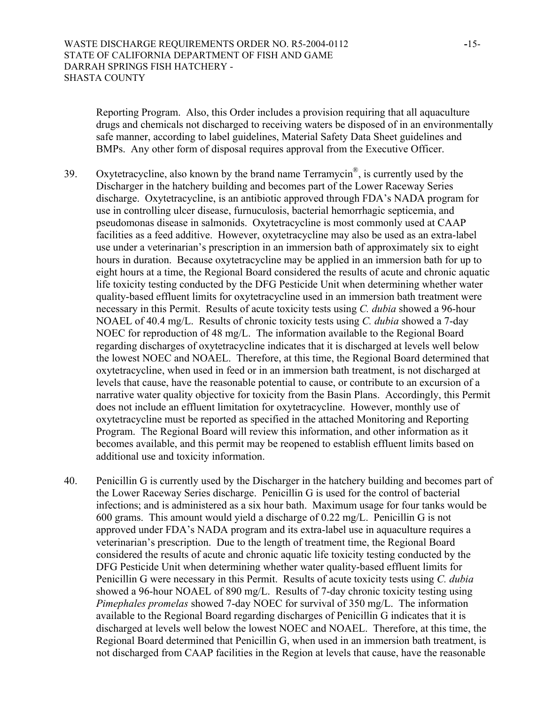Reporting Program. Also, this Order includes a provision requiring that all aquaculture drugs and chemicals not discharged to receiving waters be disposed of in an environmentally safe manner, according to label guidelines, Material Safety Data Sheet guidelines and BMPs. Any other form of disposal requires approval from the Executive Officer.

- 39. Oxytetracycline, also known by the brand name  $Ternamycin^{\circledR}$ , is currently used by the Discharger in the hatchery building and becomes part of the Lower Raceway Series discharge. Oxytetracycline, is an antibiotic approved through FDA's NADA program for use in controlling ulcer disease, furnuculosis, bacterial hemorrhagic septicemia, and pseudomonas disease in salmonids. Oxytetracycline is most commonly used at CAAP facilities as a feed additive. However, oxytetracycline may also be used as an extra-label use under a veterinarian's prescription in an immersion bath of approximately six to eight hours in duration. Because oxytetracycline may be applied in an immersion bath for up to eight hours at a time, the Regional Board considered the results of acute and chronic aquatic life toxicity testing conducted by the DFG Pesticide Unit when determining whether water quality-based effluent limits for oxytetracycline used in an immersion bath treatment were necessary in this Permit. Results of acute toxicity tests using *C. dubia* showed a 96-hour NOAEL of 40.4 mg/L. Results of chronic toxicity tests using *C. dubia* showed a 7-day NOEC for reproduction of 48 mg/L. The information available to the Regional Board regarding discharges of oxytetracycline indicates that it is discharged at levels well below the lowest NOEC and NOAEL. Therefore, at this time, the Regional Board determined that oxytetracycline, when used in feed or in an immersion bath treatment, is not discharged at levels that cause, have the reasonable potential to cause, or contribute to an excursion of a narrative water quality objective for toxicity from the Basin Plans. Accordingly, this Permit does not include an effluent limitation for oxytetracycline. However, monthly use of oxytetracycline must be reported as specified in the attached Monitoring and Reporting Program. The Regional Board will review this information, and other information as it becomes available, and this permit may be reopened to establish effluent limits based on additional use and toxicity information.
- 40. Penicillin G is currently used by the Discharger in the hatchery building and becomes part of the Lower Raceway Series discharge. Penicillin G is used for the control of bacterial infections; and is administered as a six hour bath. Maximum usage for four tanks would be 600 grams. This amount would yield a discharge of 0.22 mg/L. Penicillin G is not approved under FDA's NADA program and its extra-label use in aquaculture requires a veterinarian's prescription. Due to the length of treatment time, the Regional Board considered the results of acute and chronic aquatic life toxicity testing conducted by the DFG Pesticide Unit when determining whether water quality-based effluent limits for Penicillin G were necessary in this Permit. Results of acute toxicity tests using *C. dubia* showed a 96-hour NOAEL of 890 mg/L. Results of 7-day chronic toxicity testing using *Pimephales promelas* showed 7-day NOEC for survival of 350 mg/L. The information available to the Regional Board regarding discharges of Penicillin G indicates that it is discharged at levels well below the lowest NOEC and NOAEL. Therefore, at this time, the Regional Board determined that Penicillin G, when used in an immersion bath treatment, is not discharged from CAAP facilities in the Region at levels that cause, have the reasonable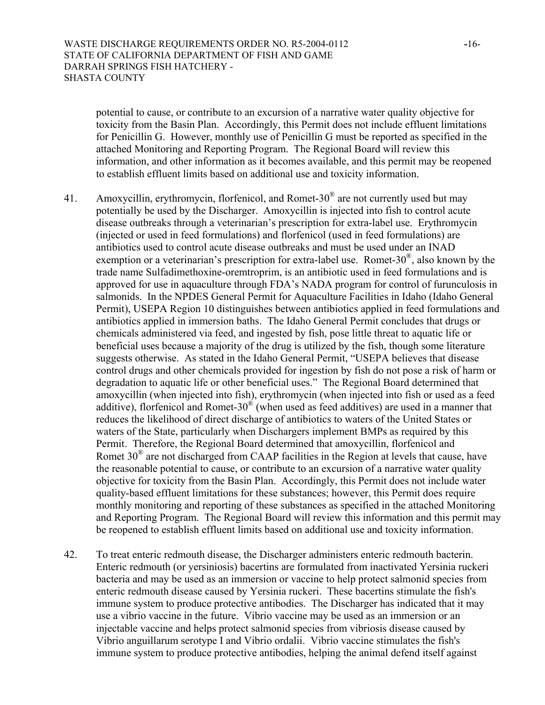potential to cause, or contribute to an excursion of a narrative water quality objective for toxicity from the Basin Plan. Accordingly, this Permit does not include effluent limitations for Penicillin G. However, monthly use of Penicillin G must be reported as specified in the attached Monitoring and Reporting Program. The Regional Board will review this information, and other information as it becomes available, and this permit may be reopened to establish effluent limits based on additional use and toxicity information.

- 41. Amoxycillin, erythromycin, florfenicol, and Romet-30 $^{\circ}$  are not currently used but may potentially be used by the Discharger. Amoxycillin is injected into fish to control acute disease outbreaks through a veterinarian's prescription for extra-label use. Erythromycin (injected or used in feed formulations) and florfenicol (used in feed formulations) are antibiotics used to control acute disease outbreaks and must be used under an INAD exemption or a veterinarian's prescription for extra-label use. Romet-30 $^{\circ\circ}$ , also known by the trade name Sulfadimethoxine-oremtroprim, is an antibiotic used in feed formulations and is approved for use in aquaculture through FDA's NADA program for control of furunculosis in salmonids. In the NPDES General Permit for Aquaculture Facilities in Idaho (Idaho General Permit), USEPA Region 10 distinguishes between antibiotics applied in feed formulations and antibiotics applied in immersion baths. The Idaho General Permit concludes that drugs or chemicals administered via feed, and ingested by fish, pose little threat to aquatic life or beneficial uses because a majority of the drug is utilized by the fish, though some literature suggests otherwise. As stated in the Idaho General Permit, "USEPA believes that disease control drugs and other chemicals provided for ingestion by fish do not pose a risk of harm or degradation to aquatic life or other beneficial uses." The Regional Board determined that amoxycillin (when injected into fish), erythromycin (when injected into fish or used as a feed additive), florfenicol and Romet-30 $^{\circ}$  (when used as feed additives) are used in a manner that reduces the likelihood of direct discharge of antibiotics to waters of the United States or waters of the State, particularly when Dischargers implement BMPs as required by this Permit. Therefore, the Regional Board determined that amoxycillin, florfenicol and Romet 30® are not discharged from CAAP facilities in the Region at levels that cause, have the reasonable potential to cause, or contribute to an excursion of a narrative water quality objective for toxicity from the Basin Plan. Accordingly, this Permit does not include water quality-based effluent limitations for these substances; however, this Permit does require monthly monitoring and reporting of these substances as specified in the attached Monitoring and Reporting Program. The Regional Board will review this information and this permit may be reopened to establish effluent limits based on additional use and toxicity information.
- 42. To treat enteric redmouth disease, the Discharger administers enteric redmouth bacterin. Enteric redmouth (or yersiniosis) bacertins are formulated from inactivated Yersinia ruckeri bacteria and may be used as an immersion or vaccine to help protect salmonid species from enteric redmouth disease caused by Yersinia ruckeri. These bacertins stimulate the fish's immune system to produce protective antibodies. The Discharger has indicated that it may use a vibrio vaccine in the future. Vibrio vaccine may be used as an immersion or an injectable vaccine and helps protect salmonid species from vibriosis disease caused by Vibrio anguillarum serotype I and Vibrio ordalii. Vibrio vaccine stimulates the fish's immune system to produce protective antibodies, helping the animal defend itself against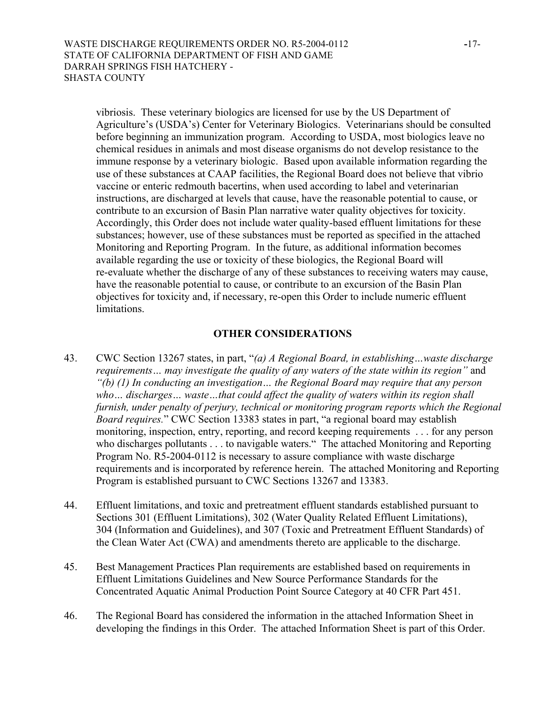vibriosis. These veterinary biologics are licensed for use by the US Department of Agriculture's (USDA's) Center for Veterinary Biologics. Veterinarians should be consulted before beginning an immunization program. According to USDA, most biologics leave no chemical residues in animals and most disease organisms do not develop resistance to the immune response by a veterinary biologic. Based upon available information regarding the use of these substances at CAAP facilities, the Regional Board does not believe that vibrio vaccine or enteric redmouth bacertins, when used according to label and veterinarian instructions, are discharged at levels that cause, have the reasonable potential to cause, or contribute to an excursion of Basin Plan narrative water quality objectives for toxicity. Accordingly, this Order does not include water quality-based effluent limitations for these substances; however, use of these substances must be reported as specified in the attached Monitoring and Reporting Program. In the future, as additional information becomes available regarding the use or toxicity of these biologics, the Regional Board will re-evaluate whether the discharge of any of these substances to receiving waters may cause, have the reasonable potential to cause, or contribute to an excursion of the Basin Plan objectives for toxicity and, if necessary, re-open this Order to include numeric effluent limitations.

## **OTHER CONSIDERATIONS**

- 43. CWC Section 13267 states, in part, "*(a) A Regional Board, in establishing…waste discharge requirements… may investigate the quality of any waters of the state within its region"* and *"(b) (1) In conducting an investigation… the Regional Board may require that any person*  who... discharges... waste...that could affect the quality of waters within its region shall *furnish, under penalty of perjury, technical or monitoring program reports which the Regional Board requires.*" CWC Section 13383 states in part, "a regional board may establish monitoring, inspection, entry, reporting, and record keeping requirements . . . for any person who discharges pollutants . . . to navigable waters." The attached Monitoring and Reporting Program No. R5-2004-0112 is necessary to assure compliance with waste discharge requirements and is incorporated by reference herein. The attached Monitoring and Reporting Program is established pursuant to CWC Sections 13267 and 13383.
- 44. Effluent limitations, and toxic and pretreatment effluent standards established pursuant to Sections 301 (Effluent Limitations), 302 (Water Quality Related Effluent Limitations), 304 (Information and Guidelines), and 307 (Toxic and Pretreatment Effluent Standards) of the Clean Water Act (CWA) and amendments thereto are applicable to the discharge.
- 45. Best Management Practices Plan requirements are established based on requirements in Effluent Limitations Guidelines and New Source Performance Standards for the Concentrated Aquatic Animal Production Point Source Category at 40 CFR Part 451.
- 46. The Regional Board has considered the information in the attached Information Sheet in developing the findings in this Order. The attached Information Sheet is part of this Order.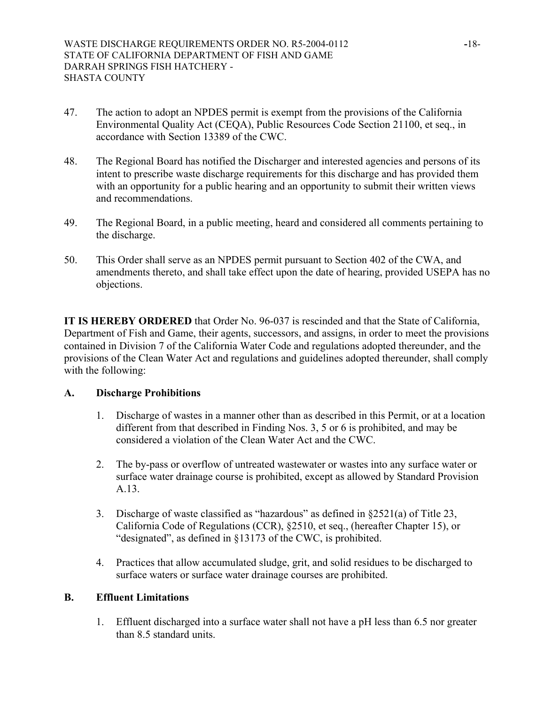- 47. The action to adopt an NPDES permit is exempt from the provisions of the California Environmental Quality Act (CEQA), Public Resources Code Section 21100, et seq., in accordance with Section 13389 of the CWC.
- 48. The Regional Board has notified the Discharger and interested agencies and persons of its intent to prescribe waste discharge requirements for this discharge and has provided them with an opportunity for a public hearing and an opportunity to submit their written views and recommendations.
- 49. The Regional Board, in a public meeting, heard and considered all comments pertaining to the discharge.
- 50. This Order shall serve as an NPDES permit pursuant to Section 402 of the CWA, and amendments thereto, and shall take effect upon the date of hearing, provided USEPA has no objections.

**IT IS HEREBY ORDERED** that Order No. 96-037 is rescinded and that the State of California, Department of Fish and Game, their agents, successors, and assigns, in order to meet the provisions contained in Division 7 of the California Water Code and regulations adopted thereunder, and the provisions of the Clean Water Act and regulations and guidelines adopted thereunder, shall comply with the following:

# **A. Discharge Prohibitions**

- 1. Discharge of wastes in a manner other than as described in this Permit, or at a location different from that described in Finding Nos. 3, 5 or 6 is prohibited, and may be considered a violation of the Clean Water Act and the CWC.
- 2. The by-pass or overflow of untreated wastewater or wastes into any surface water or surface water drainage course is prohibited, except as allowed by Standard Provision A.13.
- 3. Discharge of waste classified as "hazardous" as defined in §2521(a) of Title 23, California Code of Regulations (CCR), §2510, et seq., (hereafter Chapter 15), or "designated", as defined in §13173 of the CWC, is prohibited.
- 4. Practices that allow accumulated sludge, grit, and solid residues to be discharged to surface waters or surface water drainage courses are prohibited.

# **B. Effluent Limitations**

1. Effluent discharged into a surface water shall not have a pH less than 6.5 nor greater than 8.5 standard units.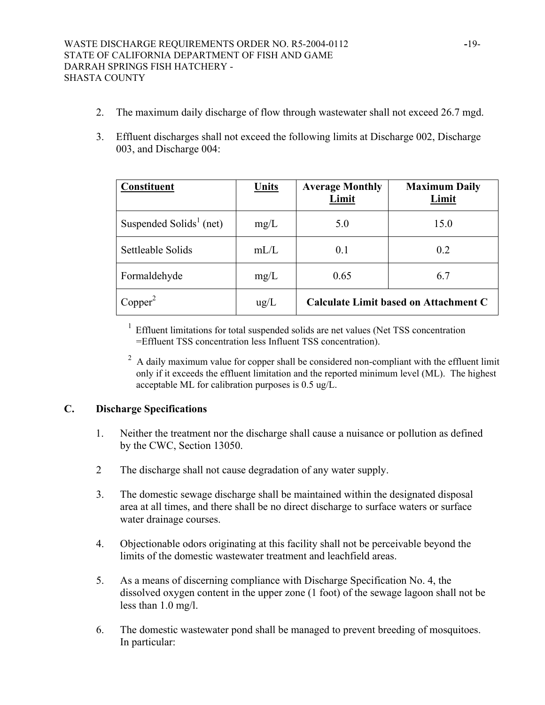- 2. The maximum daily discharge of flow through wastewater shall not exceed 26.7 mgd.
- 3. Effluent discharges shall not exceed the following limits at Discharge 002, Discharge 003, and Discharge 004:

| <b>Constituent</b>                  | Units         | <b>Average Monthly</b><br>Limit | <b>Maximum Daily</b><br>Limit         |
|-------------------------------------|---------------|---------------------------------|---------------------------------------|
| Suspended Solids <sup>1</sup> (net) | mg/L          | 5.0                             | 15.0                                  |
| Settleable Solids                   | mL/L          | 0.1                             | 0.2                                   |
| Formaldehyde                        | mg/L          | 0.65                            | 6.7                                   |
| Copper <sup>2</sup>                 | $\text{ug/L}$ |                                 | Calculate Limit based on Attachment C |

<sup>1</sup> Effluent limitations for total suspended solids are net values (Net TSS concentration =Effluent TSS concentration less Influent TSS concentration).

 $2^2$  A daily maximum value for copper shall be considered non-compliant with the effluent limit only if it exceeds the effluent limitation and the reported minimum level (ML). The highest acceptable ML for calibration purposes is 0.5 ug/L.

# **C. Discharge Specifications**

- 1. Neither the treatment nor the discharge shall cause a nuisance or pollution as defined by the CWC, Section 13050.
- 2 The discharge shall not cause degradation of any water supply.
- 3. The domestic sewage discharge shall be maintained within the designated disposal area at all times, and there shall be no direct discharge to surface waters or surface water drainage courses.
- 4. Objectionable odors originating at this facility shall not be perceivable beyond the limits of the domestic wastewater treatment and leachfield areas.
- 5. As a means of discerning compliance with Discharge Specification No. 4, the dissolved oxygen content in the upper zone (1 foot) of the sewage lagoon shall not be less than 1.0 mg/l.
- 6. The domestic wastewater pond shall be managed to prevent breeding of mosquitoes. In particular: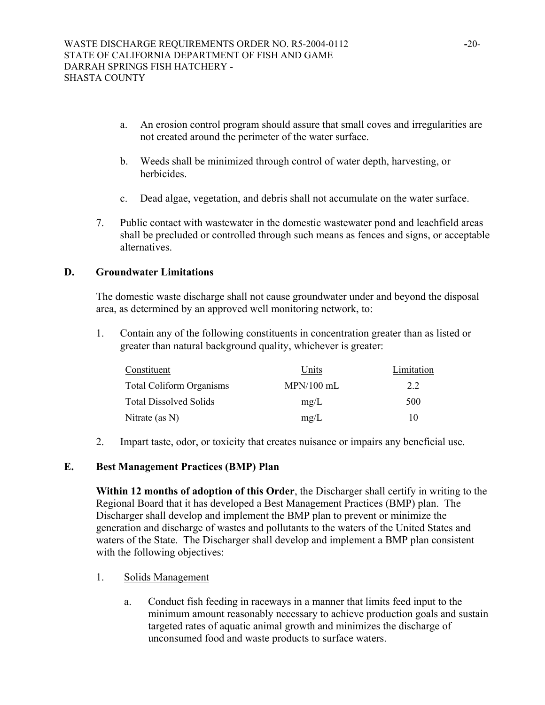- a. An erosion control program should assure that small coves and irregularities are not created around the perimeter of the water surface.
- b. Weeds shall be minimized through control of water depth, harvesting, or herbicides.
- c. Dead algae, vegetation, and debris shall not accumulate on the water surface.
- 7. Public contact with wastewater in the domestic wastewater pond and leachfield areas shall be precluded or controlled through such means as fences and signs, or acceptable alternatives.

## **D. Groundwater Limitations**

The domestic waste discharge shall not cause groundwater under and beyond the disposal area, as determined by an approved well monitoring network, to:

1. Contain any of the following constituents in concentration greater than as listed or greater than natural background quality, whichever is greater:

| Constituent                     | Units        | Limitation |
|---------------------------------|--------------|------------|
| <b>Total Coliform Organisms</b> | $MPN/100$ mL | 22         |
| <b>Total Dissolved Solids</b>   | mg/L         | 500        |
| Nitrate (as $N$ )               | mg/L         | 10         |

2. Impart taste, odor, or toxicity that creates nuisance or impairs any beneficial use.

## **E. Best Management Practices (BMP) Plan**

**Within 12 months of adoption of this Order**, the Discharger shall certify in writing to the Regional Board that it has developed a Best Management Practices (BMP) plan. The Discharger shall develop and implement the BMP plan to prevent or minimize the generation and discharge of wastes and pollutants to the waters of the United States and waters of the State. The Discharger shall develop and implement a BMP plan consistent with the following objectives:

- 1. Solids Management
	- a. Conduct fish feeding in raceways in a manner that limits feed input to the minimum amount reasonably necessary to achieve production goals and sustain targeted rates of aquatic animal growth and minimizes the discharge of unconsumed food and waste products to surface waters.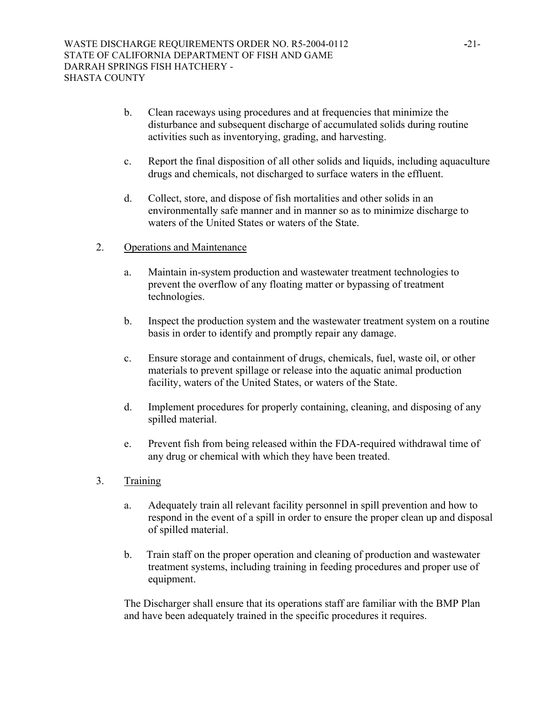- b. Clean raceways using procedures and at frequencies that minimize the disturbance and subsequent discharge of accumulated solids during routine activities such as inventorying, grading, and harvesting.
- c. Report the final disposition of all other solids and liquids, including aquaculture drugs and chemicals, not discharged to surface waters in the effluent.
- d. Collect, store, and dispose of fish mortalities and other solids in an environmentally safe manner and in manner so as to minimize discharge to waters of the United States or waters of the State.
- 2. Operations and Maintenance
	- a. Maintain in-system production and wastewater treatment technologies to prevent the overflow of any floating matter or bypassing of treatment technologies.
	- b. Inspect the production system and the wastewater treatment system on a routine basis in order to identify and promptly repair any damage.
	- c. Ensure storage and containment of drugs, chemicals, fuel, waste oil, or other materials to prevent spillage or release into the aquatic animal production facility, waters of the United States, or waters of the State.
	- d. Implement procedures for properly containing, cleaning, and disposing of any spilled material.
	- e. Prevent fish from being released within the FDA-required withdrawal time of any drug or chemical with which they have been treated.
- 3. Training
	- a. Adequately train all relevant facility personnel in spill prevention and how to respond in the event of a spill in order to ensure the proper clean up and disposal of spilled material.
	- b. Train staff on the proper operation and cleaning of production and wastewater treatment systems, including training in feeding procedures and proper use of equipment.

The Discharger shall ensure that its operations staff are familiar with the BMP Plan and have been adequately trained in the specific procedures it requires.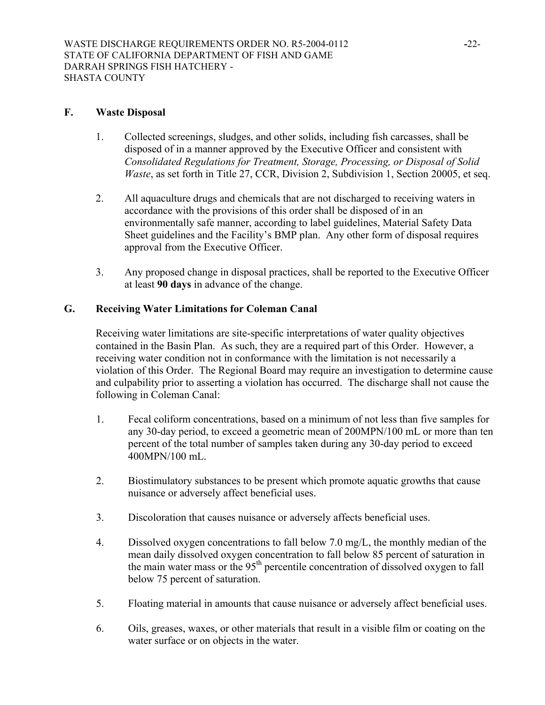## **F. Waste Disposal**

- 1. Collected screenings, sludges, and other solids, including fish carcasses, shall be disposed of in a manner approved by the Executive Officer and consistent with *Consolidated Regulations for Treatment, Storage, Processing, or Disposal of Solid Waste*, as set forth in Title 27, CCR, Division 2, Subdivision 1, Section 20005, et seq.
- 2. All aquaculture drugs and chemicals that are not discharged to receiving waters in accordance with the provisions of this order shall be disposed of in an environmentally safe manner, according to label guidelines, Material Safety Data Sheet guidelines and the Facility's BMP plan. Any other form of disposal requires approval from the Executive Officer.
- 3. Any proposed change in disposal practices, shall be reported to the Executive Officer at least **90 days** in advance of the change.

# **G. Receiving Water Limitations for Coleman Canal**

Receiving water limitations are site-specific interpretations of water quality objectives contained in the Basin Plan. As such, they are a required part of this Order. However, a receiving water condition not in conformance with the limitation is not necessarily a violation of this Order. The Regional Board may require an investigation to determine cause and culpability prior to asserting a violation has occurred. The discharge shall not cause the following in Coleman Canal:

- 1. Fecal coliform concentrations, based on a minimum of not less than five samples for any 30-day period, to exceed a geometric mean of 200MPN/100 mL or more than ten percent of the total number of samples taken during any 30-day period to exceed 400MPN/100 mL.
- 2. Biostimulatory substances to be present which promote aquatic growths that cause nuisance or adversely affect beneficial uses.
- 3. Discoloration that causes nuisance or adversely affects beneficial uses.
- 4. Dissolved oxygen concentrations to fall below 7.0 mg/L, the monthly median of the mean daily dissolved oxygen concentration to fall below 85 percent of saturation in the main water mass or the  $95<sup>th</sup>$  percentile concentration of dissolved oxygen to fall below 75 percent of saturation.
- 5. Floating material in amounts that cause nuisance or adversely affect beneficial uses.
- 6. Oils, greases, waxes, or other materials that result in a visible film or coating on the water surface or on objects in the water.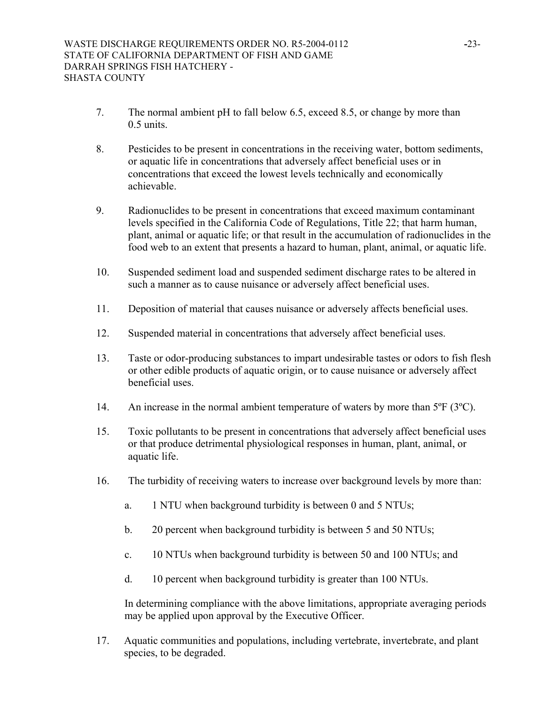- 7. The normal ambient pH to fall below 6.5, exceed 8.5, or change by more than 0.5 units.
- 8. Pesticides to be present in concentrations in the receiving water, bottom sediments, or aquatic life in concentrations that adversely affect beneficial uses or in concentrations that exceed the lowest levels technically and economically achievable.
- 9. Radionuclides to be present in concentrations that exceed maximum contaminant levels specified in the California Code of Regulations, Title 22; that harm human, plant, animal or aquatic life; or that result in the accumulation of radionuclides in the food web to an extent that presents a hazard to human, plant, animal, or aquatic life.
- 10. Suspended sediment load and suspended sediment discharge rates to be altered in such a manner as to cause nuisance or adversely affect beneficial uses.
- 11. Deposition of material that causes nuisance or adversely affects beneficial uses.
- 12. Suspended material in concentrations that adversely affect beneficial uses.
- 13. Taste or odor-producing substances to impart undesirable tastes or odors to fish flesh or other edible products of aquatic origin, or to cause nuisance or adversely affect beneficial uses.
- 14. An increase in the normal ambient temperature of waters by more than 5°F (3°C).
- 15. Toxic pollutants to be present in concentrations that adversely affect beneficial uses or that produce detrimental physiological responses in human, plant, animal, or aquatic life.
- 16. The turbidity of receiving waters to increase over background levels by more than:
	- a. 1 NTU when background turbidity is between 0 and 5 NTUs;
	- b. 20 percent when background turbidity is between 5 and 50 NTUs;
	- c. 10 NTUs when background turbidity is between 50 and 100 NTUs; and
	- d. 10 percent when background turbidity is greater than 100 NTUs.

In determining compliance with the above limitations, appropriate averaging periods may be applied upon approval by the Executive Officer.

17. Aquatic communities and populations, including vertebrate, invertebrate, and plant species, to be degraded.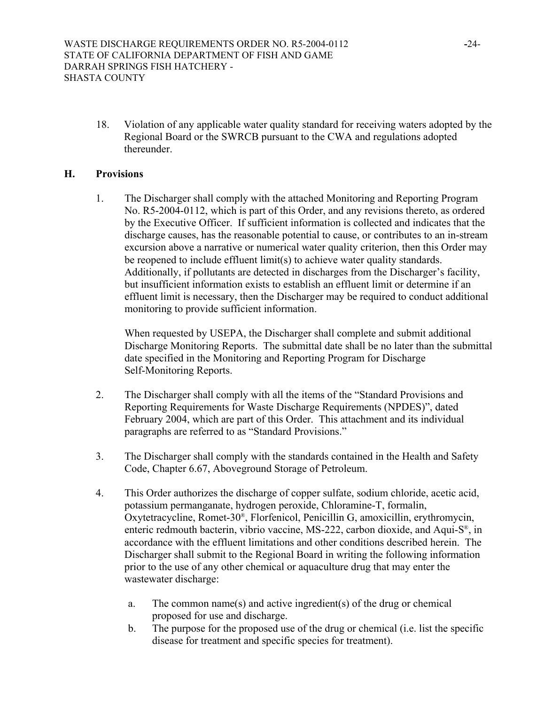18. Violation of any applicable water quality standard for receiving waters adopted by the Regional Board or the SWRCB pursuant to the CWA and regulations adopted thereunder.

## **H. Provisions**

1. The Discharger shall comply with the attached Monitoring and Reporting Program No. R5-2004-0112, which is part of this Order, and any revisions thereto, as ordered by the Executive Officer. If sufficient information is collected and indicates that the discharge causes, has the reasonable potential to cause, or contributes to an in-stream excursion above a narrative or numerical water quality criterion, then this Order may be reopened to include effluent limit(s) to achieve water quality standards. Additionally, if pollutants are detected in discharges from the Discharger's facility, but insufficient information exists to establish an effluent limit or determine if an effluent limit is necessary, then the Discharger may be required to conduct additional monitoring to provide sufficient information.

When requested by USEPA, the Discharger shall complete and submit additional Discharge Monitoring Reports. The submittal date shall be no later than the submittal date specified in the Monitoring and Reporting Program for Discharge Self-Monitoring Reports.

- 2. The Discharger shall comply with all the items of the "Standard Provisions and Reporting Requirements for Waste Discharge Requirements (NPDES)", dated February 2004, which are part of this Order. This attachment and its individual paragraphs are referred to as "Standard Provisions."
- 3. The Discharger shall comply with the standards contained in the Health and Safety Code, Chapter 6.67, Aboveground Storage of Petroleum.
- 4. This Order authorizes the discharge of copper sulfate, sodium chloride, acetic acid, potassium permanganate, hydrogen peroxide, Chloramine-T, formalin, Oxytetracycline, Romet-30®, Florfenicol, Penicillin G, amoxicillin, erythromycin, enteric redmouth bacterin, vibrio vaccine, MS-222, carbon dioxide, and Aqui-S®, in accordance with the effluent limitations and other conditions described herein. The Discharger shall submit to the Regional Board in writing the following information prior to the use of any other chemical or aquaculture drug that may enter the wastewater discharge:
	- a. The common name(s) and active ingredient(s) of the drug or chemical proposed for use and discharge.
	- b. The purpose for the proposed use of the drug or chemical (i.e. list the specific disease for treatment and specific species for treatment).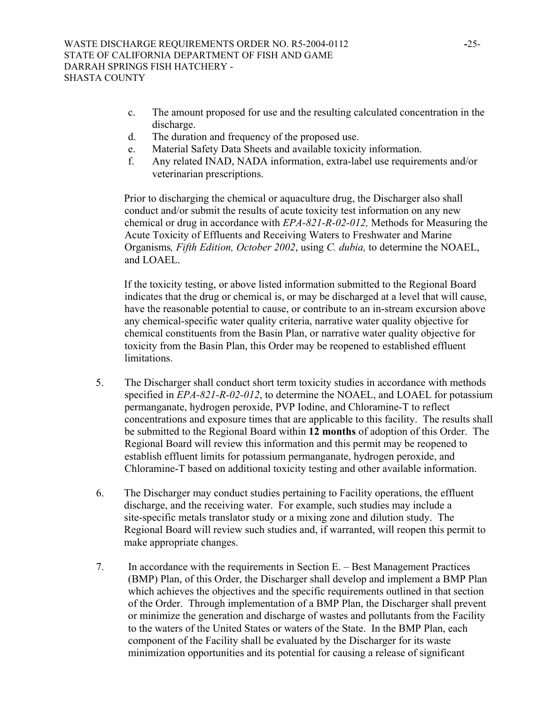- c. The amount proposed for use and the resulting calculated concentration in the discharge.
- d. The duration and frequency of the proposed use.
- e. Material Safety Data Sheets and available toxicity information.
- f. Any related INAD, NADA information, extra-label use requirements and/or veterinarian prescriptions.

Prior to discharging the chemical or aquaculture drug, the Discharger also shall conduct and/or submit the results of acute toxicity test information on any new chemical or drug in accordance with *EPA-821-R-02-012,* Methods for Measuring the Acute Toxicity of Effluents and Receiving Waters to Freshwater and Marine Organisms*, Fifth Edition, October 2002*, using *C. dubia,* to determine the NOAEL, and LOAEL.

If the toxicity testing, or above listed information submitted to the Regional Board indicates that the drug or chemical is, or may be discharged at a level that will cause, have the reasonable potential to cause, or contribute to an in-stream excursion above any chemical-specific water quality criteria, narrative water quality objective for chemical constituents from the Basin Plan, or narrative water quality objective for toxicity from the Basin Plan, this Order may be reopened to established effluent limitations.

- 5. The Discharger shall conduct short term toxicity studies in accordance with methods specified in *EPA-821-R-02-012*, to determine the NOAEL, and LOAEL for potassium permanganate, hydrogen peroxide, PVP Iodine, and Chloramine-T to reflect concentrations and exposure times that are applicable to this facility. The results shall be submitted to the Regional Board within **12 months** of adoption of this Order. The Regional Board will review this information and this permit may be reopened to establish effluent limits for potassium permanganate, hydrogen peroxide, and Chloramine-T based on additional toxicity testing and other available information.
- 6. The Discharger may conduct studies pertaining to Facility operations, the effluent discharge, and the receiving water. For example, such studies may include a site-specific metals translator study or a mixing zone and dilution study. The Regional Board will review such studies and, if warranted, will reopen this permit to make appropriate changes.
- 7. In accordance with the requirements in Section E. Best Management Practices (BMP) Plan, of this Order, the Discharger shall develop and implement a BMP Plan which achieves the objectives and the specific requirements outlined in that section of the Order. Through implementation of a BMP Plan, the Discharger shall prevent or minimize the generation and discharge of wastes and pollutants from the Facility to the waters of the United States or waters of the State. In the BMP Plan, each component of the Facility shall be evaluated by the Discharger for its waste minimization opportunities and its potential for causing a release of significant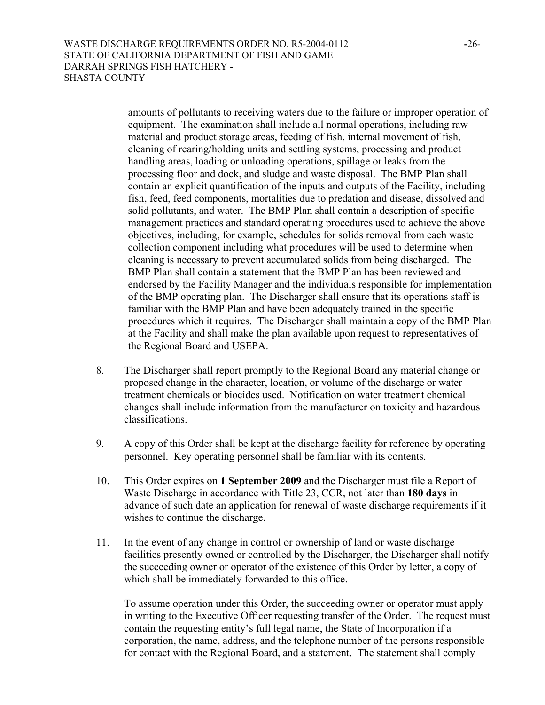amounts of pollutants to receiving waters due to the failure or improper operation of equipment. The examination shall include all normal operations, including raw material and product storage areas, feeding of fish, internal movement of fish, cleaning of rearing/holding units and settling systems, processing and product handling areas, loading or unloading operations, spillage or leaks from the processing floor and dock, and sludge and waste disposal. The BMP Plan shall contain an explicit quantification of the inputs and outputs of the Facility, including fish, feed, feed components, mortalities due to predation and disease, dissolved and solid pollutants, and water. The BMP Plan shall contain a description of specific management practices and standard operating procedures used to achieve the above objectives, including, for example, schedules for solids removal from each waste collection component including what procedures will be used to determine when cleaning is necessary to prevent accumulated solids from being discharged. The BMP Plan shall contain a statement that the BMP Plan has been reviewed and endorsed by the Facility Manager and the individuals responsible for implementation of the BMP operating plan. The Discharger shall ensure that its operations staff is familiar with the BMP Plan and have been adequately trained in the specific procedures which it requires. The Discharger shall maintain a copy of the BMP Plan at the Facility and shall make the plan available upon request to representatives of the Regional Board and USEPA.

- 8. The Discharger shall report promptly to the Regional Board any material change or proposed change in the character, location, or volume of the discharge or water treatment chemicals or biocides used. Notification on water treatment chemical changes shall include information from the manufacturer on toxicity and hazardous classifications.
- 9. A copy of this Order shall be kept at the discharge facility for reference by operating personnel. Key operating personnel shall be familiar with its contents.
- 10. This Order expires on **1 September 2009** and the Discharger must file a Report of Waste Discharge in accordance with Title 23, CCR, not later than **180 days** in advance of such date an application for renewal of waste discharge requirements if it wishes to continue the discharge.
- 11. In the event of any change in control or ownership of land or waste discharge facilities presently owned or controlled by the Discharger, the Discharger shall notify the succeeding owner or operator of the existence of this Order by letter, a copy of which shall be immediately forwarded to this office.

 To assume operation under this Order, the succeeding owner or operator must apply in writing to the Executive Officer requesting transfer of the Order. The request must contain the requesting entity's full legal name, the State of Incorporation if a corporation, the name, address, and the telephone number of the persons responsible for contact with the Regional Board, and a statement. The statement shall comply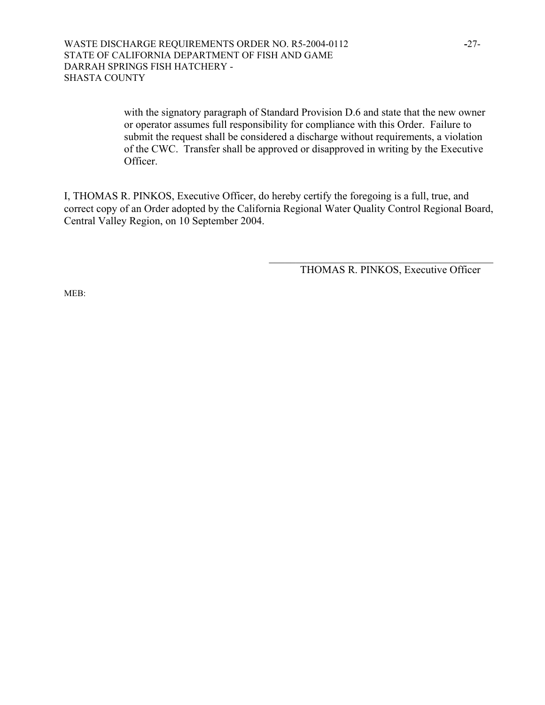with the signatory paragraph of Standard Provision D.6 and state that the new owner or operator assumes full responsibility for compliance with this Order. Failure to submit the request shall be considered a discharge without requirements, a violation of the CWC. Transfer shall be approved or disapproved in writing by the Executive Officer.

I, THOMAS R. PINKOS, Executive Officer, do hereby certify the foregoing is a full, true, and correct copy of an Order adopted by the California Regional Water Quality Control Regional Board, Central Valley Region, on 10 September 2004.

THOMAS R. PINKOS, Executive Officer

 $\mathcal{L}_\text{max}$  , where  $\mathcal{L}_\text{max}$  and  $\mathcal{L}_\text{max}$  and  $\mathcal{L}_\text{max}$  and  $\mathcal{L}_\text{max}$ 

MEB: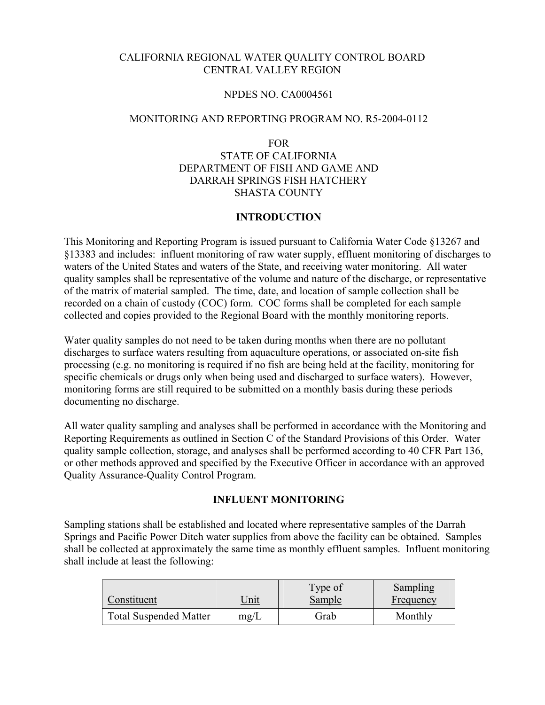## CALIFORNIA REGIONAL WATER QUALITY CONTROL BOARD CENTRAL VALLEY REGION

#### NPDES NO. CA0004561

#### MONITORING AND REPORTING PROGRAM NO. R5-2004-0112

FOR

# STATE OF CALIFORNIA DEPARTMENT OF FISH AND GAME AND DARRAH SPRINGS FISH HATCHERY SHASTA COUNTY

## **INTRODUCTION**

This Monitoring and Reporting Program is issued pursuant to California Water Code §13267 and §13383 and includes: influent monitoring of raw water supply, effluent monitoring of discharges to waters of the United States and waters of the State, and receiving water monitoring. All water quality samples shall be representative of the volume and nature of the discharge, or representative of the matrix of material sampled. The time, date, and location of sample collection shall be recorded on a chain of custody (COC) form. COC forms shall be completed for each sample collected and copies provided to the Regional Board with the monthly monitoring reports.

Water quality samples do not need to be taken during months when there are no pollutant discharges to surface waters resulting from aquaculture operations, or associated on-site fish processing (e.g. no monitoring is required if no fish are being held at the facility, monitoring for specific chemicals or drugs only when being used and discharged to surface waters). However, monitoring forms are still required to be submitted on a monthly basis during these periods documenting no discharge.

All water quality sampling and analyses shall be performed in accordance with the Monitoring and Reporting Requirements as outlined in Section C of the Standard Provisions of this Order. Water quality sample collection, storage, and analyses shall be performed according to 40 CFR Part 136, or other methods approved and specified by the Executive Officer in accordance with an approved Quality Assurance-Quality Control Program.

## **INFLUENT MONITORING**

Sampling stations shall be established and located where representative samples of the Darrah Springs and Pacific Power Ditch water supplies from above the facility can be obtained. Samples shall be collected at approximately the same time as monthly effluent samples. Influent monitoring shall include at least the following:

| Constituent                   | <u>Unit</u> | Type of<br><b>Sample</b> | Sampling<br>Frequency |
|-------------------------------|-------------|--------------------------|-----------------------|
| <b>Total Suspended Matter</b> | mg/L        | Grab                     | Monthly               |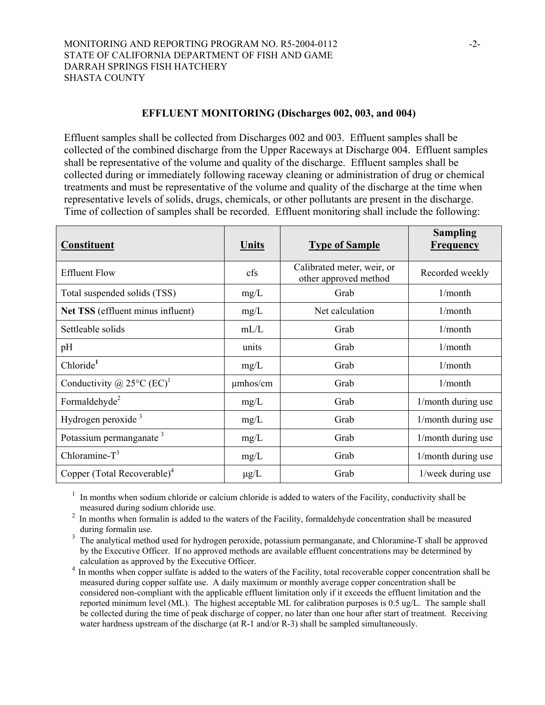#### **EFFLUENT MONITORING (Discharges 002, 003, and 004)**

Effluent samples shall be collected from Discharges 002 and 003. Effluent samples shall be collected of the combined discharge from the Upper Raceways at Discharge 004. Effluent samples shall be representative of the volume and quality of the discharge. Effluent samples shall be collected during or immediately following raceway cleaning or administration of drug or chemical treatments and must be representative of the volume and quality of the discharge at the time when representative levels of solids, drugs, chemicals, or other pollutants are present in the discharge. Time of collection of samples shall be recorded. Effluent monitoring shall include the following:

| <b>Constituent</b>                               | Units         | <b>Type of Sample</b>                               | <b>Sampling</b><br><b>Frequency</b> |
|--------------------------------------------------|---------------|-----------------------------------------------------|-------------------------------------|
| <b>Effluent Flow</b>                             | cfs           | Calibrated meter, weir, or<br>other approved method | Recorded weekly                     |
| Total suspended solids (TSS)                     | mg/L          | Grab                                                | 1/month                             |
| Net TSS (effluent minus influent)                | mg/L          | Net calculation                                     | 1/month                             |
| Settleable solids                                | mL/L          | Grab                                                | 1/month                             |
| pH                                               | units         | Grab                                                | 1/month                             |
| Chloride <sup>1</sup>                            | mg/L          | Grab                                                | 1/month                             |
| Conductivity @ 25 $^{\circ}$ C (EC) <sup>1</sup> | $\mu$ mhos/cm | Grab                                                | 1/month                             |
| Formaldehyde <sup>2</sup>                        | mg/L          | Grab                                                | 1/month during use                  |
| Hydrogen peroxide <sup>3</sup>                   | mg/L          | Grab                                                | 1/month during use                  |
| Potassium permanganate <sup>3</sup>              | mg/L          | Grab                                                | 1/month during use                  |
| Chloramine- $T^3$                                | mg/L          | Grab                                                | 1/month during use                  |
| Copper (Total Recoverable) <sup>4</sup>          | $\mu$ g/L     | Grab                                                | 1/week during use                   |

<sup>1</sup> In months when sodium chloride or calcium chloride is added to waters of the Facility, conductivity shall be measured during sodium chloride use.

<sup>2</sup> In months when formalin is added to the waters of the Facility, formaldehyde concentration shall be measured during formalin use.

<sup>3</sup> The analytical method used for hydrogen peroxide, potassium permanganate, and Chloramine-T shall be approved by the Executive Officer. If no approved methods are available effluent concentrations may be determined by calculation as approved by the Executive Officer.

<sup>4</sup> In months when copper sulfate is added to the waters of the Facility, total recoverable copper concentration shall be measured during copper sulfate use. A daily maximum or monthly average copper concentration shall be considered non-compliant with the applicable effluent limitation only if it exceeds the effluent limitation and the reported minimum level (ML). The highest acceptable ML for calibration purposes is 0.5 ug/L. The sample shall be collected during the time of peak discharge of copper, no later than one hour after start of treatment. Receiving water hardness upstream of the discharge (at R-1 and/or R-3) shall be sampled simultaneously.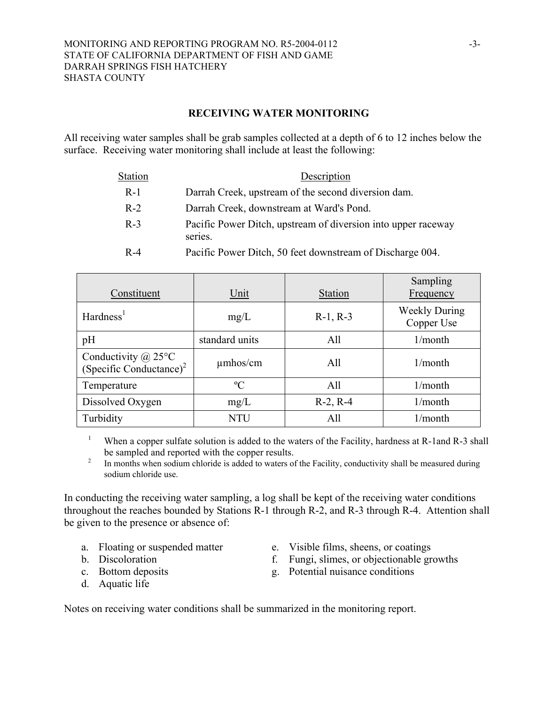## **RECEIVING WATER MONITORING**

All receiving water samples shall be grab samples collected at a depth of 6 to 12 inches below the surface. Receiving water monitoring shall include at least the following:

| <b>Station</b> | Description                                                              |
|----------------|--------------------------------------------------------------------------|
| $R-1$          | Darrah Creek, upstream of the second diversion dam.                      |
| $R-2$          | Darrah Creek, downstream at Ward's Pond.                                 |
| $R-3$          | Pacific Power Ditch, upstream of diversion into upper raceway<br>series. |
| $R - 4$        | Pacific Power Ditch, 50 feet downstream of Discharge 004.                |

| Constituent                                                  | Unit           | <b>Station</b> | Sampling<br>Frequency              |
|--------------------------------------------------------------|----------------|----------------|------------------------------------|
| Hardness <sup>1</sup>                                        | mg/L           | $R-1, R-3$     | <b>Weekly During</b><br>Copper Use |
| pH                                                           | standard units | All            | 1/month                            |
| Conductivity $@$ 25°C<br>(Specific Conductance) <sup>2</sup> | $\mu$ mhos/cm  | All            | 1/month                            |
| Temperature                                                  | $\rm ^{o}C$    | All            | 1/month                            |
| Dissolved Oxygen                                             | mg/L           | $R-2, R-4$     | 1/month                            |
| Turbidity                                                    | NTU            | All            | $1/m$ onth                         |

1 When a copper sulfate solution is added to the waters of the Facility, hardness at R-1 and R-3 shall be sampled and reported with the copper results.<br><sup>2</sup> In months when sodium chloride is added to waters of the Facility, conductivity shall be measured during

sodium chloride use.

In conducting the receiving water sampling, a log shall be kept of the receiving water conditions throughout the reaches bounded by Stations R-1 through R-2, and R-3 through R-4. Attention shall be given to the presence or absence of:

- 
- 
- 
- d. Aquatic life
- a. Floating or suspended matter e. Visible films, sheens, or coatings
- b. Discoloration f. Fungi, slimes, or objectionable growths
- c. Bottom deposits g. Potential nuisance conditions

Notes on receiving water conditions shall be summarized in the monitoring report.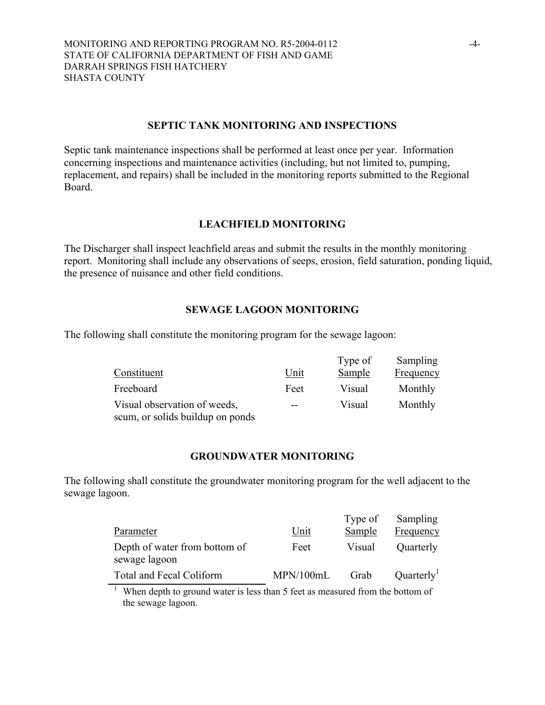#### **SEPTIC TANK MONITORING AND INSPECTIONS**

Septic tank maintenance inspections shall be performed at least once per year. Information concerning inspections and maintenance activities (including, but not limited to, pumping, replacement, and repairs) shall be included in the monitoring reports submitted to the Regional Board.

#### **LEACHFIELD MONITORING**

The Discharger shall inspect leachfield areas and submit the results in the monthly monitoring report. Monitoring shall include any observations of seeps, erosion, field saturation, ponding liquid, the presence of nuisance and other field conditions.

#### **SEWAGE LAGOON MONITORING**

The following shall constitute the monitoring program for the sewage lagoon:

|                                  |      | Type of       | Sampling         |
|----------------------------------|------|---------------|------------------|
| Constituent                      | Unit | <b>Sample</b> | <b>Frequency</b> |
| Freeboard                        | Feet | Visual        | Monthly          |
| Visual observation of weeds,     | $-$  | Visual        | Monthly          |
| scum, or solids buildup on ponds |      |               |                  |

#### **GROUNDWATER MONITORING**

The following shall constitute the groundwater monitoring program for the well adjacent to the sewage lagoon.

|                                                |           | Type of | Sampling               |
|------------------------------------------------|-----------|---------|------------------------|
| Parameter                                      | Unit      | Sample  | Frequency              |
| Depth of water from bottom of<br>sewage lagoon | Feet      | Visual  | Quarterly              |
| Total and Fecal Coliform                       | MPN/100mL | Grab    | Quarterly <sup>1</sup> |

<sup>1</sup> When depth to ground water is less than 5 feet as measured from the bottom of the sewage lagoon.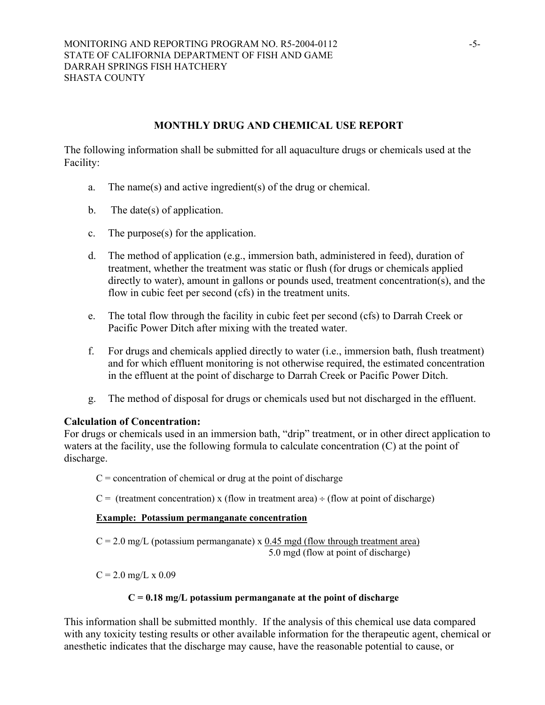## **MONTHLY DRUG AND CHEMICAL USE REPORT**

The following information shall be submitted for all aquaculture drugs or chemicals used at the Facility:

- a. The name(s) and active ingredient(s) of the drug or chemical.
- b. The date(s) of application.
- c. The purpose(s) for the application.
- d. The method of application (e.g., immersion bath, administered in feed), duration of treatment, whether the treatment was static or flush (for drugs or chemicals applied directly to water), amount in gallons or pounds used, treatment concentration(s), and the flow in cubic feet per second (cfs) in the treatment units.
- e. The total flow through the facility in cubic feet per second (cfs) to Darrah Creek or Pacific Power Ditch after mixing with the treated water.
- f. For drugs and chemicals applied directly to water (i.e., immersion bath, flush treatment) and for which effluent monitoring is not otherwise required, the estimated concentration in the effluent at the point of discharge to Darrah Creek or Pacific Power Ditch.
- g. The method of disposal for drugs or chemicals used but not discharged in the effluent.

## **Calculation of Concentration:**

For drugs or chemicals used in an immersion bath, "drip" treatment, or in other direct application to waters at the facility, use the following formula to calculate concentration (C) at the point of discharge.

 $C =$  concentration of chemical or drug at the point of discharge

 $C =$  (treatment concentration) x (flow in treatment area) ÷ (flow at point of discharge)

## **Example: Potassium permanganate concentration**

 $C = 2.0$  mg/L (potassium permanganate) x  $0.45$  mgd (flow through treatment area) 5.0 mgd (flow at point of discharge)

 $C = 2.0$  mg/L x 0.09

## **C = 0.18 mg/L potassium permanganate at the point of discharge**

This information shall be submitted monthly. If the analysis of this chemical use data compared with any toxicity testing results or other available information for the therapeutic agent, chemical or anesthetic indicates that the discharge may cause, have the reasonable potential to cause, or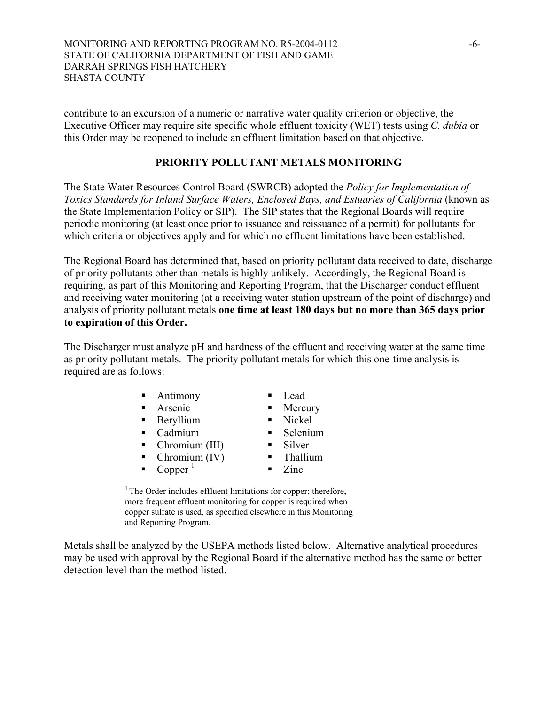contribute to an excursion of a numeric or narrative water quality criterion or objective, the Executive Officer may require site specific whole effluent toxicity (WET) tests using *C. dubia* or this Order may be reopened to include an effluent limitation based on that objective.

## **PRIORITY POLLUTANT METALS MONITORING**

The State Water Resources Control Board (SWRCB) adopted the *Policy for Implementation of Toxics Standards for Inland Surface Waters, Enclosed Bays, and Estuaries of California* (known as the State Implementation Policy or SIP). The SIP states that the Regional Boards will require periodic monitoring (at least once prior to issuance and reissuance of a permit) for pollutants for which criteria or objectives apply and for which no effluent limitations have been established.

The Regional Board has determined that, based on priority pollutant data received to date, discharge of priority pollutants other than metals is highly unlikely. Accordingly, the Regional Board is requiring, as part of this Monitoring and Reporting Program, that the Discharger conduct effluent and receiving water monitoring (at a receiving water station upstream of the point of discharge) and analysis of priority pollutant metals **one time at least 180 days but no more than 365 days prior to expiration of this Order.**

The Discharger must analyze pH and hardness of the effluent and receiving water at the same time as priority pollutant metals. The priority pollutant metals for which this one-time analysis is required are as follows:

| • Antimony                        | Lead                     |
|-----------------------------------|--------------------------|
| Arsenic<br>$\blacksquare$         | Mercury                  |
| • Beryllium                       | Nickel<br>$\blacksquare$ |
| - Cadmium                         | Selenium                 |
| $\blacksquare$ Chromium (III)     | Silver                   |
| Chromium $(IV)$<br>$\blacksquare$ | Thallium                 |
| Copper                            | Zinc                     |

<sup>1</sup> The Order includes effluent limitations for copper; therefore, more frequent effluent monitoring for copper is required when copper sulfate is used, as specified elsewhere in this Monitoring and Reporting Program.

Metals shall be analyzed by the USEPA methods listed below. Alternative analytical procedures may be used with approval by the Regional Board if the alternative method has the same or better detection level than the method listed.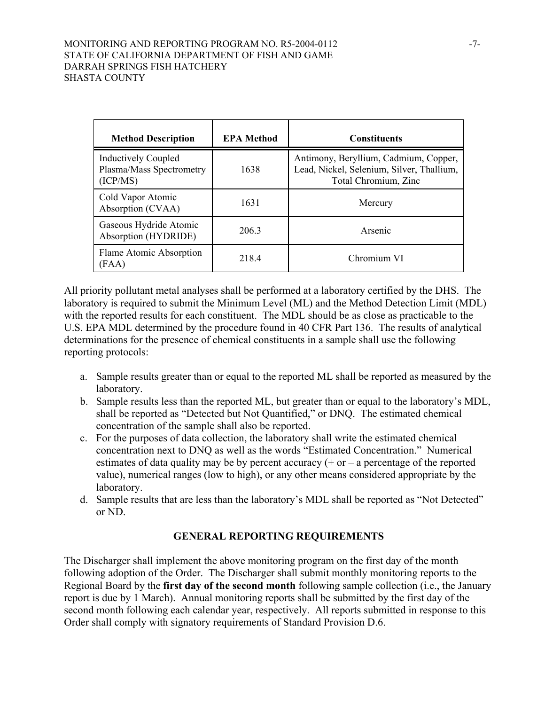## MONITORING AND REPORTING PROGRAM NO. R5-2004-0112 -7-STATE OF CALIFORNIA DEPARTMENT OF FISH AND GAME DARRAH SPRINGS FISH HATCHERY SHASTA COUNTY

| <b>Method Description</b>                                          | <b>EPA Method</b> | <b>Constituents</b>                                                                                        |
|--------------------------------------------------------------------|-------------------|------------------------------------------------------------------------------------------------------------|
| <b>Inductively Coupled</b><br>Plasma/Mass Spectrometry<br>(ICP/MS) | 1638              | Antimony, Beryllium, Cadmium, Copper,<br>Lead, Nickel, Selenium, Silver, Thallium,<br>Total Chromium, Zinc |
| Cold Vapor Atomic<br>Absorption (CVAA)                             | 1631              | Mercury                                                                                                    |
| Gaseous Hydride Atomic<br>Absorption (HYDRIDE)                     | 206.3             | Arsenic                                                                                                    |
| Flame Atomic Absorption<br>(FAA)                                   | 2184              | Chromium VI                                                                                                |

All priority pollutant metal analyses shall be performed at a laboratory certified by the DHS. The laboratory is required to submit the Minimum Level (ML) and the Method Detection Limit (MDL) with the reported results for each constituent. The MDL should be as close as practicable to the U.S. EPA MDL determined by the procedure found in 40 CFR Part 136. The results of analytical determinations for the presence of chemical constituents in a sample shall use the following reporting protocols:

- a. Sample results greater than or equal to the reported ML shall be reported as measured by the laboratory.
- b. Sample results less than the reported ML, but greater than or equal to the laboratory's MDL, shall be reported as "Detected but Not Quantified," or DNQ. The estimated chemical concentration of the sample shall also be reported.
- c. For the purposes of data collection, the laboratory shall write the estimated chemical concentration next to DNQ as well as the words "Estimated Concentration." Numerical estimates of data quality may be by percent accuracy  $(+)$  or  $-$  a percentage of the reported value), numerical ranges (low to high), or any other means considered appropriate by the laboratory.
- d. Sample results that are less than the laboratory's MDL shall be reported as "Not Detected" or ND.

# **GENERAL REPORTING REQUIREMENTS**

The Discharger shall implement the above monitoring program on the first day of the month following adoption of the Order. The Discharger shall submit monthly monitoring reports to the Regional Board by the **first day of the second month** following sample collection (i.e., the January report is due by 1 March). Annual monitoring reports shall be submitted by the first day of the second month following each calendar year, respectively. All reports submitted in response to this Order shall comply with signatory requirements of Standard Provision D.6.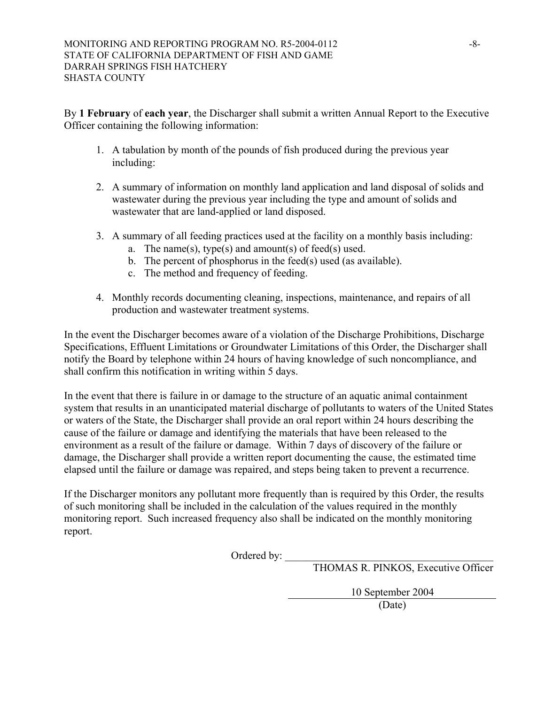By **1 February** of **each year**, the Discharger shall submit a written Annual Report to the Executive Officer containing the following information:

- 1. A tabulation by month of the pounds of fish produced during the previous year including:
- 2. A summary of information on monthly land application and land disposal of solids and wastewater during the previous year including the type and amount of solids and wastewater that are land-applied or land disposed.
- 3. A summary of all feeding practices used at the facility on a monthly basis including:
	- a. The name(s), type(s) and amount(s) of feed(s) used.
	- b. The percent of phosphorus in the feed(s) used (as available).
	- c. The method and frequency of feeding.
- 4. Monthly records documenting cleaning, inspections, maintenance, and repairs of all production and wastewater treatment systems.

In the event the Discharger becomes aware of a violation of the Discharge Prohibitions, Discharge Specifications, Effluent Limitations or Groundwater Limitations of this Order, the Discharger shall notify the Board by telephone within 24 hours of having knowledge of such noncompliance, and shall confirm this notification in writing within 5 days.

In the event that there is failure in or damage to the structure of an aquatic animal containment system that results in an unanticipated material discharge of pollutants to waters of the United States or waters of the State, the Discharger shall provide an oral report within 24 hours describing the cause of the failure or damage and identifying the materials that have been released to the environment as a result of the failure or damage. Within 7 days of discovery of the failure or damage, the Discharger shall provide a written report documenting the cause, the estimated time elapsed until the failure or damage was repaired, and steps being taken to prevent a recurrence.

If the Discharger monitors any pollutant more frequently than is required by this Order, the results of such monitoring shall be included in the calculation of the values required in the monthly monitoring report. Such increased frequency also shall be indicated on the monthly monitoring report.

Ordered by:  $\overline{\phantom{a}}$ 

THOMAS R. PINKOS, Executive Officer

10 September 2004 (Date)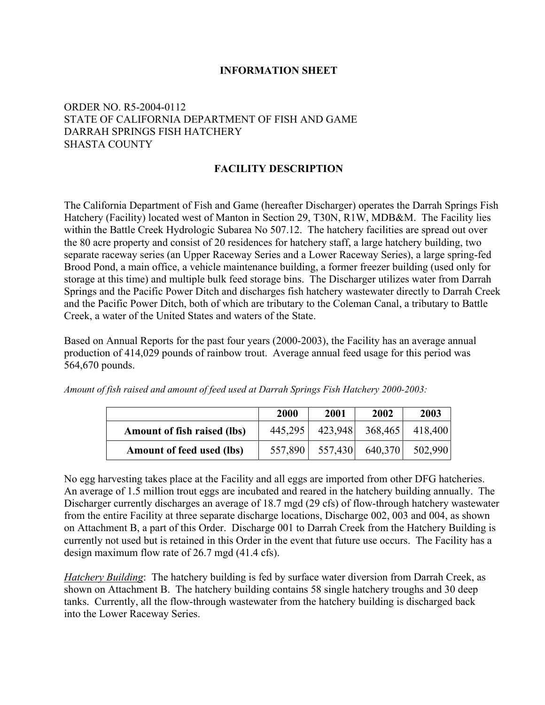## **INFORMATION SHEET**

# ORDER NO. R5-2004-0112 STATE OF CALIFORNIA DEPARTMENT OF FISH AND GAME DARRAH SPRINGS FISH HATCHERY SHASTA COUNTY

## **FACILITY DESCRIPTION**

The California Department of Fish and Game (hereafter Discharger) operates the Darrah Springs Fish Hatchery (Facility) located west of Manton in Section 29, T30N, R1W, MDB&M. The Facility lies within the Battle Creek Hydrologic Subarea No 507.12. The hatchery facilities are spread out over the 80 acre property and consist of 20 residences for hatchery staff, a large hatchery building, two separate raceway series (an Upper Raceway Series and a Lower Raceway Series), a large spring-fed Brood Pond, a main office, a vehicle maintenance building, a former freezer building (used only for storage at this time) and multiple bulk feed storage bins. The Discharger utilizes water from Darrah Springs and the Pacific Power Ditch and discharges fish hatchery wastewater directly to Darrah Creek and the Pacific Power Ditch, both of which are tributary to the Coleman Canal, a tributary to Battle Creek, a water of the United States and waters of the State.

Based on Annual Reports for the past four years (2000-2003), the Facility has an average annual production of 414,029 pounds of rainbow trout. Average annual feed usage for this period was 564,670 pounds.

|                                    | 2000    | 2001 | 2002                    | 2003    |
|------------------------------------|---------|------|-------------------------|---------|
| <b>Amount of fish raised (lbs)</b> | 445,295 |      | 423,948 368,465 418,400 |         |
| Amount of feed used (lbs)          | 557,890 |      | 557,430 640,370         | 502,990 |

*Amount of fish raised and amount of feed used at Darrah Springs Fish Hatchery 2000-2003:* 

No egg harvesting takes place at the Facility and all eggs are imported from other DFG hatcheries. An average of 1.5 million trout eggs are incubated and reared in the hatchery building annually. The Discharger currently discharges an average of 18.7 mgd (29 cfs) of flow-through hatchery wastewater from the entire Facility at three separate discharge locations, Discharge 002, 003 and 004, as shown on Attachment B, a part of this Order. Discharge 001 to Darrah Creek from the Hatchery Building is currently not used but is retained in this Order in the event that future use occurs. The Facility has a design maximum flow rate of 26.7 mgd (41.4 cfs).

*Hatchery Building*: The hatchery building is fed by surface water diversion from Darrah Creek, as shown on Attachment B. The hatchery building contains 58 single hatchery troughs and 30 deep tanks. Currently, all the flow-through wastewater from the hatchery building is discharged back into the Lower Raceway Series.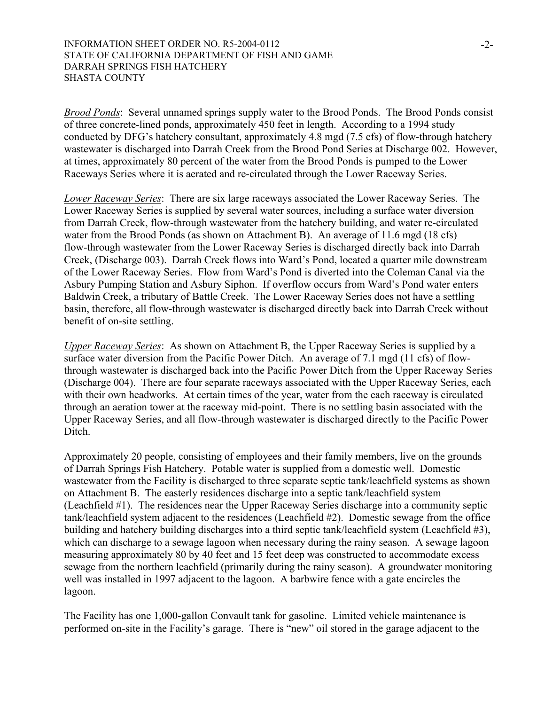*Brood Ponds*: Several unnamed springs supply water to the Brood Ponds. The Brood Ponds consist of three concrete-lined ponds, approximately 450 feet in length. According to a 1994 study conducted by DFG's hatchery consultant, approximately 4.8 mgd (7.5 cfs) of flow-through hatchery wastewater is discharged into Darrah Creek from the Brood Pond Series at Discharge 002. However, at times, approximately 80 percent of the water from the Brood Ponds is pumped to the Lower Raceways Series where it is aerated and re-circulated through the Lower Raceway Series.

*Lower Raceway Series*: There are six large raceways associated the Lower Raceway Series. The Lower Raceway Series is supplied by several water sources, including a surface water diversion from Darrah Creek, flow-through wastewater from the hatchery building, and water re-circulated water from the Brood Ponds (as shown on Attachment B). An average of 11.6 mgd (18 cfs) flow-through wastewater from the Lower Raceway Series is discharged directly back into Darrah Creek, (Discharge 003). Darrah Creek flows into Ward's Pond, located a quarter mile downstream of the Lower Raceway Series. Flow from Ward's Pond is diverted into the Coleman Canal via the Asbury Pumping Station and Asbury Siphon. If overflow occurs from Ward's Pond water enters Baldwin Creek, a tributary of Battle Creek. The Lower Raceway Series does not have a settling basin, therefore, all flow-through wastewater is discharged directly back into Darrah Creek without benefit of on-site settling.

*Upper Raceway Series*: As shown on Attachment B, the Upper Raceway Series is supplied by a surface water diversion from the Pacific Power Ditch. An average of 7.1 mgd (11 cfs) of flowthrough wastewater is discharged back into the Pacific Power Ditch from the Upper Raceway Series (Discharge 004). There are four separate raceways associated with the Upper Raceway Series, each with their own headworks. At certain times of the year, water from the each raceway is circulated through an aeration tower at the raceway mid-point. There is no settling basin associated with the Upper Raceway Series, and all flow-through wastewater is discharged directly to the Pacific Power Ditch.

Approximately 20 people, consisting of employees and their family members, live on the grounds of Darrah Springs Fish Hatchery. Potable water is supplied from a domestic well. Domestic wastewater from the Facility is discharged to three separate septic tank/leachfield systems as shown on Attachment B. The easterly residences discharge into a septic tank/leachfield system (Leachfield #1). The residences near the Upper Raceway Series discharge into a community septic tank/leachfield system adjacent to the residences (Leachfield #2). Domestic sewage from the office building and hatchery building discharges into a third septic tank/leachfield system (Leachfield #3), which can discharge to a sewage lagoon when necessary during the rainy season. A sewage lagoon measuring approximately 80 by 40 feet and 15 feet deep was constructed to accommodate excess sewage from the northern leachfield (primarily during the rainy season). A groundwater monitoring well was installed in 1997 adjacent to the lagoon. A barbwire fence with a gate encircles the lagoon.

The Facility has one 1,000-gallon Convault tank for gasoline. Limited vehicle maintenance is performed on-site in the Facility's garage. There is "new" oil stored in the garage adjacent to the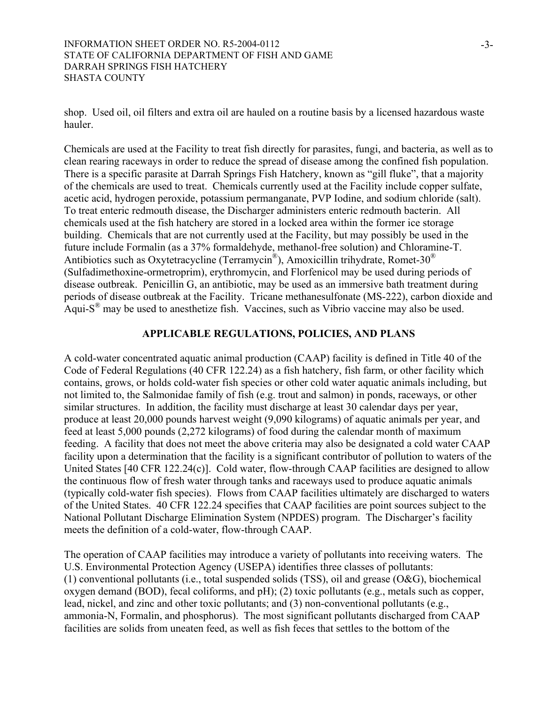shop. Used oil, oil filters and extra oil are hauled on a routine basis by a licensed hazardous waste hauler.

Chemicals are used at the Facility to treat fish directly for parasites, fungi, and bacteria, as well as to clean rearing raceways in order to reduce the spread of disease among the confined fish population. There is a specific parasite at Darrah Springs Fish Hatchery, known as "gill fluke", that a majority of the chemicals are used to treat. Chemicals currently used at the Facility include copper sulfate, acetic acid, hydrogen peroxide, potassium permanganate, PVP Iodine, and sodium chloride (salt). To treat enteric redmouth disease, the Discharger administers enteric redmouth bacterin. All chemicals used at the fish hatchery are stored in a locked area within the former ice storage building. Chemicals that are not currently used at the Facility, but may possibly be used in the future include Formalin (as a 37% formaldehyde, methanol-free solution) and Chloramine-T. Antibiotics such as Oxytetracycline (Terramycin®), Amoxicillin trihydrate, Romet-30® (Sulfadimethoxine-ormetroprim), erythromycin, and Florfenicol may be used during periods of disease outbreak. Penicillin G, an antibiotic, may be used as an immersive bath treatment during periods of disease outbreak at the Facility. Tricane methanesulfonate (MS-222), carbon dioxide and Aqui- $S^{\circledR}$  may be used to anesthetize fish. Vaccines, such as Vibrio vaccine may also be used.

## **APPLICABLE REGULATIONS, POLICIES, AND PLANS**

A cold-water concentrated aquatic animal production (CAAP) facility is defined in Title 40 of the Code of Federal Regulations (40 CFR 122.24) as a fish hatchery, fish farm, or other facility which contains, grows, or holds cold-water fish species or other cold water aquatic animals including, but not limited to, the Salmonidae family of fish (e.g. trout and salmon) in ponds, raceways, or other similar structures. In addition, the facility must discharge at least 30 calendar days per year, produce at least 20,000 pounds harvest weight (9,090 kilograms) of aquatic animals per year, and feed at least 5,000 pounds (2,272 kilograms) of food during the calendar month of maximum feeding. A facility that does not meet the above criteria may also be designated a cold water CAAP facility upon a determination that the facility is a significant contributor of pollution to waters of the United States [40 CFR 122.24(c)]. Cold water, flow-through CAAP facilities are designed to allow the continuous flow of fresh water through tanks and raceways used to produce aquatic animals (typically cold-water fish species). Flows from CAAP facilities ultimately are discharged to waters of the United States. 40 CFR 122.24 specifies that CAAP facilities are point sources subject to the National Pollutant Discharge Elimination System (NPDES) program. The Discharger's facility meets the definition of a cold-water, flow-through CAAP.

The operation of CAAP facilities may introduce a variety of pollutants into receiving waters. The U.S. Environmental Protection Agency (USEPA) identifies three classes of pollutants: (1) conventional pollutants (i.e., total suspended solids (TSS), oil and grease (O&G), biochemical oxygen demand (BOD), fecal coliforms, and pH); (2) toxic pollutants (e.g., metals such as copper, lead, nickel, and zinc and other toxic pollutants; and (3) non-conventional pollutants (e.g., ammonia-N, Formalin, and phosphorus). The most significant pollutants discharged from CAAP facilities are solids from uneaten feed, as well as fish feces that settles to the bottom of the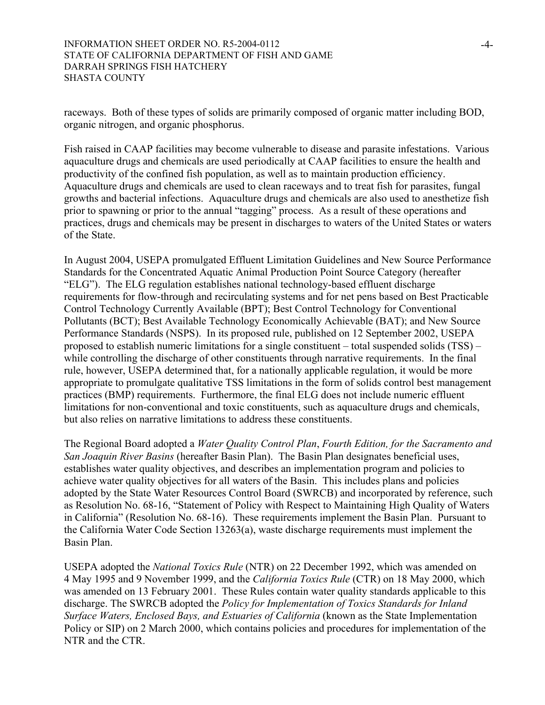raceways. Both of these types of solids are primarily composed of organic matter including BOD, organic nitrogen, and organic phosphorus.

Fish raised in CAAP facilities may become vulnerable to disease and parasite infestations. Various aquaculture drugs and chemicals are used periodically at CAAP facilities to ensure the health and productivity of the confined fish population, as well as to maintain production efficiency. Aquaculture drugs and chemicals are used to clean raceways and to treat fish for parasites, fungal growths and bacterial infections. Aquaculture drugs and chemicals are also used to anesthetize fish prior to spawning or prior to the annual "tagging" process. As a result of these operations and practices, drugs and chemicals may be present in discharges to waters of the United States or waters of the State.

In August 2004, USEPA promulgated Effluent Limitation Guidelines and New Source Performance Standards for the Concentrated Aquatic Animal Production Point Source Category (hereafter "ELG"). The ELG regulation establishes national technology-based effluent discharge requirements for flow-through and recirculating systems and for net pens based on Best Practicable Control Technology Currently Available (BPT); Best Control Technology for Conventional Pollutants (BCT); Best Available Technology Economically Achievable (BAT); and New Source Performance Standards (NSPS). In its proposed rule, published on 12 September 2002, USEPA proposed to establish numeric limitations for a single constituent – total suspended solids (TSS) – while controlling the discharge of other constituents through narrative requirements. In the final rule, however, USEPA determined that, for a nationally applicable regulation, it would be more appropriate to promulgate qualitative TSS limitations in the form of solids control best management practices (BMP) requirements. Furthermore, the final ELG does not include numeric effluent limitations for non-conventional and toxic constituents, such as aquaculture drugs and chemicals, but also relies on narrative limitations to address these constituents.

The Regional Board adopted a *Water Quality Control Plan*, *Fourth Edition, for the Sacramento and San Joaquin River Basins* (hereafter Basin Plan). The Basin Plan designates beneficial uses, establishes water quality objectives, and describes an implementation program and policies to achieve water quality objectives for all waters of the Basin. This includes plans and policies adopted by the State Water Resources Control Board (SWRCB) and incorporated by reference, such as Resolution No. 68-16, "Statement of Policy with Respect to Maintaining High Quality of Waters in California" (Resolution No. 68-16). These requirements implement the Basin Plan. Pursuant to the California Water Code Section 13263(a), waste discharge requirements must implement the Basin Plan.

USEPA adopted the *National Toxics Rule* (NTR) on 22 December 1992, which was amended on 4 May 1995 and 9 November 1999, and the *California Toxics Rule* (CTR) on 18 May 2000, which was amended on 13 February 2001. These Rules contain water quality standards applicable to this discharge. The SWRCB adopted the *Policy for Implementation of Toxics Standards for Inland Surface Waters, Enclosed Bays, and Estuaries of California* (known as the State Implementation Policy or SIP) on 2 March 2000, which contains policies and procedures for implementation of the NTR and the CTR.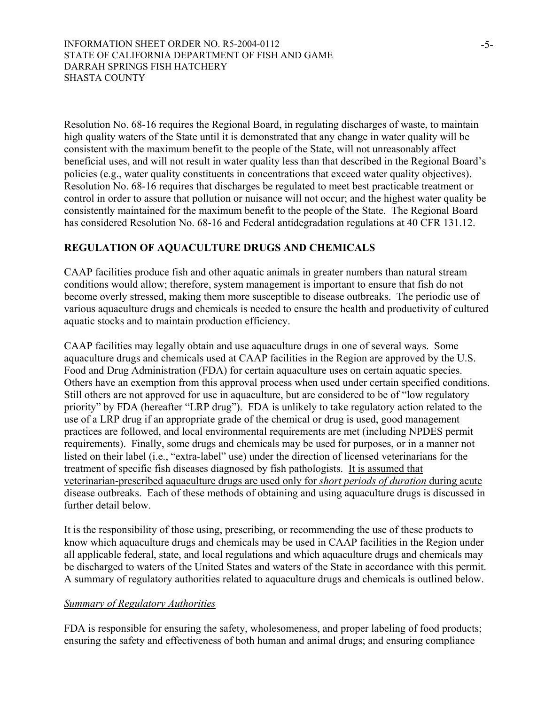Resolution No. 68-16 requires the Regional Board, in regulating discharges of waste, to maintain high quality waters of the State until it is demonstrated that any change in water quality will be consistent with the maximum benefit to the people of the State, will not unreasonably affect beneficial uses, and will not result in water quality less than that described in the Regional Board's policies (e.g., water quality constituents in concentrations that exceed water quality objectives). Resolution No. 68-16 requires that discharges be regulated to meet best practicable treatment or control in order to assure that pollution or nuisance will not occur; and the highest water quality be consistently maintained for the maximum benefit to the people of the State. The Regional Board has considered Resolution No. 68-16 and Federal antidegradation regulations at 40 CFR 131.12.

# **REGULATION OF AQUACULTURE DRUGS AND CHEMICALS**

CAAP facilities produce fish and other aquatic animals in greater numbers than natural stream conditions would allow; therefore, system management is important to ensure that fish do not become overly stressed, making them more susceptible to disease outbreaks. The periodic use of various aquaculture drugs and chemicals is needed to ensure the health and productivity of cultured aquatic stocks and to maintain production efficiency.

CAAP facilities may legally obtain and use aquaculture drugs in one of several ways. Some aquaculture drugs and chemicals used at CAAP facilities in the Region are approved by the U.S. Food and Drug Administration (FDA) for certain aquaculture uses on certain aquatic species. Others have an exemption from this approval process when used under certain specified conditions. Still others are not approved for use in aquaculture, but are considered to be of "low regulatory priority" by FDA (hereafter "LRP drug"). FDA is unlikely to take regulatory action related to the use of a LRP drug if an appropriate grade of the chemical or drug is used, good management practices are followed, and local environmental requirements are met (including NPDES permit requirements). Finally, some drugs and chemicals may be used for purposes, or in a manner not listed on their label (i.e., "extra-label" use) under the direction of licensed veterinarians for the treatment of specific fish diseases diagnosed by fish pathologists. It is assumed that veterinarian-prescribed aquaculture drugs are used only for *short periods of duration* during acute disease outbreaks. Each of these methods of obtaining and using aquaculture drugs is discussed in further detail below.

It is the responsibility of those using, prescribing, or recommending the use of these products to know which aquaculture drugs and chemicals may be used in CAAP facilities in the Region under all applicable federal, state, and local regulations and which aquaculture drugs and chemicals may be discharged to waters of the United States and waters of the State in accordance with this permit. A summary of regulatory authorities related to aquaculture drugs and chemicals is outlined below.

# *Summary of Regulatory Authorities*

FDA is responsible for ensuring the safety, wholesomeness, and proper labeling of food products; ensuring the safety and effectiveness of both human and animal drugs; and ensuring compliance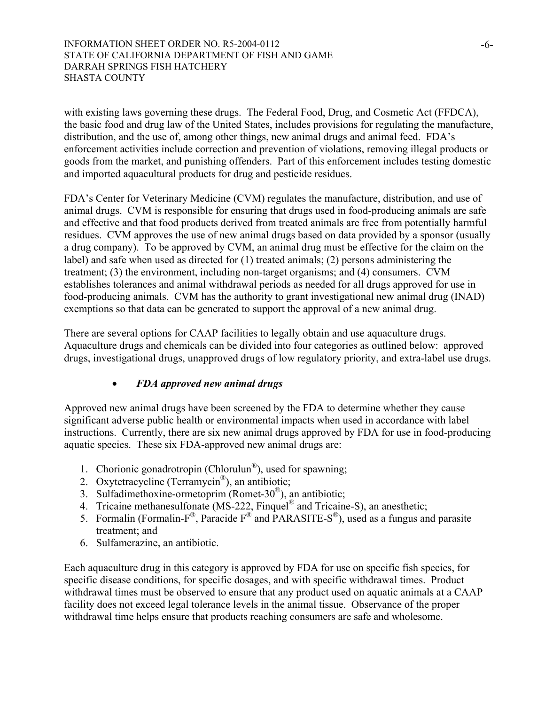with existing laws governing these drugs. The Federal Food, Drug, and Cosmetic Act (FFDCA), the basic food and drug law of the United States, includes provisions for regulating the manufacture, distribution, and the use of, among other things, new animal drugs and animal feed. FDA's enforcement activities include correction and prevention of violations, removing illegal products or goods from the market, and punishing offenders. Part of this enforcement includes testing domestic and imported aquacultural products for drug and pesticide residues.

FDA's Center for Veterinary Medicine (CVM) regulates the manufacture, distribution, and use of animal drugs. CVM is responsible for ensuring that drugs used in food-producing animals are safe and effective and that food products derived from treated animals are free from potentially harmful residues. CVM approves the use of new animal drugs based on data provided by a sponsor (usually a drug company). To be approved by CVM, an animal drug must be effective for the claim on the label) and safe when used as directed for (1) treated animals; (2) persons administering the treatment; (3) the environment, including non-target organisms; and (4) consumers. CVM establishes tolerances and animal withdrawal periods as needed for all drugs approved for use in food-producing animals. CVM has the authority to grant investigational new animal drug (INAD) exemptions so that data can be generated to support the approval of a new animal drug.

There are several options for CAAP facilities to legally obtain and use aquaculture drugs. Aquaculture drugs and chemicals can be divided into four categories as outlined below: approved drugs, investigational drugs, unapproved drugs of low regulatory priority, and extra-label use drugs.

# x *FDA approved new animal drugs*

Approved new animal drugs have been screened by the FDA to determine whether they cause significant adverse public health or environmental impacts when used in accordance with label instructions. Currently, there are six new animal drugs approved by FDA for use in food-producing aquatic species. These six FDA-approved new animal drugs are:

- 1. Chorionic gonadrotropin (Chlorulun®), used for spawning;
- 2. Oxytetracycline (Terramycin®), an antibiotic;
- 3. Sulfadimethoxine-ormetoprim (Romet-30®), an antibiotic;
- 4. Tricaine methanesulfonate (MS-222, Finquel<sup>®</sup> and Tricaine-S), an anesthetic;
- 5. Formalin (Formalin-F®, Paracide  $F^{\circledR}$  and PARASITE-S<sup>®</sup>), used as a fungus and parasite treatment; and
- 6. Sulfamerazine, an antibiotic.

Each aquaculture drug in this category is approved by FDA for use on specific fish species, for specific disease conditions, for specific dosages, and with specific withdrawal times. Product withdrawal times must be observed to ensure that any product used on aquatic animals at a CAAP facility does not exceed legal tolerance levels in the animal tissue. Observance of the proper withdrawal time helps ensure that products reaching consumers are safe and wholesome.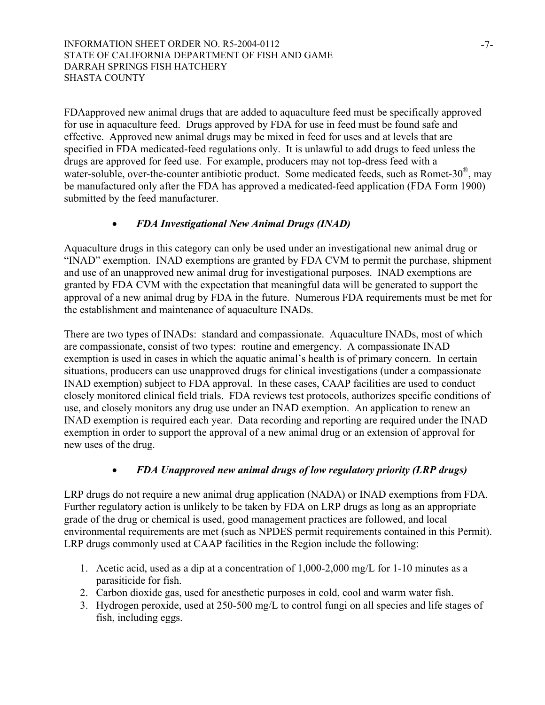FDAapproved new animal drugs that are added to aquaculture feed must be specifically approved for use in aquaculture feed. Drugs approved by FDA for use in feed must be found safe and effective. Approved new animal drugs may be mixed in feed for uses and at levels that are specified in FDA medicated-feed regulations only. It is unlawful to add drugs to feed unless the drugs are approved for feed use. For example, producers may not top-dress feed with a water-soluble, over-the-counter antibiotic product. Some medicated feeds, such as Romet-30<sup>®</sup>, may be manufactured only after the FDA has approved a medicated-feed application (FDA Form 1900) submitted by the feed manufacturer.

# x *FDA Investigational New Animal Drugs (INAD)*

Aquaculture drugs in this category can only be used under an investigational new animal drug or "INAD" exemption. INAD exemptions are granted by FDA CVM to permit the purchase, shipment and use of an unapproved new animal drug for investigational purposes. INAD exemptions are granted by FDA CVM with the expectation that meaningful data will be generated to support the approval of a new animal drug by FDA in the future. Numerous FDA requirements must be met for the establishment and maintenance of aquaculture INADs.

There are two types of INADs: standard and compassionate. Aquaculture INADs, most of which are compassionate, consist of two types: routine and emergency. A compassionate INAD exemption is used in cases in which the aquatic animal's health is of primary concern. In certain situations, producers can use unapproved drugs for clinical investigations (under a compassionate INAD exemption) subject to FDA approval. In these cases, CAAP facilities are used to conduct closely monitored clinical field trials. FDA reviews test protocols, authorizes specific conditions of use, and closely monitors any drug use under an INAD exemption. An application to renew an INAD exemption is required each year. Data recording and reporting are required under the INAD exemption in order to support the approval of a new animal drug or an extension of approval for new uses of the drug.

## x *FDA Unapproved new animal drugs of low regulatory priority (LRP drugs)*

LRP drugs do not require a new animal drug application (NADA) or INAD exemptions from FDA. Further regulatory action is unlikely to be taken by FDA on LRP drugs as long as an appropriate grade of the drug or chemical is used, good management practices are followed, and local environmental requirements are met (such as NPDES permit requirements contained in this Permit). LRP drugs commonly used at CAAP facilities in the Region include the following:

- 1. Acetic acid, used as a dip at a concentration of 1,000-2,000 mg/L for 1-10 minutes as a parasiticide for fish.
- 2. Carbon dioxide gas, used for anesthetic purposes in cold, cool and warm water fish.
- 3. Hydrogen peroxide, used at 250-500 mg/L to control fungi on all species and life stages of fish, including eggs.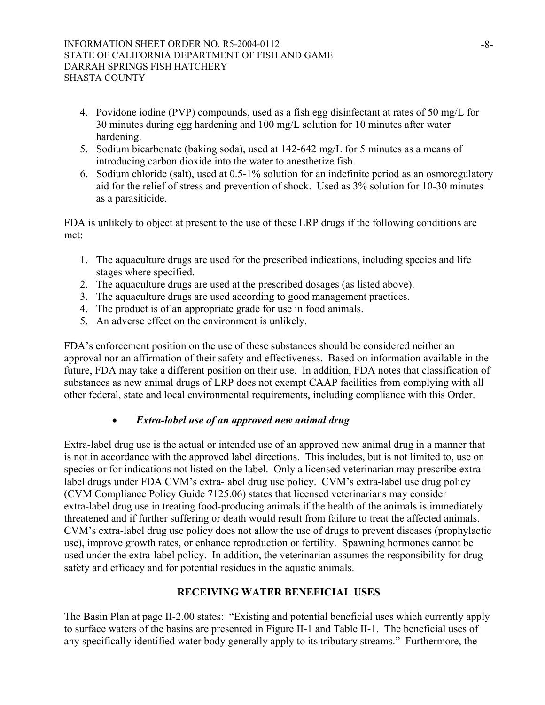- 4. Povidone iodine (PVP) compounds, used as a fish egg disinfectant at rates of 50 mg/L for 30 minutes during egg hardening and 100 mg/L solution for 10 minutes after water hardening.
- 5. Sodium bicarbonate (baking soda), used at 142-642 mg/L for 5 minutes as a means of introducing carbon dioxide into the water to anesthetize fish.
- 6. Sodium chloride (salt), used at 0.5-1% solution for an indefinite period as an osmoregulatory aid for the relief of stress and prevention of shock. Used as 3% solution for 10-30 minutes as a parasiticide.

FDA is unlikely to object at present to the use of these LRP drugs if the following conditions are met:

- 1. The aquaculture drugs are used for the prescribed indications, including species and life stages where specified.
- 2. The aquaculture drugs are used at the prescribed dosages (as listed above).
- 3. The aquaculture drugs are used according to good management practices.
- 4. The product is of an appropriate grade for use in food animals.
- 5. An adverse effect on the environment is unlikely.

FDA's enforcement position on the use of these substances should be considered neither an approval nor an affirmation of their safety and effectiveness. Based on information available in the future, FDA may take a different position on their use. In addition, FDA notes that classification of substances as new animal drugs of LRP does not exempt CAAP facilities from complying with all other federal, state and local environmental requirements, including compliance with this Order.

# x *Extra-label use of an approved new animal drug*

Extra-label drug use is the actual or intended use of an approved new animal drug in a manner that is not in accordance with the approved label directions. This includes, but is not limited to, use on species or for indications not listed on the label. Only a licensed veterinarian may prescribe extralabel drugs under FDA CVM's extra-label drug use policy. CVM's extra-label use drug policy (CVM Compliance Policy Guide 7125.06) states that licensed veterinarians may consider extra-label drug use in treating food-producing animals if the health of the animals is immediately threatened and if further suffering or death would result from failure to treat the affected animals. CVM's extra-label drug use policy does not allow the use of drugs to prevent diseases (prophylactic use), improve growth rates, or enhance reproduction or fertility. Spawning hormones cannot be used under the extra-label policy. In addition, the veterinarian assumes the responsibility for drug safety and efficacy and for potential residues in the aquatic animals.

# **RECEIVING WATER BENEFICIAL USES**

The Basin Plan at page II-2.00 states: "Existing and potential beneficial uses which currently apply to surface waters of the basins are presented in Figure II-1 and Table II-1. The beneficial uses of any specifically identified water body generally apply to its tributary streams." Furthermore, the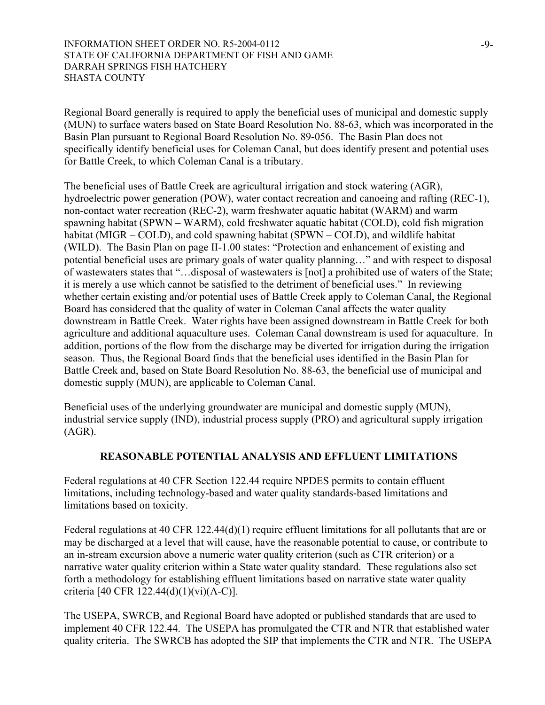Regional Board generally is required to apply the beneficial uses of municipal and domestic supply (MUN) to surface waters based on State Board Resolution No. 88-63, which was incorporated in the Basin Plan pursuant to Regional Board Resolution No. 89-056. The Basin Plan does not specifically identify beneficial uses for Coleman Canal, but does identify present and potential uses for Battle Creek, to which Coleman Canal is a tributary.

The beneficial uses of Battle Creek are agricultural irrigation and stock watering (AGR), hydroelectric power generation (POW), water contact recreation and canoeing and rafting (REC-1), non-contact water recreation (REC-2), warm freshwater aquatic habitat (WARM) and warm spawning habitat (SPWN – WARM), cold freshwater aquatic habitat (COLD), cold fish migration habitat (MIGR – COLD), and cold spawning habitat (SPWN – COLD), and wildlife habitat (WILD). The Basin Plan on page II-1.00 states: "Protection and enhancement of existing and potential beneficial uses are primary goals of water quality planning…" and with respect to disposal of wastewaters states that "…disposal of wastewaters is [not] a prohibited use of waters of the State; it is merely a use which cannot be satisfied to the detriment of beneficial uses." In reviewing whether certain existing and/or potential uses of Battle Creek apply to Coleman Canal, the Regional Board has considered that the quality of water in Coleman Canal affects the water quality downstream in Battle Creek. Water rights have been assigned downstream in Battle Creek for both agriculture and additional aquaculture uses. Coleman Canal downstream is used for aquaculture. In addition, portions of the flow from the discharge may be diverted for irrigation during the irrigation season. Thus, the Regional Board finds that the beneficial uses identified in the Basin Plan for Battle Creek and, based on State Board Resolution No. 88-63, the beneficial use of municipal and domestic supply (MUN), are applicable to Coleman Canal.

Beneficial uses of the underlying groundwater are municipal and domestic supply (MUN), industrial service supply (IND), industrial process supply (PRO) and agricultural supply irrigation (AGR).

## **REASONABLE POTENTIAL ANALYSIS AND EFFLUENT LIMITATIONS**

Federal regulations at 40 CFR Section 122.44 require NPDES permits to contain effluent limitations, including technology-based and water quality standards-based limitations and limitations based on toxicity.

Federal regulations at 40 CFR 122.44(d)(1) require effluent limitations for all pollutants that are or may be discharged at a level that will cause, have the reasonable potential to cause, or contribute to an in-stream excursion above a numeric water quality criterion (such as CTR criterion) or a narrative water quality criterion within a State water quality standard. These regulations also set forth a methodology for establishing effluent limitations based on narrative state water quality criteria [40 CFR 122.44(d)(1)(vi)(A-C)].

The USEPA, SWRCB, and Regional Board have adopted or published standards that are used to implement 40 CFR 122.44. The USEPA has promulgated the CTR and NTR that established water quality criteria. The SWRCB has adopted the SIP that implements the CTR and NTR. The USEPA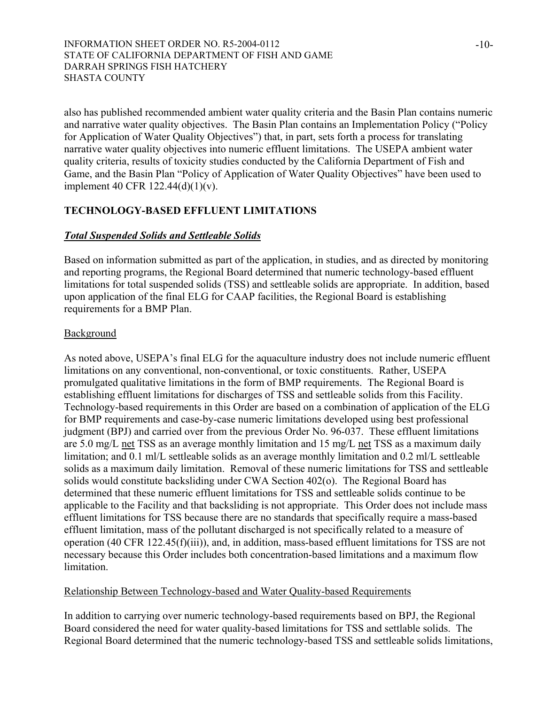also has published recommended ambient water quality criteria and the Basin Plan contains numeric and narrative water quality objectives. The Basin Plan contains an Implementation Policy ("Policy for Application of Water Quality Objectives") that, in part, sets forth a process for translating narrative water quality objectives into numeric effluent limitations. The USEPA ambient water quality criteria, results of toxicity studies conducted by the California Department of Fish and Game, and the Basin Plan "Policy of Application of Water Quality Objectives" have been used to implement 40 CFR 122.44(d)(1)(v).

# **TECHNOLOGY-BASED EFFLUENT LIMITATIONS**

## *Total Suspended Solids and Settleable Solids*

Based on information submitted as part of the application, in studies, and as directed by monitoring and reporting programs, the Regional Board determined that numeric technology-based effluent limitations for total suspended solids (TSS) and settleable solids are appropriate. In addition, based upon application of the final ELG for CAAP facilities, the Regional Board is establishing requirements for a BMP Plan.

## **Background**

As noted above, USEPA's final ELG for the aquaculture industry does not include numeric effluent limitations on any conventional, non-conventional, or toxic constituents. Rather, USEPA promulgated qualitative limitations in the form of BMP requirements. The Regional Board is establishing effluent limitations for discharges of TSS and settleable solids from this Facility. Technology-based requirements in this Order are based on a combination of application of the ELG for BMP requirements and case-by-case numeric limitations developed using best professional judgment (BPJ) and carried over from the previous Order No. 96-037. These effluent limitations are 5.0 mg/L net TSS as an average monthly limitation and 15 mg/L net TSS as a maximum daily limitation; and 0.1 ml/L settleable solids as an average monthly limitation and 0.2 ml/L settleable solids as a maximum daily limitation. Removal of these numeric limitations for TSS and settleable solids would constitute backsliding under CWA Section 402(o). The Regional Board has determined that these numeric effluent limitations for TSS and settleable solids continue to be applicable to the Facility and that backsliding is not appropriate. This Order does not include mass effluent limitations for TSS because there are no standards that specifically require a mass-based effluent limitation, mass of the pollutant discharged is not specifically related to a measure of operation (40 CFR 122.45(f)(iii)), and, in addition, mass-based effluent limitations for TSS are not necessary because this Order includes both concentration-based limitations and a maximum flow limitation.

## Relationship Between Technology-based and Water Quality-based Requirements

In addition to carrying over numeric technology-based requirements based on BPJ, the Regional Board considered the need for water quality-based limitations for TSS and settlable solids. The Regional Board determined that the numeric technology-based TSS and settleable solids limitations,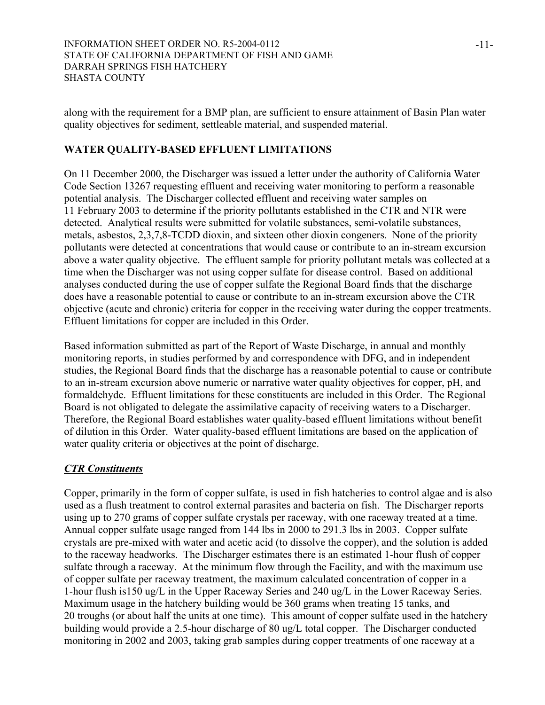along with the requirement for a BMP plan, are sufficient to ensure attainment of Basin Plan water quality objectives for sediment, settleable material, and suspended material.

# **WATER QUALITY-BASED EFFLUENT LIMITATIONS**

On 11 December 2000, the Discharger was issued a letter under the authority of California Water Code Section 13267 requesting effluent and receiving water monitoring to perform a reasonable potential analysis. The Discharger collected effluent and receiving water samples on 11 February 2003 to determine if the priority pollutants established in the CTR and NTR were detected. Analytical results were submitted for volatile substances, semi-volatile substances, metals, asbestos, 2,3,7,8-TCDD dioxin, and sixteen other dioxin congeners. None of the priority pollutants were detected at concentrations that would cause or contribute to an in-stream excursion above a water quality objective. The effluent sample for priority pollutant metals was collected at a time when the Discharger was not using copper sulfate for disease control. Based on additional analyses conducted during the use of copper sulfate the Regional Board finds that the discharge does have a reasonable potential to cause or contribute to an in-stream excursion above the CTR objective (acute and chronic) criteria for copper in the receiving water during the copper treatments. Effluent limitations for copper are included in this Order.

Based information submitted as part of the Report of Waste Discharge, in annual and monthly monitoring reports, in studies performed by and correspondence with DFG, and in independent studies, the Regional Board finds that the discharge has a reasonable potential to cause or contribute to an in-stream excursion above numeric or narrative water quality objectives for copper, pH, and formaldehyde. Effluent limitations for these constituents are included in this Order. The Regional Board is not obligated to delegate the assimilative capacity of receiving waters to a Discharger. Therefore, the Regional Board establishes water quality-based effluent limitations without benefit of dilution in this Order. Water quality-based effluent limitations are based on the application of water quality criteria or objectives at the point of discharge.

# *CTR Constituents*

Copper, primarily in the form of copper sulfate, is used in fish hatcheries to control algae and is also used as a flush treatment to control external parasites and bacteria on fish. The Discharger reports using up to 270 grams of copper sulfate crystals per raceway, with one raceway treated at a time. Annual copper sulfate usage ranged from 144 lbs in 2000 to 291.3 lbs in 2003. Copper sulfate crystals are pre-mixed with water and acetic acid (to dissolve the copper), and the solution is added to the raceway headworks. The Discharger estimates there is an estimated 1-hour flush of copper sulfate through a raceway. At the minimum flow through the Facility, and with the maximum use of copper sulfate per raceway treatment, the maximum calculated concentration of copper in a 1-hour flush is150 ug/L in the Upper Raceway Series and 240 ug/L in the Lower Raceway Series. Maximum usage in the hatchery building would be 360 grams when treating 15 tanks, and 20 troughs (or about half the units at one time). This amount of copper sulfate used in the hatchery building would provide a 2.5-hour discharge of 80 ug/L total copper. The Discharger conducted monitoring in 2002 and 2003, taking grab samples during copper treatments of one raceway at a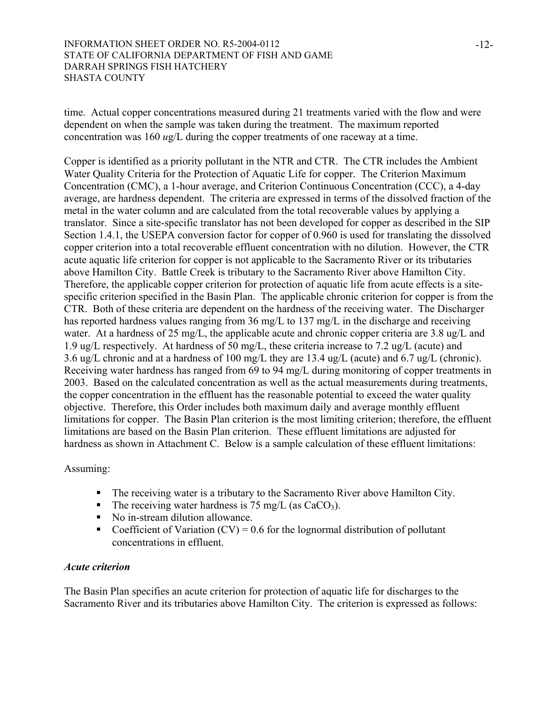time. Actual copper concentrations measured during 21 treatments varied with the flow and were dependent on when the sample was taken during the treatment. The maximum reported concentration was 160 *u*g/L during the copper treatments of one raceway at a time.

Copper is identified as a priority pollutant in the NTR and CTR. The CTR includes the Ambient Water Quality Criteria for the Protection of Aquatic Life for copper. The Criterion Maximum Concentration (CMC), a 1-hour average, and Criterion Continuous Concentration (CCC), a 4-day average, are hardness dependent. The criteria are expressed in terms of the dissolved fraction of the metal in the water column and are calculated from the total recoverable values by applying a translator. Since a site-specific translator has not been developed for copper as described in the SIP Section 1.4.1, the USEPA conversion factor for copper of 0.960 is used for translating the dissolved copper criterion into a total recoverable effluent concentration with no dilution. However, the CTR acute aquatic life criterion for copper is not applicable to the Sacramento River or its tributaries above Hamilton City. Battle Creek is tributary to the Sacramento River above Hamilton City. Therefore, the applicable copper criterion for protection of aquatic life from acute effects is a sitespecific criterion specified in the Basin Plan. The applicable chronic criterion for copper is from the CTR. Both of these criteria are dependent on the hardness of the receiving water. The Discharger has reported hardness values ranging from 36 mg/L to 137 mg/L in the discharge and receiving water. At a hardness of 25 mg/L, the applicable acute and chronic copper criteria are 3.8 ug/L and 1.9 ug/L respectively. At hardness of 50 mg/L, these criteria increase to 7.2 ug/L (acute) and 3.6 ug/L chronic and at a hardness of 100 mg/L they are 13.4 ug/L (acute) and 6.7 ug/L (chronic). Receiving water hardness has ranged from 69 to 94 mg/L during monitoring of copper treatments in 2003. Based on the calculated concentration as well as the actual measurements during treatments, the copper concentration in the effluent has the reasonable potential to exceed the water quality objective. Therefore, this Order includes both maximum daily and average monthly effluent limitations for copper. The Basin Plan criterion is the most limiting criterion; therefore, the effluent limitations are based on the Basin Plan criterion. These effluent limitations are adjusted for hardness as shown in Attachment C. Below is a sample calculation of these effluent limitations:

## Assuming:

- The receiving water is a tributary to the Sacramento River above Hamilton City.
- The receiving water hardness is 75 mg/L (as  $CaCO<sub>3</sub>$ ).
- No in-stream dilution allowance.
- Coefficient of Variation  $(CV) = 0.6$  for the lognormal distribution of pollutant concentrations in effluent.

## *Acute criterion*

The Basin Plan specifies an acute criterion for protection of aquatic life for discharges to the Sacramento River and its tributaries above Hamilton City. The criterion is expressed as follows: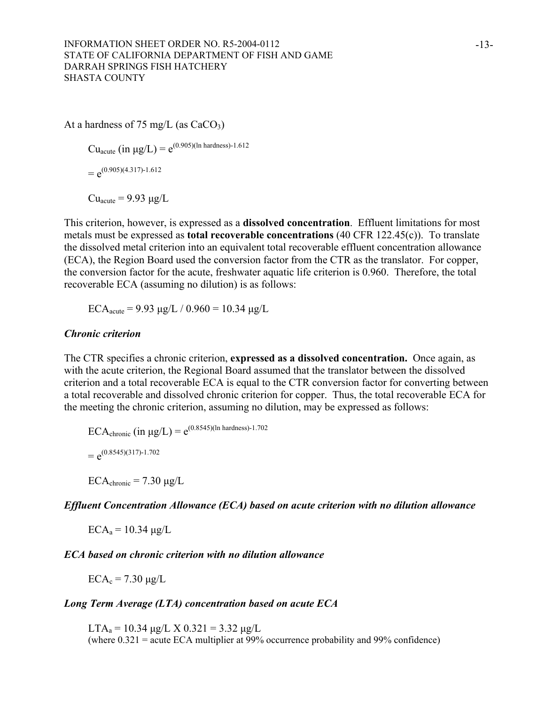At a hardness of 75 mg/L (as  $CaCO<sub>3</sub>$ )

 $Cu_{acute}$  (in  $\mu$ g/L) =  $e^{(0.905)(\ln \text{hardness})-1.612}$ 

 $= e^{(0.905)(4.317)-1.612}$ 

 $Cu<sub>acute</sub> = 9.93 \mu g/L$ 

This criterion, however, is expressed as a **dissolved concentration**. Effluent limitations for most metals must be expressed as **total recoverable concentrations** (40 CFR 122.45(c)). To translate the dissolved metal criterion into an equivalent total recoverable effluent concentration allowance (ECA), the Region Board used the conversion factor from the CTR as the translator. For copper, the conversion factor for the acute, freshwater aquatic life criterion is 0.960. Therefore, the total recoverable ECA (assuming no dilution) is as follows:

ECA<sub>acute</sub> = 9.93  $\mu$ g/L / 0.960 = 10.34  $\mu$ g/L

## *Chronic criterion*

The CTR specifies a chronic criterion, **expressed as a dissolved concentration.** Once again, as with the acute criterion, the Regional Board assumed that the translator between the dissolved criterion and a total recoverable ECA is equal to the CTR conversion factor for converting between a total recoverable and dissolved chronic criterion for copper. Thus, the total recoverable ECA for the meeting the chronic criterion, assuming no dilution, may be expressed as follows:

ECA<sub>chronic</sub> (in  $\mu$ g/L) = e<sup>(0.8545)(ln hardness)-1.702</sup>  $= e^{(0.8545)(317)-1.702}$ 

 $ECA_{\text{chronic}} = 7.30 \text{ µg/L}$ 

*Effluent Concentration Allowance (ECA) based on acute criterion with no dilution allowance* 

 $ECA<sub>a</sub> = 10.34 \mu g/L$ 

# *ECA based on chronic criterion with no dilution allowance*

 $ECA_c = 7.30 \mu g/L$ 

# *Long Term Average (LTA) concentration based on acute ECA*

LTA<sub>a</sub> = 10.34  $\mu$ g/L X 0.321 = 3.32  $\mu$ g/L (where 0.321 = acute ECA multiplier at 99% occurrence probability and 99% confidence)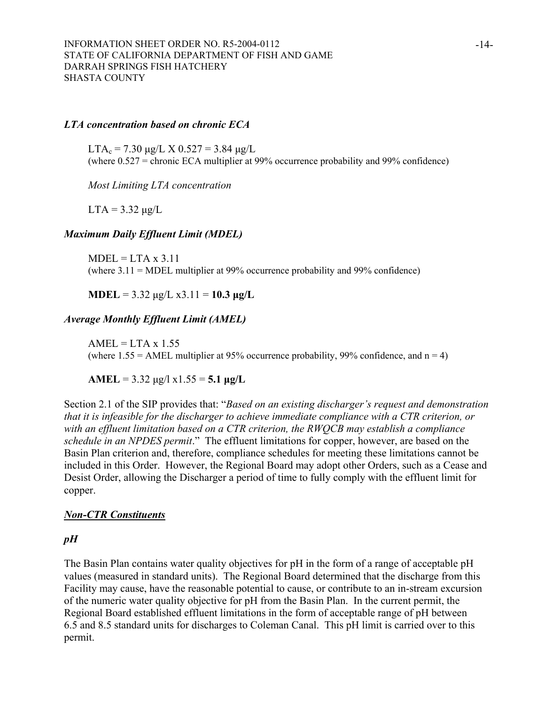#### *LTA concentration based on chronic ECA*

 $LTA_c = 7.30 \mu g/L \times 0.527 = 3.84 \mu g/L$ (where 0.527 = chronic ECA multiplier at 99% occurrence probability and 99% confidence)

*Most Limiting LTA concentration* 

 $LTA = 3.32 \mu g/L$ 

#### *Maximum Daily Effluent Limit (MDEL)*

 $MDEL = LTA \times 3.11$ (where 3.11 = MDEL multiplier at 99% occurrence probability and 99% confidence)

**MDEL** =  $3.32 \text{ µg/L} \times 3.11 = 10.3 \text{ µg/L}$ 

#### *Average Monthly Effluent Limit (AMEL)*

 $AMEL = LTA \times 1.55$ (where  $1.55 = AMEL$  multiplier at 95% occurrence probability, 99% confidence, and  $n = 4$ )

**AMEL** =  $3.32 \mu g/l \times 1.55 = 5.1 \mu g/L$ 

Section 2.1 of the SIP provides that: "*Based on an existing discharger's request and demonstration that it is infeasible for the discharger to achieve immediate compliance with a CTR criterion, or with an effluent limitation based on a CTR criterion, the RWQCB may establish a compliance schedule in an NPDES permit*." The effluent limitations for copper, however, are based on the Basin Plan criterion and, therefore, compliance schedules for meeting these limitations cannot be included in this Order. However, the Regional Board may adopt other Orders, such as a Cease and Desist Order, allowing the Discharger a period of time to fully comply with the effluent limit for copper.

#### *Non-CTR Constituents*

#### *pH*

The Basin Plan contains water quality objectives for pH in the form of a range of acceptable pH values (measured in standard units). The Regional Board determined that the discharge from this Facility may cause, have the reasonable potential to cause, or contribute to an in-stream excursion of the numeric water quality objective for pH from the Basin Plan. In the current permit, the Regional Board established effluent limitations in the form of acceptable range of pH between 6.5 and 8.5 standard units for discharges to Coleman Canal. This pH limit is carried over to this permit.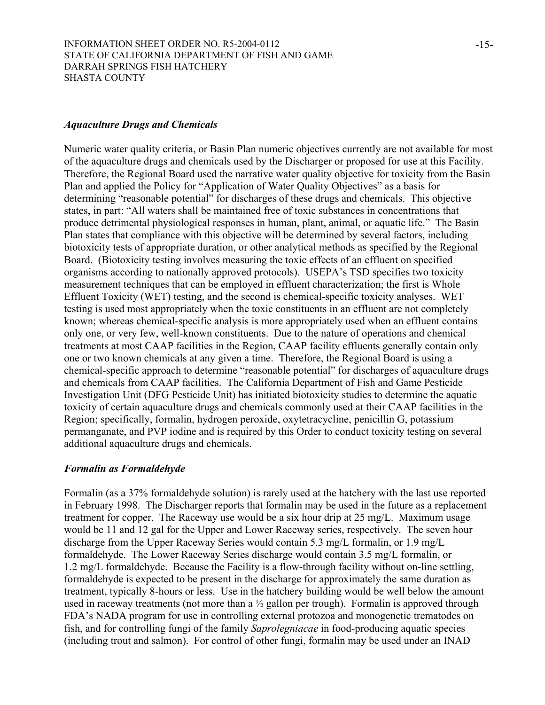#### *Aquaculture Drugs and Chemicals*

Numeric water quality criteria, or Basin Plan numeric objectives currently are not available for most of the aquaculture drugs and chemicals used by the Discharger or proposed for use at this Facility. Therefore, the Regional Board used the narrative water quality objective for toxicity from the Basin Plan and applied the Policy for "Application of Water Quality Objectives" as a basis for determining "reasonable potential" for discharges of these drugs and chemicals. This objective states, in part: "All waters shall be maintained free of toxic substances in concentrations that produce detrimental physiological responses in human, plant, animal, or aquatic life." The Basin Plan states that compliance with this objective will be determined by several factors, including biotoxicity tests of appropriate duration, or other analytical methods as specified by the Regional Board. (Biotoxicity testing involves measuring the toxic effects of an effluent on specified organisms according to nationally approved protocols). USEPA's TSD specifies two toxicity measurement techniques that can be employed in effluent characterization; the first is Whole Effluent Toxicity (WET) testing, and the second is chemical-specific toxicity analyses. WET testing is used most appropriately when the toxic constituents in an effluent are not completely known; whereas chemical-specific analysis is more appropriately used when an effluent contains only one, or very few, well-known constituents. Due to the nature of operations and chemical treatments at most CAAP facilities in the Region, CAAP facility effluents generally contain only one or two known chemicals at any given a time. Therefore, the Regional Board is using a chemical-specific approach to determine "reasonable potential" for discharges of aquaculture drugs and chemicals from CAAP facilities. The California Department of Fish and Game Pesticide Investigation Unit (DFG Pesticide Unit) has initiated biotoxicity studies to determine the aquatic toxicity of certain aquaculture drugs and chemicals commonly used at their CAAP facilities in the Region; specifically, formalin, hydrogen peroxide, oxytetracycline, penicillin G, potassium permanganate, and PVP iodine and is required by this Order to conduct toxicity testing on several additional aquaculture drugs and chemicals.

## *Formalin as Formaldehyde*

Formalin (as a 37% formaldehyde solution) is rarely used at the hatchery with the last use reported in February 1998. The Discharger reports that formalin may be used in the future as a replacement treatment for copper. The Raceway use would be a six hour drip at 25 mg/L. Maximum usage would be 11 and 12 gal for the Upper and Lower Raceway series, respectively. The seven hour discharge from the Upper Raceway Series would contain 5.3 mg/L formalin, or 1.9 mg/L formaldehyde. The Lower Raceway Series discharge would contain 3.5 mg/L formalin, or 1.2 mg/L formaldehyde. Because the Facility is a flow-through facility without on-line settling, formaldehyde is expected to be present in the discharge for approximately the same duration as treatment, typically 8-hours or less. Use in the hatchery building would be well below the amount used in raceway treatments (not more than a  $\frac{1}{2}$  gallon per trough). Formalin is approved through FDA's NADA program for use in controlling external protozoa and monogenetic trematodes on fish, and for controlling fungi of the family *Saprolegniacae* in food-producing aquatic species (including trout and salmon). For control of other fungi, formalin may be used under an INAD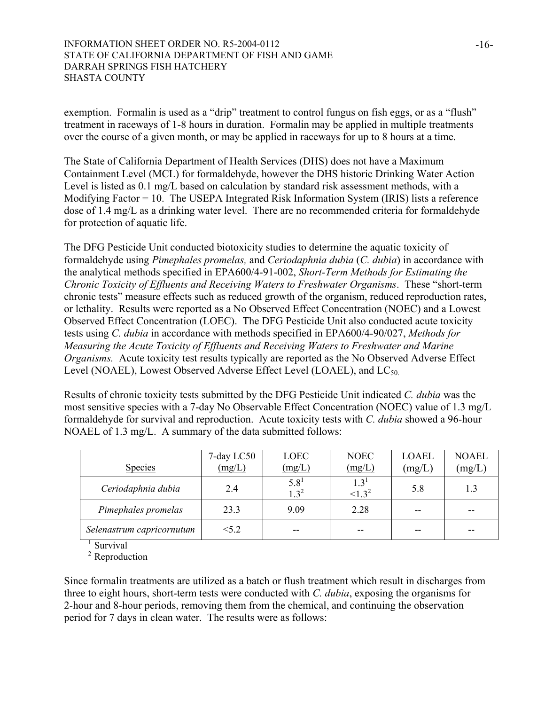exemption. Formalin is used as a "drip" treatment to control fungus on fish eggs, or as a "flush" treatment in raceways of 1-8 hours in duration. Formalin may be applied in multiple treatments over the course of a given month, or may be applied in raceways for up to 8 hours at a time.

The State of California Department of Health Services (DHS) does not have a Maximum Containment Level (MCL) for formaldehyde, however the DHS historic Drinking Water Action Level is listed as 0.1 mg/L based on calculation by standard risk assessment methods, with a Modifying Factor = 10. The USEPA Integrated Risk Information System (IRIS) lists a reference dose of 1.4 mg/L as a drinking water level. There are no recommended criteria for formaldehyde for protection of aquatic life.

The DFG Pesticide Unit conducted biotoxicity studies to determine the aquatic toxicity of formaldehyde using *Pimephales promelas,* and *Ceriodaphnia dubia* (*C. dubia*) in accordance with the analytical methods specified in EPA600/4-91-002, *Short-Term Methods for Estimating the Chronic Toxicity of Effluents and Receiving Waters to Freshwater Organisms*. These "short-term chronic tests" measure effects such as reduced growth of the organism, reduced reproduction rates, or lethality. Results were reported as a No Observed Effect Concentration (NOEC) and a Lowest Observed Effect Concentration (LOEC). The DFG Pesticide Unit also conducted acute toxicity tests using *C. dubia* in accordance with methods specified in EPA600/4-90/027, *Methods for Measuring the Acute Toxicity of Effluents and Receiving Waters to Freshwater and Marine Organisms.* Acute toxicity test results typically are reported as the No Observed Adverse Effect Level (NOAEL), Lowest Observed Adverse Effect Level (LOAEL), and  $LC_{50}$ .

Results of chronic toxicity tests submitted by the DFG Pesticide Unit indicated *C. dubia* was the most sensitive species with a 7-day No Observable Effect Concentration (NOEC) value of 1.3 mg/L formaldehyde for survival and reproduction. Acute toxicity tests with *C. dubia* showed a 96-hour NOAEL of 1.3 mg/L. A summary of the data submitted follows:

| <b>Species</b>            | 7-day LC50<br>(mg/L) | LOEC<br>(mg/L)          | <b>NOEC</b><br>(mg/L)    | <b>LOAEL</b><br>(mg/L) | <b>NOAEL</b><br>(mg/L) |
|---------------------------|----------------------|-------------------------|--------------------------|------------------------|------------------------|
| Ceriodaphnia dubia        | 2.4                  | $5.8^{1}$<br>$1 \; 3^2$ | $1.3^{\circ}$<br>$1.3^2$ | 5.8                    | 1.3                    |
| Pimephales promelas       | 23.3                 | 9.09                    | 2.28                     | --                     |                        |
| Selenastrum capricornutum | < 5.2                | --                      | --                       |                        |                        |

**Survival** 

<sup>2</sup> Reproduction

Since formalin treatments are utilized as a batch or flush treatment which result in discharges from three to eight hours, short-term tests were conducted with *C. dubia*, exposing the organisms for 2-hour and 8-hour periods, removing them from the chemical, and continuing the observation period for 7 days in clean water. The results were as follows: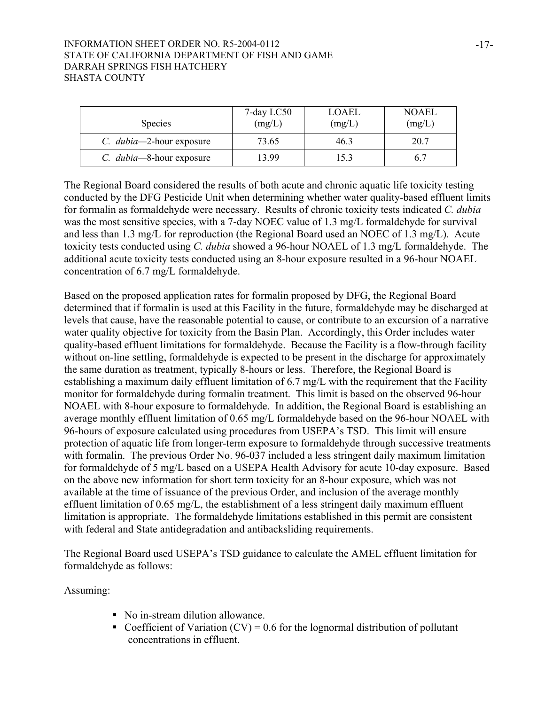| <b>Species</b>                   | 7-day LC50<br>(mg/L) | LOAEL<br>(mg/L) | <b>NOAEL</b><br>(mg/L) |
|----------------------------------|----------------------|-----------------|------------------------|
| C. <i>dubia</i> —2-hour exposure | 73.65                | 46.3            | 20.7                   |
| C. <i>dubia</i> —8-hour exposure | 13 99                | 15.3            |                        |

The Regional Board considered the results of both acute and chronic aquatic life toxicity testing conducted by the DFG Pesticide Unit when determining whether water quality-based effluent limits for formalin as formaldehyde were necessary. Results of chronic toxicity tests indicated *C. dubia* was the most sensitive species, with a 7-day NOEC value of 1.3 mg/L formaldehyde for survival and less than 1.3 mg/L for reproduction (the Regional Board used an NOEC of 1.3 mg/L). Acute toxicity tests conducted using *C. dubia* showed a 96-hour NOAEL of 1.3 mg/L formaldehyde. The additional acute toxicity tests conducted using an 8-hour exposure resulted in a 96-hour NOAEL concentration of 6.7 mg/L formaldehyde.

Based on the proposed application rates for formalin proposed by DFG, the Regional Board determined that if formalin is used at this Facility in the future, formaldehyde may be discharged at levels that cause, have the reasonable potential to cause, or contribute to an excursion of a narrative water quality objective for toxicity from the Basin Plan. Accordingly, this Order includes water quality-based effluent limitations for formaldehyde. Because the Facility is a flow-through facility without on-line settling, formaldehyde is expected to be present in the discharge for approximately the same duration as treatment, typically 8-hours or less. Therefore, the Regional Board is establishing a maximum daily effluent limitation of 6.7 mg/L with the requirement that the Facility monitor for formaldehyde during formalin treatment. This limit is based on the observed 96-hour NOAEL with 8-hour exposure to formaldehyde. In addition, the Regional Board is establishing an average monthly effluent limitation of 0.65 mg/L formaldehyde based on the 96-hour NOAEL with 96-hours of exposure calculated using procedures from USEPA's TSD. This limit will ensure protection of aquatic life from longer-term exposure to formaldehyde through successive treatments with formalin. The previous Order No. 96-037 included a less stringent daily maximum limitation for formaldehyde of 5 mg/L based on a USEPA Health Advisory for acute 10-day exposure. Based on the above new information for short term toxicity for an 8-hour exposure, which was not available at the time of issuance of the previous Order, and inclusion of the average monthly effluent limitation of 0.65 mg/L, the establishment of a less stringent daily maximum effluent limitation is appropriate. The formaldehyde limitations established in this permit are consistent with federal and State antidegradation and antibacksliding requirements.

The Regional Board used USEPA's TSD guidance to calculate the AMEL effluent limitation for formaldehyde as follows:

Assuming:

- No in-stream dilution allowance.
- Coefficient of Variation  $(CV) = 0.6$  for the lognormal distribution of pollutant concentrations in effluent.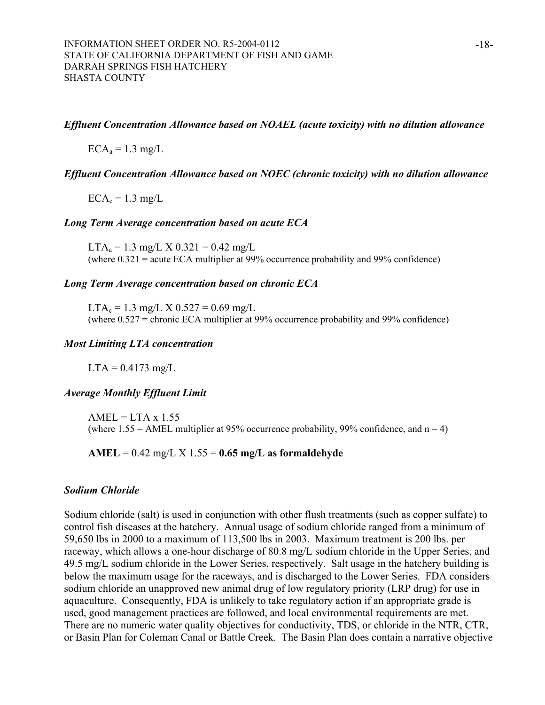#### *Effluent Concentration Allowance based on NOAEL (acute toxicity) with no dilution allowance*

 $ECA<sub>a</sub> = 1.3$  mg/L

#### *Effluent Concentration Allowance based on NOEC (chronic toxicity) with no dilution allowance*

 $ECA_c = 1.3$  mg/L

#### *Long Term Average concentration based on acute ECA*

 $LTA<sub>a</sub> = 1.3$  mg/L X 0.321 = 0.42 mg/L (where 0.321 = acute ECA multiplier at 99% occurrence probability and 99% confidence)

#### *Long Term Average concentration based on chronic ECA*

 $LTA_c = 1.3$  mg/L X  $0.527 = 0.69$  mg/L (where 0.527 = chronic ECA multiplier at 99% occurrence probability and 99% confidence)

#### *Most Limiting LTA concentration*

 $LTA = 0.4173$  mg/L

#### *Average Monthly Effluent Limit*

 $AMEL = LTA \times 1.55$ (where  $1.55 = AMEL$  multiplier at 95% occurrence probability, 99% confidence, and  $n = 4$ )

**AMEL** = 0.42 mg/L X 1.55 = **0.65 mg/L as formaldehyde**

#### *Sodium Chloride*

Sodium chloride (salt) is used in conjunction with other flush treatments (such as copper sulfate) to control fish diseases at the hatchery. Annual usage of sodium chloride ranged from a minimum of 59,650 lbs in 2000 to a maximum of 113,500 lbs in 2003. Maximum treatment is 200 lbs. per raceway, which allows a one-hour discharge of 80.8 mg/L sodium chloride in the Upper Series, and 49.5 mg/L sodium chloride in the Lower Series, respectively. Salt usage in the hatchery building is below the maximum usage for the raceways, and is discharged to the Lower Series. FDA considers sodium chloride an unapproved new animal drug of low regulatory priority (LRP drug) for use in aquaculture. Consequently, FDA is unlikely to take regulatory action if an appropriate grade is used, good management practices are followed, and local environmental requirements are met. There are no numeric water quality objectives for conductivity, TDS, or chloride in the NTR, CTR, or Basin Plan for Coleman Canal or Battle Creek. The Basin Plan does contain a narrative objective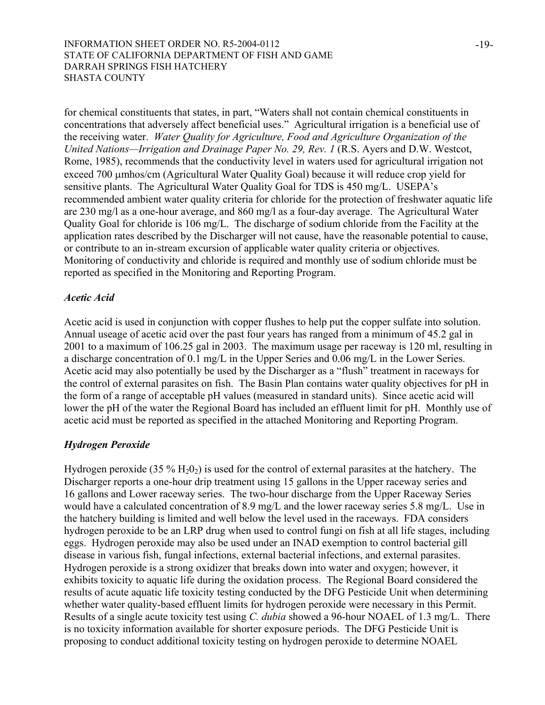for chemical constituents that states, in part, "Waters shall not contain chemical constituents in concentrations that adversely affect beneficial uses." Agricultural irrigation is a beneficial use of the receiving water. *Water Quality for Agriculture, Food and Agriculture Organization of the United Nations—Irrigation and Drainage Paper No. 29, Rev. 1* (R.S. Ayers and D.W. Westcot, Rome, 1985), recommends that the conductivity level in waters used for agricultural irrigation not exceed 700 µmhos/cm (Agricultural Water Quality Goal) because it will reduce crop yield for sensitive plants. The Agricultural Water Quality Goal for TDS is 450 mg/L. USEPA's recommended ambient water quality criteria for chloride for the protection of freshwater aquatic life are 230 mg/l as a one-hour average, and 860 mg/l as a four-day average. The Agricultural Water Quality Goal for chloride is 106 mg/L. The discharge of sodium chloride from the Facility at the application rates described by the Discharger will not cause, have the reasonable potential to cause, or contribute to an in-stream excursion of applicable water quality criteria or objectives. Monitoring of conductivity and chloride is required and monthly use of sodium chloride must be reported as specified in the Monitoring and Reporting Program.

## *Acetic Acid*

Acetic acid is used in conjunction with copper flushes to help put the copper sulfate into solution. Annual useage of acetic acid over the past four years has ranged from a minimum of 45.2 gal in 2001 to a maximum of 106.25 gal in 2003. The maximum usage per raceway is 120 ml, resulting in a discharge concentration of 0.1 mg/L in the Upper Series and 0.06 mg/L in the Lower Series. Acetic acid may also potentially be used by the Discharger as a "flush" treatment in raceways for the control of external parasites on fish. The Basin Plan contains water quality objectives for pH in the form of a range of acceptable pH values (measured in standard units). Since acetic acid will lower the pH of the water the Regional Board has included an effluent limit for pH. Monthly use of acetic acid must be reported as specified in the attached Monitoring and Reporting Program.

# *Hydrogen Peroxide*

Hydrogen peroxide (35  $\%$  H<sub>2</sub>O<sub>2</sub>) is used for the control of external parasites at the hatchery. The Discharger reports a one-hour drip treatment using 15 gallons in the Upper raceway series and 16 gallons and Lower raceway series. The two-hour discharge from the Upper Raceway Series would have a calculated concentration of 8.9 mg/L and the lower raceway series 5.8 mg/L. Use in the hatchery building is limited and well below the level used in the raceways. FDA considers hydrogen peroxide to be an LRP drug when used to control fungi on fish at all life stages, including eggs. Hydrogen peroxide may also be used under an INAD exemption to control bacterial gill disease in various fish, fungal infections, external bacterial infections, and external parasites. Hydrogen peroxide is a strong oxidizer that breaks down into water and oxygen; however, it exhibits toxicity to aquatic life during the oxidation process. The Regional Board considered the results of acute aquatic life toxicity testing conducted by the DFG Pesticide Unit when determining whether water quality-based effluent limits for hydrogen peroxide were necessary in this Permit. Results of a single acute toxicity test using *C. dubia* showed a 96-hour NOAEL of 1.3 mg/L. There is no toxicity information available for shorter exposure periods. The DFG Pesticide Unit is proposing to conduct additional toxicity testing on hydrogen peroxide to determine NOAEL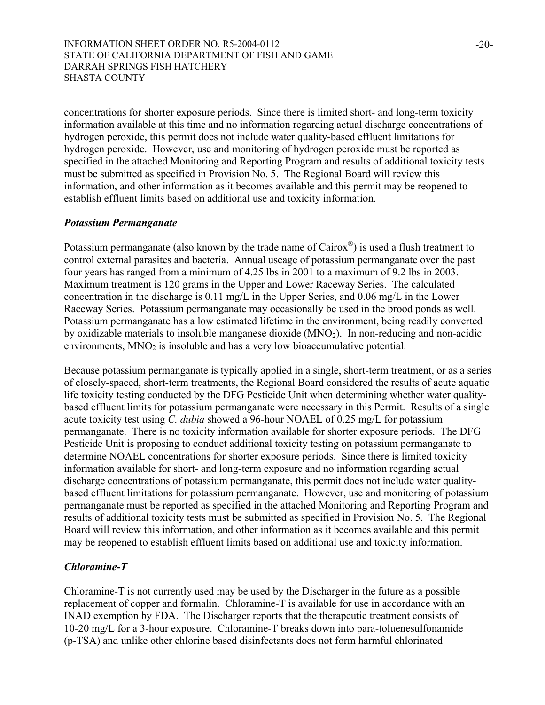concentrations for shorter exposure periods. Since there is limited short- and long-term toxicity information available at this time and no information regarding actual discharge concentrations of hydrogen peroxide, this permit does not include water quality-based effluent limitations for hydrogen peroxide. However, use and monitoring of hydrogen peroxide must be reported as specified in the attached Monitoring and Reporting Program and results of additional toxicity tests must be submitted as specified in Provision No. 5. The Regional Board will review this information, and other information as it becomes available and this permit may be reopened to establish effluent limits based on additional use and toxicity information.

## *Potassium Permanganate*

Potassium permanganate (also known by the trade name of  $Cairox^{\circledast}$ ) is used a flush treatment to control external parasites and bacteria. Annual useage of potassium permanganate over the past four years has ranged from a minimum of 4.25 lbs in 2001 to a maximum of 9.2 lbs in 2003. Maximum treatment is 120 grams in the Upper and Lower Raceway Series. The calculated concentration in the discharge is 0.11 mg/L in the Upper Series, and 0.06 mg/L in the Lower Raceway Series. Potassium permanganate may occasionally be used in the brood ponds as well. Potassium permanganate has a low estimated lifetime in the environment, being readily converted by oxidizable materials to insoluble manganese dioxide  $(MNO<sub>2</sub>)$ . In non-reducing and non-acidic environments,  $MNO<sub>2</sub>$  is insoluble and has a very low bioaccumulative potential.

Because potassium permanganate is typically applied in a single, short-term treatment, or as a series of closely-spaced, short-term treatments, the Regional Board considered the results of acute aquatic life toxicity testing conducted by the DFG Pesticide Unit when determining whether water qualitybased effluent limits for potassium permanganate were necessary in this Permit. Results of a single acute toxicity test using *C. dubia* showed a 96-hour NOAEL of 0.25 mg/L for potassium permanganate. There is no toxicity information available for shorter exposure periods. The DFG Pesticide Unit is proposing to conduct additional toxicity testing on potassium permanganate to determine NOAEL concentrations for shorter exposure periods. Since there is limited toxicity information available for short- and long-term exposure and no information regarding actual discharge concentrations of potassium permanganate, this permit does not include water qualitybased effluent limitations for potassium permanganate. However, use and monitoring of potassium permanganate must be reported as specified in the attached Monitoring and Reporting Program and results of additional toxicity tests must be submitted as specified in Provision No. 5. The Regional Board will review this information, and other information as it becomes available and this permit may be reopened to establish effluent limits based on additional use and toxicity information.

## *Chloramine-T*

Chloramine-T is not currently used may be used by the Discharger in the future as a possible replacement of copper and formalin. Chloramine-T is available for use in accordance with an INAD exemption by FDA. The Discharger reports that the therapeutic treatment consists of 10-20 mg/L for a 3-hour exposure. Chloramine-T breaks down into para-toluenesulfonamide (p-TSA) and unlike other chlorine based disinfectants does not form harmful chlorinated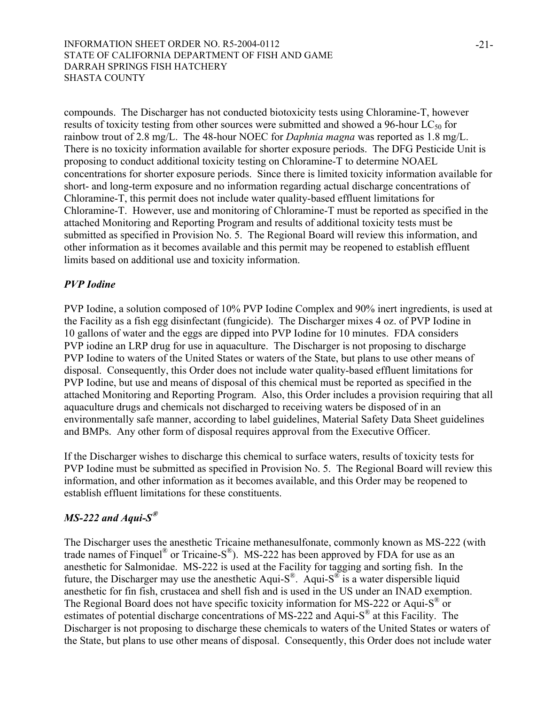compounds. The Discharger has not conducted biotoxicity tests using Chloramine-T, however results of toxicity testing from other sources were submitted and showed a 96-hour  $LC_{50}$  for rainbow trout of 2.8 mg/L. The 48-hour NOEC for *Daphnia magna* was reported as 1.8 mg/L. There is no toxicity information available for shorter exposure periods. The DFG Pesticide Unit is proposing to conduct additional toxicity testing on Chloramine-T to determine NOAEL concentrations for shorter exposure periods. Since there is limited toxicity information available for short- and long-term exposure and no information regarding actual discharge concentrations of Chloramine-T, this permit does not include water quality-based effluent limitations for Chloramine-T. However, use and monitoring of Chloramine-T must be reported as specified in the attached Monitoring and Reporting Program and results of additional toxicity tests must be submitted as specified in Provision No. 5. The Regional Board will review this information, and other information as it becomes available and this permit may be reopened to establish effluent limits based on additional use and toxicity information.

# *PVP Iodine*

PVP Iodine, a solution composed of 10% PVP Iodine Complex and 90% inert ingredients, is used at the Facility as a fish egg disinfectant (fungicide). The Discharger mixes 4 oz. of PVP Iodine in 10 gallons of water and the eggs are dipped into PVP Iodine for 10 minutes. FDA considers PVP iodine an LRP drug for use in aquaculture. The Discharger is not proposing to discharge PVP Iodine to waters of the United States or waters of the State, but plans to use other means of disposal. Consequently, this Order does not include water quality-based effluent limitations for PVP Iodine, but use and means of disposal of this chemical must be reported as specified in the attached Monitoring and Reporting Program. Also, this Order includes a provision requiring that all aquaculture drugs and chemicals not discharged to receiving waters be disposed of in an environmentally safe manner, according to label guidelines, Material Safety Data Sheet guidelines and BMPs. Any other form of disposal requires approval from the Executive Officer.

If the Discharger wishes to discharge this chemical to surface waters, results of toxicity tests for PVP Iodine must be submitted as specified in Provision No. 5. The Regional Board will review this information, and other information as it becomes available, and this Order may be reopened to establish effluent limitations for these constituents.

# *MS-222 and Aqui-S***®**

The Discharger uses the anesthetic Tricaine methanesulfonate, commonly known as MS-222 (with trade names of Finquel<sup>®</sup> or Tricaine-S<sup>®</sup>). MS-222 has been approved by FDA for use as an anesthetic for Salmonidae. MS-222 is used at the Facility for tagging and sorting fish. In the future, the Discharger may use the anesthetic Aqui-S<sup>®</sup>. Aqui-S<sup>®</sup> is a water dispersible liquid anesthetic for fin fish, crustacea and shell fish and is used in the US under an INAD exemption. The Regional Board does not have specific toxicity information for MS-222 or Aqui-S<sup>®</sup> or estimates of potential discharge concentrations of MS-222 and Aqui-S® at this Facility. The Discharger is not proposing to discharge these chemicals to waters of the United States or waters of the State, but plans to use other means of disposal. Consequently, this Order does not include water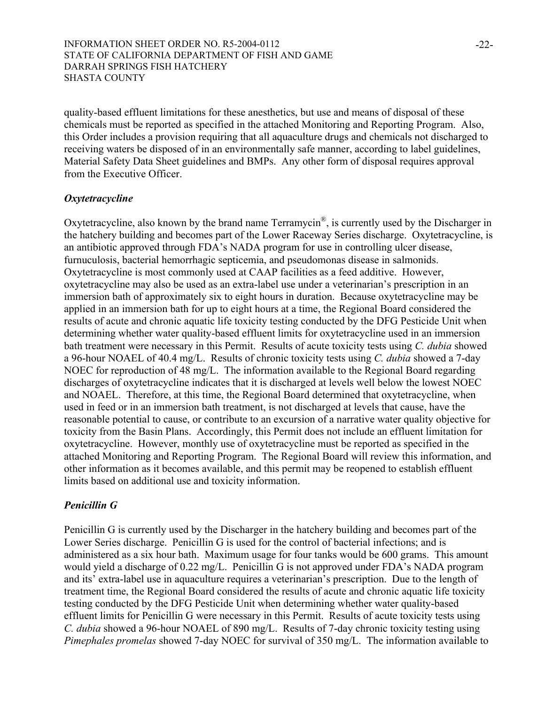quality-based effluent limitations for these anesthetics, but use and means of disposal of these chemicals must be reported as specified in the attached Monitoring and Reporting Program. Also, this Order includes a provision requiring that all aquaculture drugs and chemicals not discharged to receiving waters be disposed of in an environmentally safe manner, according to label guidelines, Material Safety Data Sheet guidelines and BMPs. Any other form of disposal requires approval from the Executive Officer.

## *Oxytetracycline*

Oxytetracycline, also known by the brand name Terramycin®, is currently used by the Discharger in the hatchery building and becomes part of the Lower Raceway Series discharge. Oxytetracycline, is an antibiotic approved through FDA's NADA program for use in controlling ulcer disease, furnuculosis, bacterial hemorrhagic septicemia, and pseudomonas disease in salmonids. Oxytetracycline is most commonly used at CAAP facilities as a feed additive. However, oxytetracycline may also be used as an extra-label use under a veterinarian's prescription in an immersion bath of approximately six to eight hours in duration. Because oxytetracycline may be applied in an immersion bath for up to eight hours at a time, the Regional Board considered the results of acute and chronic aquatic life toxicity testing conducted by the DFG Pesticide Unit when determining whether water quality-based effluent limits for oxytetracycline used in an immersion bath treatment were necessary in this Permit. Results of acute toxicity tests using *C. dubia* showed a 96-hour NOAEL of 40.4 mg/L. Results of chronic toxicity tests using *C. dubia* showed a 7-day NOEC for reproduction of 48 mg/L. The information available to the Regional Board regarding discharges of oxytetracycline indicates that it is discharged at levels well below the lowest NOEC and NOAEL. Therefore, at this time, the Regional Board determined that oxytetracycline, when used in feed or in an immersion bath treatment, is not discharged at levels that cause, have the reasonable potential to cause, or contribute to an excursion of a narrative water quality objective for toxicity from the Basin Plans. Accordingly, this Permit does not include an effluent limitation for oxytetracycline. However, monthly use of oxytetracycline must be reported as specified in the attached Monitoring and Reporting Program. The Regional Board will review this information, and other information as it becomes available, and this permit may be reopened to establish effluent limits based on additional use and toxicity information.

## *Penicillin G*

Penicillin G is currently used by the Discharger in the hatchery building and becomes part of the Lower Series discharge. Penicillin G is used for the control of bacterial infections; and is administered as a six hour bath. Maximum usage for four tanks would be 600 grams. This amount would yield a discharge of 0.22 mg/L. Penicillin G is not approved under FDA's NADA program and its' extra-label use in aquaculture requires a veterinarian's prescription. Due to the length of treatment time, the Regional Board considered the results of acute and chronic aquatic life toxicity testing conducted by the DFG Pesticide Unit when determining whether water quality-based effluent limits for Penicillin G were necessary in this Permit. Results of acute toxicity tests using *C. dubia* showed a 96-hour NOAEL of 890 mg/L. Results of 7-day chronic toxicity testing using *Pimephales promelas* showed 7-day NOEC for survival of 350 mg/L. The information available to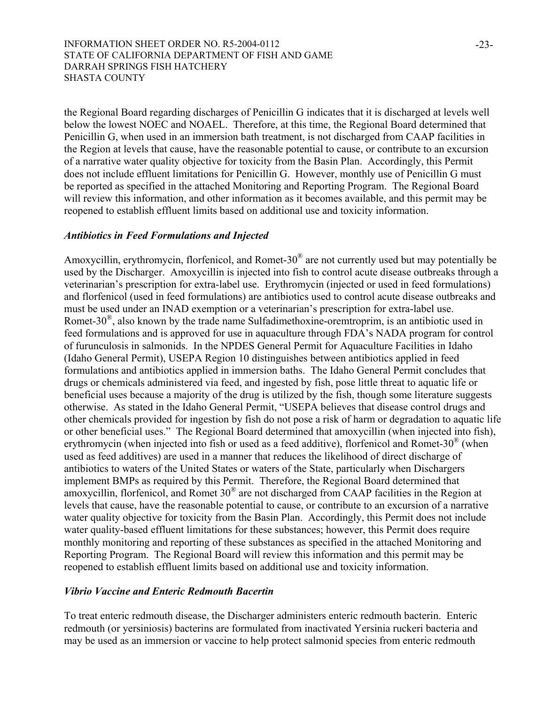the Regional Board regarding discharges of Penicillin G indicates that it is discharged at levels well below the lowest NOEC and NOAEL. Therefore, at this time, the Regional Board determined that Penicillin G, when used in an immersion bath treatment, is not discharged from CAAP facilities in the Region at levels that cause, have the reasonable potential to cause, or contribute to an excursion of a narrative water quality objective for toxicity from the Basin Plan. Accordingly, this Permit does not include effluent limitations for Penicillin G. However, monthly use of Penicillin G must be reported as specified in the attached Monitoring and Reporting Program. The Regional Board will review this information, and other information as it becomes available, and this permit may be reopened to establish effluent limits based on additional use and toxicity information.

## *Antibiotics in Feed Formulations and Injected*

Amoxycillin, erythromycin, florfenicol, and Romet-30® are not currently used but may potentially be used by the Discharger. Amoxycillin is injected into fish to control acute disease outbreaks through a veterinarian's prescription for extra-label use. Erythromycin (injected or used in feed formulations) and florfenicol (used in feed formulations) are antibiotics used to control acute disease outbreaks and must be used under an INAD exemption or a veterinarian's prescription for extra-label use. Romet-30<sup> $\textcircled{R}$ </sup>, also known by the trade name Sulfadimethoxine-oremtroprim, is an antibiotic used in feed formulations and is approved for use in aquaculture through FDA's NADA program for control of furunculosis in salmonids. In the NPDES General Permit for Aquaculture Facilities in Idaho (Idaho General Permit), USEPA Region 10 distinguishes between antibiotics applied in feed formulations and antibiotics applied in immersion baths. The Idaho General Permit concludes that drugs or chemicals administered via feed, and ingested by fish, pose little threat to aquatic life or beneficial uses because a majority of the drug is utilized by the fish, though some literature suggests otherwise. As stated in the Idaho General Permit, "USEPA believes that disease control drugs and other chemicals provided for ingestion by fish do not pose a risk of harm or degradation to aquatic life or other beneficial uses." The Regional Board determined that amoxycillin (when injected into fish), erythromycin (when injected into fish or used as a feed additive), florfenicol and Romet-30® (when used as feed additives) are used in a manner that reduces the likelihood of direct discharge of antibiotics to waters of the United States or waters of the State, particularly when Dischargers implement BMPs as required by this Permit. Therefore, the Regional Board determined that amoxycillin, florfenicol, and Romet 30® are not discharged from CAAP facilities in the Region at levels that cause, have the reasonable potential to cause, or contribute to an excursion of a narrative water quality objective for toxicity from the Basin Plan. Accordingly, this Permit does not include water quality-based effluent limitations for these substances; however, this Permit does require monthly monitoring and reporting of these substances as specified in the attached Monitoring and Reporting Program. The Regional Board will review this information and this permit may be reopened to establish effluent limits based on additional use and toxicity information.

## *Vibrio Vaccine and Enteric Redmouth Bacertin*

To treat enteric redmouth disease, the Discharger administers enteric redmouth bacterin. Enteric redmouth (or yersiniosis) bacterins are formulated from inactivated Yersinia ruckeri bacteria and may be used as an immersion or vaccine to help protect salmonid species from enteric redmouth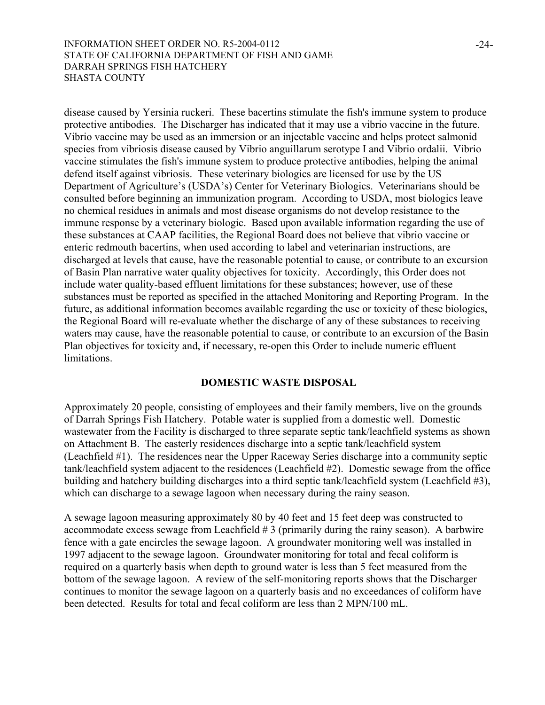disease caused by Yersinia ruckeri. These bacertins stimulate the fish's immune system to produce protective antibodies. The Discharger has indicated that it may use a vibrio vaccine in the future. Vibrio vaccine may be used as an immersion or an injectable vaccine and helps protect salmonid species from vibriosis disease caused by Vibrio anguillarum serotype I and Vibrio ordalii. Vibrio vaccine stimulates the fish's immune system to produce protective antibodies, helping the animal defend itself against vibriosis. These veterinary biologics are licensed for use by the US Department of Agriculture's (USDA's) Center for Veterinary Biologics. Veterinarians should be consulted before beginning an immunization program. According to USDA, most biologics leave no chemical residues in animals and most disease organisms do not develop resistance to the immune response by a veterinary biologic. Based upon available information regarding the use of these substances at CAAP facilities, the Regional Board does not believe that vibrio vaccine or enteric redmouth bacertins, when used according to label and veterinarian instructions, are discharged at levels that cause, have the reasonable potential to cause, or contribute to an excursion of Basin Plan narrative water quality objectives for toxicity. Accordingly, this Order does not include water quality-based effluent limitations for these substances; however, use of these substances must be reported as specified in the attached Monitoring and Reporting Program. In the future, as additional information becomes available regarding the use or toxicity of these biologics, the Regional Board will re-evaluate whether the discharge of any of these substances to receiving waters may cause, have the reasonable potential to cause, or contribute to an excursion of the Basin Plan objectives for toxicity and, if necessary, re-open this Order to include numeric effluent limitations.

## **DOMESTIC WASTE DISPOSAL**

Approximately 20 people, consisting of employees and their family members, live on the grounds of Darrah Springs Fish Hatchery. Potable water is supplied from a domestic well. Domestic wastewater from the Facility is discharged to three separate septic tank/leachfield systems as shown on Attachment B. The easterly residences discharge into a septic tank/leachfield system (Leachfield #1). The residences near the Upper Raceway Series discharge into a community septic tank/leachfield system adjacent to the residences (Leachfield #2). Domestic sewage from the office building and hatchery building discharges into a third septic tank/leachfield system (Leachfield #3), which can discharge to a sewage lagoon when necessary during the rainy season.

A sewage lagoon measuring approximately 80 by 40 feet and 15 feet deep was constructed to accommodate excess sewage from Leachfield  $# 3$  (primarily during the rainy season). A barbwire fence with a gate encircles the sewage lagoon. A groundwater monitoring well was installed in 1997 adjacent to the sewage lagoon. Groundwater monitoring for total and fecal coliform is required on a quarterly basis when depth to ground water is less than 5 feet measured from the bottom of the sewage lagoon. A review of the self-monitoring reports shows that the Discharger continues to monitor the sewage lagoon on a quarterly basis and no exceedances of coliform have been detected. Results for total and fecal coliform are less than 2 MPN/100 mL.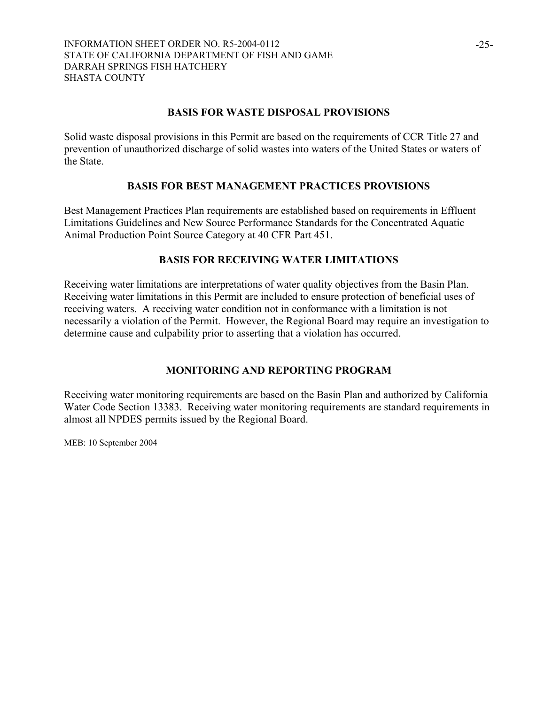## **BASIS FOR WASTE DISPOSAL PROVISIONS**

Solid waste disposal provisions in this Permit are based on the requirements of CCR Title 27 and prevention of unauthorized discharge of solid wastes into waters of the United States or waters of the State.

## **BASIS FOR BEST MANAGEMENT PRACTICES PROVISIONS**

Best Management Practices Plan requirements are established based on requirements in Effluent Limitations Guidelines and New Source Performance Standards for the Concentrated Aquatic Animal Production Point Source Category at 40 CFR Part 451.

## **BASIS FOR RECEIVING WATER LIMITATIONS**

Receiving water limitations are interpretations of water quality objectives from the Basin Plan. Receiving water limitations in this Permit are included to ensure protection of beneficial uses of receiving waters. A receiving water condition not in conformance with a limitation is not necessarily a violation of the Permit. However, the Regional Board may require an investigation to determine cause and culpability prior to asserting that a violation has occurred.

# **MONITORING AND REPORTING PROGRAM**

Receiving water monitoring requirements are based on the Basin Plan and authorized by California Water Code Section 13383. Receiving water monitoring requirements are standard requirements in almost all NPDES permits issued by the Regional Board.

MEB: 10 September 2004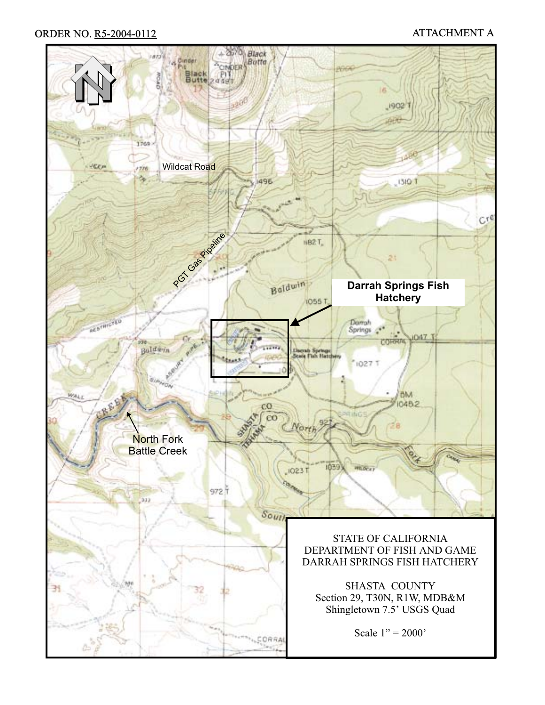# ORDER NO. R5-2004-0112 ATTACHMENT A

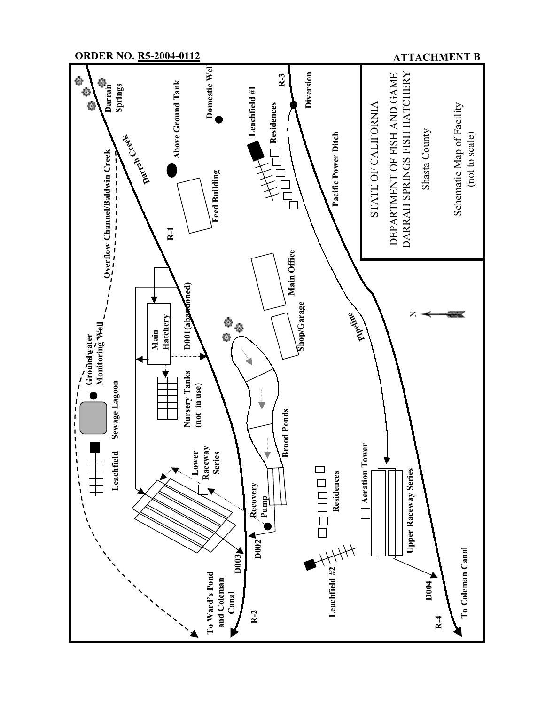